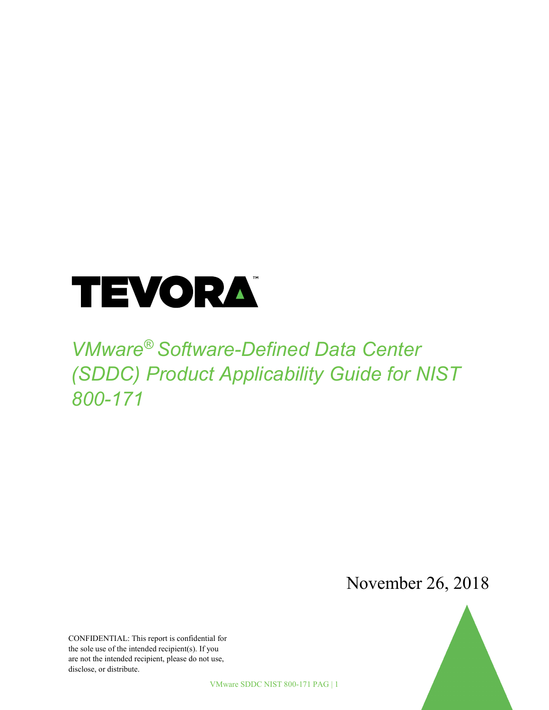

# *VMware® Software-Defined Data Center (SDDC) Product Applicability Guide for NIST 800-171*

November 26, 2018

CONFIDENTIAL: This report is confidential for the sole use of the intended recipient(s). If you are not the intended recipient, please do not use, disclose, or distribute.

VMware SDDC NIST 800-171 PAG | 1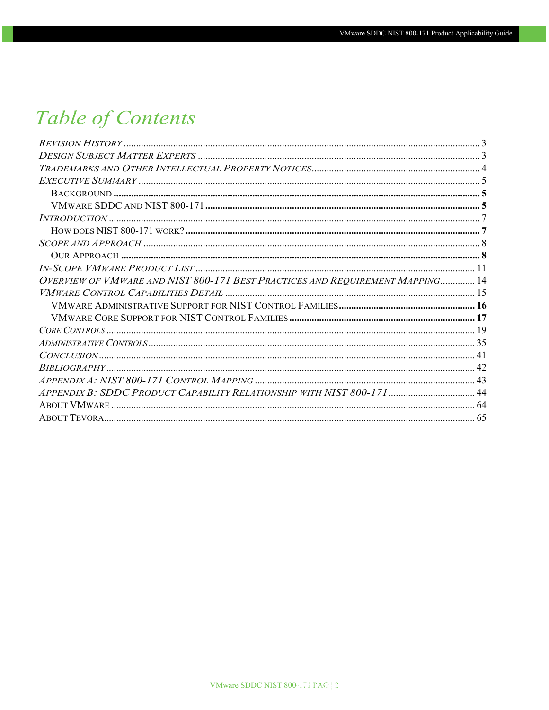# **Table of Contents**

<span id="page-1-0"></span>

| OVERVIEW OF VMWARE AND NIST 800-171 BEST PRACTICES AND REQUIREMENT MAPPING 14 |  |
|-------------------------------------------------------------------------------|--|
|                                                                               |  |
|                                                                               |  |
|                                                                               |  |
|                                                                               |  |
|                                                                               |  |
|                                                                               |  |
|                                                                               |  |
|                                                                               |  |
| APPENDIX B: SDDC PRODUCT CAPABILITY RELATIONSHIP WITH NIST 800-171  44        |  |
|                                                                               |  |
|                                                                               |  |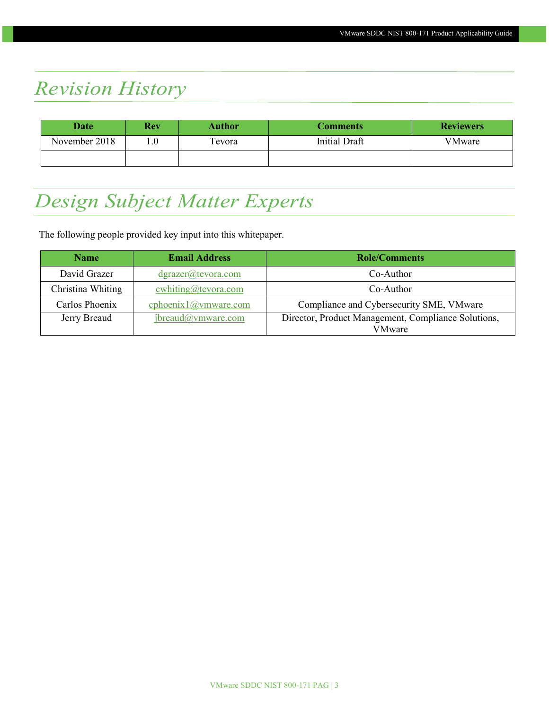# *Revision History*

| Date          | <b>Rev</b> | <b>Author</b> | Comments      | <b>Reviewers</b> |
|---------------|------------|---------------|---------------|------------------|
| November 2018 | 0.1        | Tevora        | Initial Draft | VMware           |
|               |            |               |               |                  |

# <span id="page-2-0"></span>*Design Subject Matter Experts*

The following people provided key input into this whitepaper.

| <b>Name</b>       | <b>Email Address</b>            | <b>Role/Comments</b>                                          |  |
|-------------------|---------------------------------|---------------------------------------------------------------|--|
| David Grazer      | dgrazer@tevora.com              | Co-Author                                                     |  |
| Christina Whiting | $\text{cwhiting}(a)$ tevora.com | Co-Author                                                     |  |
| Carlos Phoenix    | cphoenix1@vmware.com            | Compliance and Cybersecurity SME, VMware                      |  |
| Jerry Breaud      | jbreaud@ymware.com              | Director, Product Management, Compliance Solutions,<br>VMware |  |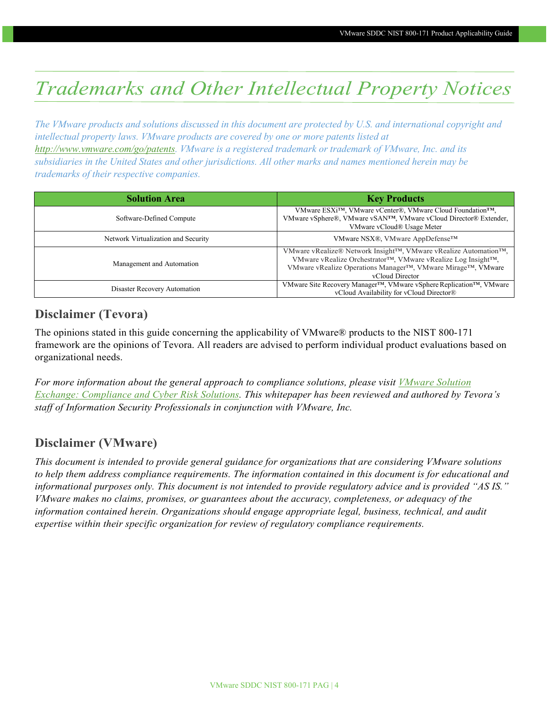# <span id="page-3-0"></span>*Trademarks and Other Intellectual Property Notices*

*The VMware products and solutions discussed in this document are protected by U.S. and international copyright and intellectual property laws. VMware products are covered by one or more patents listed at [http://www.vmware.com/go/patents.](http://www.vmware.com/go/patents) VMware is a registered trademark or trademark of VMware, Inc. and its subsidiaries in the United States and other jurisdictions. All other marks and names mentioned herein may be trademarks of their respective companies.*

| <b>Solution Area</b>                | <b>Key Products</b>                                                                                                                                                                                                                           |
|-------------------------------------|-----------------------------------------------------------------------------------------------------------------------------------------------------------------------------------------------------------------------------------------------|
| Software-Defined Compute            | VMware ESXi™, VMware vCenter®, VMware Cloud Foundation™,<br>VMware vSphere®, VMware vSAN <sup>TM</sup> , VMware vCloud Director® Extender,<br>VMware vCloud® Usage Meter                                                                      |
| Network Virtualization and Security | VMware NSX <sup>®</sup> , VMware AppDefense <sup>™</sup>                                                                                                                                                                                      |
| Management and Automation           | VMware vRealize® Network Insight™, VMware vRealize Automation™,<br>VMware vRealize Orchestrator™, VMware vRealize Log Insight™,<br>VMware vRealize Operations Manager <sup>TM</sup> , VMware Mirage <sup>TM</sup> , VMware<br>vCloud Director |
| Disaster Recovery Automation        | VMware Site Recovery Manager <sup>™</sup> , VMware vSphere Replication <sup>™</sup> , VMware<br>vCloud Availability for vCloud Director®                                                                                                      |

### **Disclaimer (Tevora)**

The opinions stated in this guide concerning the applicability of VMware® products to the NIST 800-171 framework are the opinions of Tevora. All readers are advised to perform individual product evaluations based on organizational needs.

*For more information about the general approach to compliance solutions, please visit [VMware Solution](https://solutionexchange.vmware.com/store/products/vmware-compliance-cyber-risk-solutions#.VXXPhXlFCHs)  [Exchange: Compliance and](https://solutionexchange.vmware.com/store/products/vmware-compliance-cyber-risk-solutions#.VXXPhXlFCHs) Cyber Risk Solutions. This whitepaper has been reviewed and authored by Tevora's staff of Information Security Professionals in conjunction with VMware, Inc.*

### **Disclaimer (VMware)**

*This document is intended to provide general guidance for organizations that are considering VMware solutions to help them address compliance requirements. The information contained in this document is for educational and informational purposes only. This document is not intended to provide regulatory advice and is provided "AS IS." VMware makes no claims, promises, or guarantees about the accuracy, completeness, or adequacy of the information contained herein. Organizations should engage appropriate legal, business, technical, and audit expertise within their specific organization for review of regulatory compliance requirements.*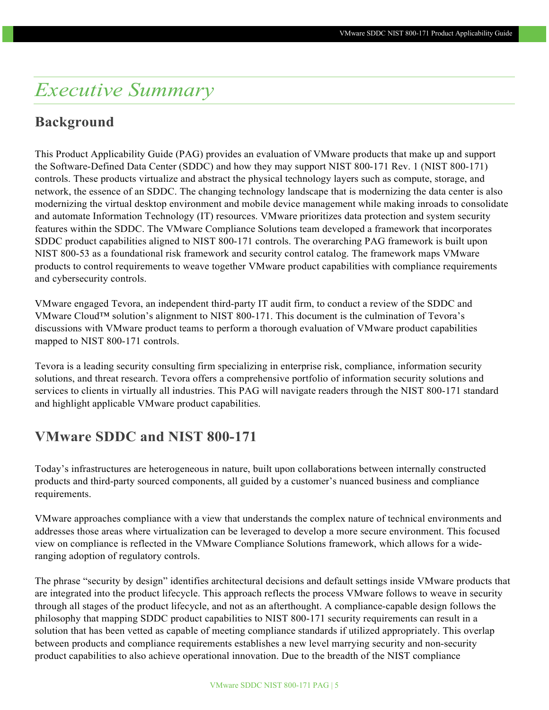## <span id="page-4-0"></span>*Executive Summary*

### <span id="page-4-1"></span>**Background**

This Product Applicability Guide (PAG) provides an evaluation of VMware products that make up and support the Software-Defined Data Center (SDDC) and how they may support NIST 800-171 Rev. 1 (NIST 800-171) controls. These products virtualize and abstract the physical technology layers such as compute, storage, and network, the essence of an SDDC. The changing technology landscape that is modernizing the data center is also modernizing the virtual desktop environment and mobile device management while making inroads to consolidate and automate Information Technology (IT) resources. VMware prioritizes data protection and system security features within the SDDC. The VMware Compliance Solutions team developed a framework that incorporates SDDC product capabilities aligned to NIST 800-171 controls. The overarching PAG framework is built upon NIST 800-53 as a foundational risk framework and security control catalog. The framework maps VMware products to control requirements to weave together VMware product capabilities with compliance requirements and cybersecurity controls.

VMware engaged Tevora, an independent third-party IT audit firm, to conduct a review of the SDDC and VMware Cloud™ solution's alignment to NIST 800-171. This document is the culmination of Tevora's discussions with VMware product teams to perform a thorough evaluation of VMware product capabilities mapped to NIST 800-171 controls.

Tevora is a leading security consulting firm specializing in enterprise risk, compliance, information security solutions, and threat research. Tevora offers a comprehensive portfolio of information security solutions and services to clients in virtually all industries. This PAG will navigate readers through the NIST 800-171 standard and highlight applicable VMware product capabilities.

### <span id="page-4-2"></span>**VMware SDDC and NIST 800-171**

Today's infrastructures are heterogeneous in nature, built upon collaborations between internally constructed products and third-party sourced components, all guided by a customer's nuanced business and compliance requirements.

VMware approaches compliance with a view that understands the complex nature of technical environments and addresses those areas where virtualization can be leveraged to develop a more secure environment. This focused view on compliance is reflected in the VMware Compliance Solutions framework, which allows for a wideranging adoption of regulatory controls.

The phrase "security by design" identifies architectural decisions and default settings inside VMware products that are integrated into the product lifecycle. This approach reflects the process VMware follows to weave in security through all stages of the product lifecycle, and not as an afterthought. A compliance-capable design follows the philosophy that mapping SDDC product capabilities to NIST 800-171 security requirements can result in a solution that has been vetted as capable of meeting compliance standards if utilized appropriately. This overlap between products and compliance requirements establishes a new level marrying security and non-security product capabilities to also achieve operational innovation. Due to the breadth of the NIST compliance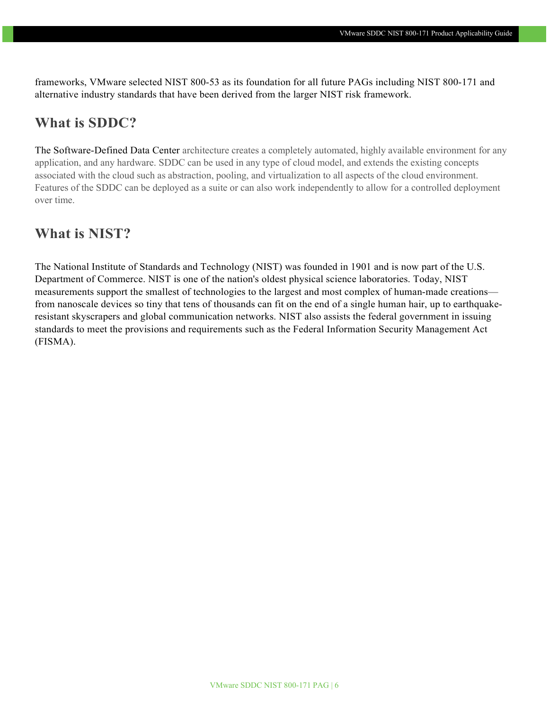frameworks, VMware selected NIST 800-53 as its foundation for all future PAGs including NIST 800-171 and alternative industry standards that have been derived from the larger NIST risk framework.

### **What is SDDC?**

The Software-Defined Data Center architecture creates a completely automated, highly available environment for any application, and any hardware. SDDC can be used in any type of cloud model, and extends the existing concepts associated with the cloud such as abstraction, pooling, and virtualization to all aspects of the cloud environment. Features of the SDDC can be deployed as a suite or can also work independently to allow for a controlled deployment over time.

### **What is NIST?**

The National Institute of Standards and Technology (NIST) was founded in 1901 and is now part of the U.S. Department of Commerce. NIST is one of the nation's oldest physical science laboratories. Today, NIST measurements support the smallest of technologies to the largest and most complex of human-made creations from nanoscale devices so tiny that tens of thousands can fit on the end of a single human hair, up to earthquakeresistant skyscrapers and global communication networks. NIST also assists the federal government in issuing standards to meet the provisions and requirements such as the Federal Information Security Management Act (FISMA).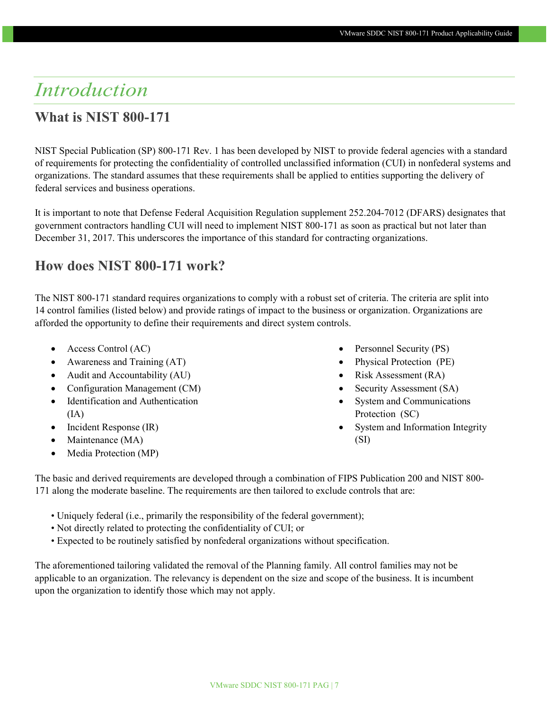# <span id="page-6-0"></span>*Introduction*

### **What is NIST 800-171**

NIST Special Publication (SP) 800-171 Rev. 1 has been developed by NIST to provide federal agencies with a standard of requirements for protecting the confidentiality of controlled unclassified information (CUI) in nonfederal systems and organizations. The standard assumes that these requirements shall be applied to entities supporting the delivery of federal services and business operations.

It is important to note that Defense Federal Acquisition Regulation supplement 252.204-7012 (DFARS) designates that government contractors handling CUI will need to implement NIST 800-171 as soon as practical but not later than December 31, 2017. This underscores the importance of this standard for contracting organizations.

### <span id="page-6-1"></span>**How does NIST 800-171 work?**

The NIST 800-171 standard requires organizations to comply with a robust set of criteria. The criteria are split into 14 control families (listed below) and provide ratings of impact to the business or organization. Organizations are afforded the opportunity to define their requirements and direct system controls.

- Access Control (AC)
- Awareness and Training (AT)
- Audit and Accountability (AU)
- Configuration Management (CM)
- Identification and Authentication  $(IA)$
- Incident Response (IR)
- Maintenance (MA)
- Media Protection (MP)
- Personnel Security (PS)
- Physical Protection (PE)
- Risk Assessment (RA)
- Security Assessment (SA)
- System and Communications Protection (SC)
- System and Information Integrity (SI)

The basic and derived requirements are developed through a combination of FIPS Publication 200 and NIST 800- 171 along the moderate baseline. The requirements are then tailored to exclude controls that are:

- Uniquely federal (i.e., primarily the responsibility of the federal government);
- Not directly related to protecting the confidentiality of CUI; or
- Expected to be routinely satisfied by nonfederal organizations without specification.

The aforementioned tailoring validated the removal of the Planning family. All control families may not be applicable to an organization. The relevancy is dependent on the size and scope of the business. It is incumbent upon the organization to identify those which may not apply.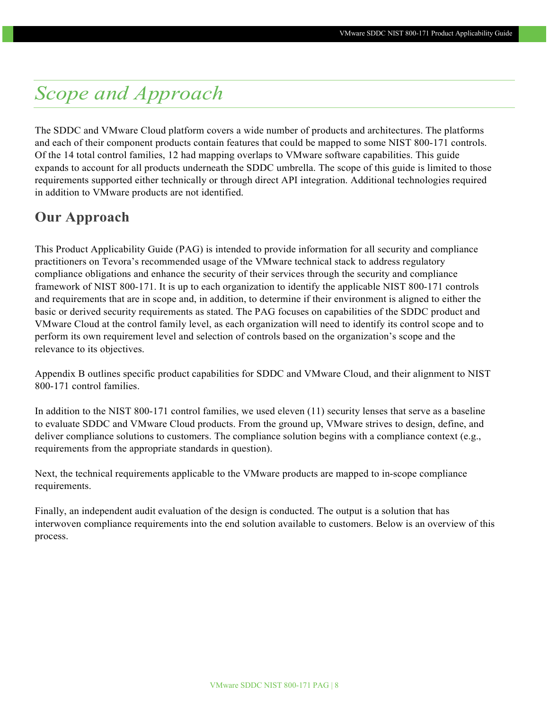# <span id="page-7-0"></span>*Scope and Approach*

The SDDC and VMware Cloud platform covers a wide number of products and architectures. The platforms and each of their component products contain features that could be mapped to some NIST 800-171 controls. Of the 14 total control families, 12 had mapping overlaps to VMware software capabilities. This guide expands to account for all products underneath the SDDC umbrella. The scope of this guide is limited to those requirements supported either technically or through direct API integration. Additional technologies required in addition to VMware products are not identified.

### <span id="page-7-1"></span>**Our Approach**

This Product Applicability Guide (PAG) is intended to provide information for all security and compliance practitioners on Tevora's recommended usage of the VMware technical stack to address regulatory compliance obligations and enhance the security of their services through the security and compliance framework of NIST 800-171. It is up to each organization to identify the applicable NIST 800-171 controls and requirements that are in scope and, in addition, to determine if their environment is aligned to either the basic or derived security requirements as stated. The PAG focuses on capabilities of the SDDC product and VMware Cloud at the control family level, as each organization will need to identify its control scope and to perform its own requirement level and selection of controls based on the organization's scope and the relevance to its objectives.

Appendix B outlines specific product capabilities for SDDC and VMware Cloud, and their alignment to NIST 800-171 control families.

In addition to the NIST 800-171 control families, we used eleven (11) security lenses that serve as a baseline to evaluate SDDC and VMware Cloud products. From the ground up, VMware strives to design, define, and deliver compliance solutions to customers. The compliance solution begins with a compliance context (e.g., requirements from the appropriate standards in question).

Next, the technical requirements applicable to the VMware products are mapped to in-scope compliance requirements.

Finally, an independent audit evaluation of the design is conducted. The output is a solution that has interwoven compliance requirements into the end solution available to customers. Below is an overview of this process.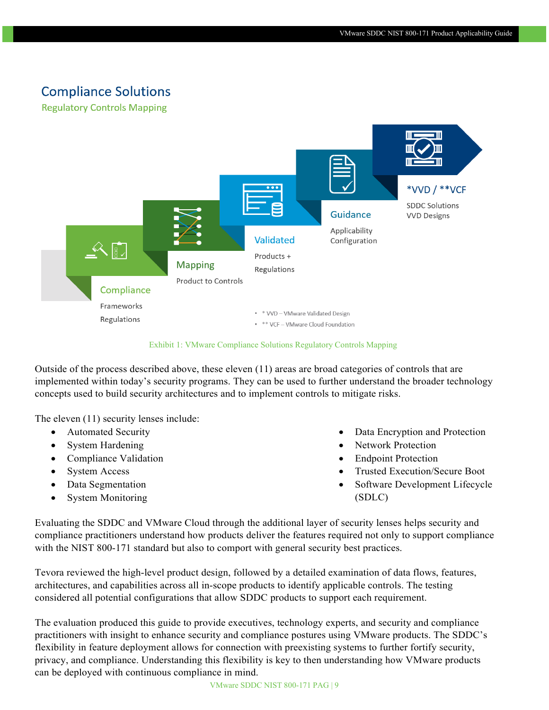### **Compliance Solutions**

**Regulatory Controls Mapping** 



Exhibit 1: VMware Compliance Solutions Regulatory Controls Mapping

Outside of the process described above, these eleven (11) areas are broad categories of controls that are implemented within today's security programs. They can be used to further understand the broader technology concepts used to build security architectures and to implement controls to mitigate risks.

The eleven (11) security lenses include:

- Automated Security
- System Hardening
- Compliance Validation
- System Access
- Data Segmentation
- System Monitoring
- Data Encryption and Protection
- Network Protection
- **Endpoint Protection**
- Trusted Execution/Secure Boot
- Software Development Lifecycle (SDLC)

Evaluating the SDDC and VMware Cloud through the additional layer of security lenses helps security and compliance practitioners understand how products deliver the features required not only to support compliance with the NIST 800-171 standard but also to comport with general security best practices.

Tevora reviewed the high-level product design, followed by a detailed examination of data flows, features, architectures, and capabilities across all in-scope products to identify applicable controls. The testing considered all potential configurations that allow SDDC products to support each requirement.

The evaluation produced this guide to provide executives, technology experts, and security and compliance practitioners with insight to enhance security and compliance postures using VMware products. The SDDC's flexibility in feature deployment allows for connection with preexisting systems to further fortify security, privacy, and compliance. Understanding this flexibility is key to then understanding how VMware products can be deployed with continuous compliance in mind.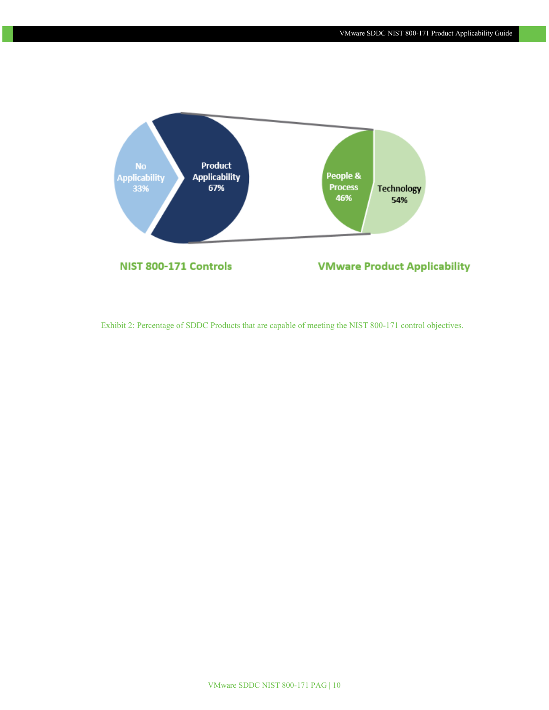

Exhibit 2: Percentage of SDDC Products that are capable of meeting the NIST 800-171 control objectives.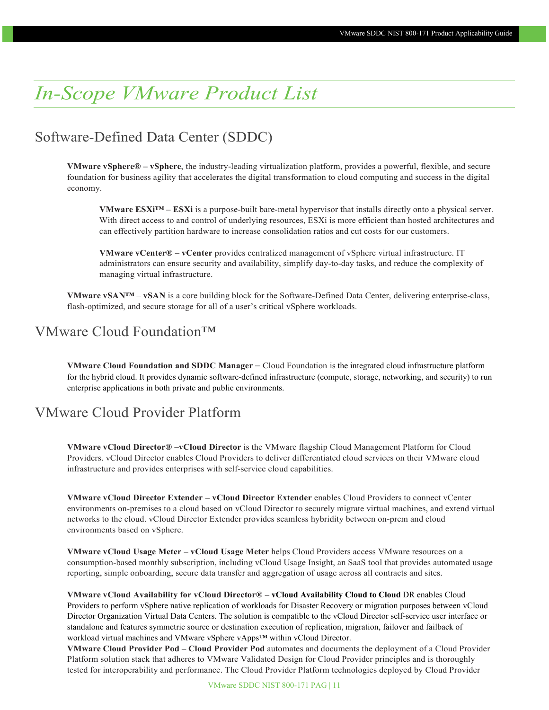# <span id="page-10-0"></span>*In-Scope VMware Product List*

### Software-Defined Data Center (SDDC)

**VMware vSphere® – vSphere**, the industry-leading virtualization platform, provides a powerful, flexible, and secure foundation for business agility that accelerates the digital transformation to cloud computing and success in the digital economy.

**VMware ESXi™ – ESXi** is a purpose-built bare-metal hypervisor that installs directly onto a physical server. With direct access to and control of underlying resources, ESXi is more efficient than hosted architectures and can effectively partition hardware to increase consolidation ratios and cut costs for our customers.

**VMware vCenter® – vCenter** provides centralized management of vSphere virtual infrastructure. IT administrators can ensure security and availability, simplify day-to-day tasks, and reduce the complexity of managing virtual infrastructure.

**VMware vSAN™** – **vSAN** is a core building block for the Software-Defined Data Center, delivering enterprise-class, flash-optimized, and secure storage for all of a user's critical vSphere workloads.

### VMware Cloud Foundation™

**VMware Cloud Foundation and SDDC Manager** – Cloud Foundation is the integrated cloud infrastructure platform for the hybrid cloud. It provides dynamic software-defined infrastructure (compute, storage, networking, and security) to run enterprise applications in both private and public environments.

### VMware Cloud Provider Platform

**VMware vCloud Director® –vCloud Director** is the VMware flagship Cloud Management Platform for Cloud Providers. vCloud Director enables Cloud Providers to deliver differentiated cloud services on their VMware cloud infrastructure and provides enterprises with self-service cloud capabilities.

**VMware vCloud Director Extender – vCloud Director Extender** enables Cloud Providers to connect vCenter environments on-premises to a cloud based on vCloud Director to securely migrate virtual machines, and extend virtual networks to the cloud. vCloud Director Extender provides seamless hybridity between on-prem and cloud environments based on vSphere.

**VMware vCloud Usage Meter – vCloud Usage Meter** helps Cloud Providers access VMware resources on a consumption-based monthly subscription, including vCloud Usage Insight, an SaaS tool that provides automated usage reporting, simple onboarding, secure data transfer and aggregation of usage across all contracts and sites.

**VMware vCloud Availability for vCloud Director® – vCloud Availability Cloud to Cloud** DR enables Cloud Providers to perform vSphere native replication of workloads for Disaster Recovery or migration purposes between vCloud Director Organization Virtual Data Centers. The solution is compatible to the vCloud Director self-service user interface or standalone and features symmetric source or destination execution of replication, migration, failover and failback of workload virtual machines and VMware vSphere vApps™ within vCloud Director.

**VMware Cloud Provider Pod – Cloud Provider Pod** automates and documents the deployment of a Cloud Provider Platform solution stack that adheres to VMware Validated Design for Cloud Provider principles and is thoroughly tested for interoperability and performance. The Cloud Provider Platform technologies deployed by Cloud Provider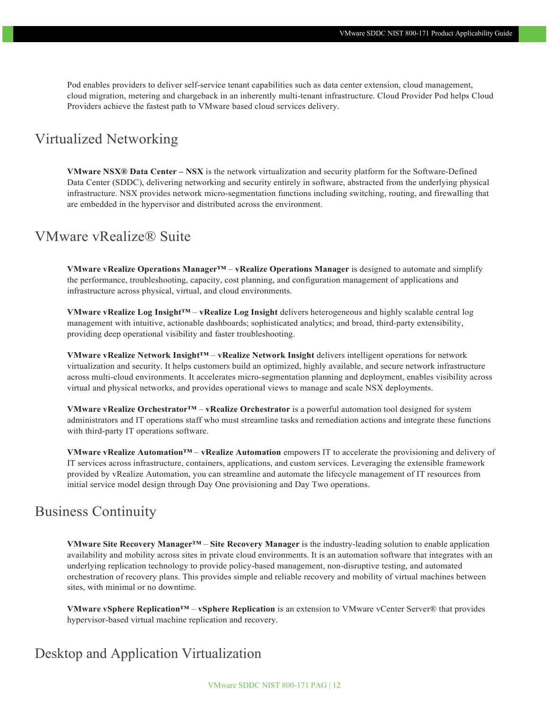Pod enables providers to deliver self-service tenant capabilities such as data center extension, cloud management, cloud migration, metering and chargeback in an inherently multi-tenant infrastructure. Cloud Provider Pod helps Cloud Providers achieve the fastest path to VMware based cloud services delivery.

### Virtualized Networking

**VMware NSX® Data Center – NSX** is the network virtualization and security platform for the Software-Defined Data Center (SDDC), delivering networking and security entirely in software, abstracted from the underlying physical infrastructure. NSX provides network micro-segmentation functions including switching, routing, and firewalling that are embedded in the hypervisor and distributed across the environment.

### VMware vRealize® Suite

**VMware vRealize Operations Manager™** – **vRealize Operations Manager** is designed to automate and simplify the performance, troubleshooting, capacity, cost planning, and configuration management of applications and infrastructure across physical, virtual, and cloud environments.

**VMware vRealize Log Insight™** – **vRealize Log Insight** delivers heterogeneous and highly scalable central log management with intuitive, actionable dashboards; sophisticated analytics; and broad, third-party extensibility, providing deep operational visibility and faster troubleshooting.

**VMware vRealize Network Insight™** – **vRealize Network Insight** delivers intelligent operations for network virtualization and security. It helps customers build an optimized, highly available, and secure network infrastructure across multi-cloud environments. It accelerates micro-segmentation planning and deployment, enables visibility across virtual and physical networks, and provides operational views to manage and scale NSX deployments.

**VMware vRealize Orchestrator™** – **vRealize Orchestrator** is a powerful automation tool designed for system administrators and IT operations staff who must streamline tasks and remediation actions and integrate these functions with third-party IT operations software.

**VMware vRealize Automation™** – **vRealize Automation** empowers IT to accelerate the provisioning and delivery of IT services across infrastructure, containers, applications, and custom services. Leveraging the extensible framework provided by vRealize Automation, you can streamline and automate the lifecycle management of IT resources from initial service model design through Day One provisioning and Day Two operations.

### Business Continuity

**VMware Site Recovery Manager™** – **Site Recovery Manager** is the industry-leading solution to enable application availability and mobility across sites in private cloud environments. It is an automation software that integrates with an underlying replication technology to provide policy-based management, non-disruptive testing, and automated orchestration of recovery plans. This provides simple and reliable recovery and mobility of virtual machines between sites, with minimal or no downtime.

**VMware vSphere Replication™** – **vSphere Replication** is an extension to VMware vCenter Server® that provides hypervisor-based virtual machine replication and recovery.

### Desktop and Application Virtualization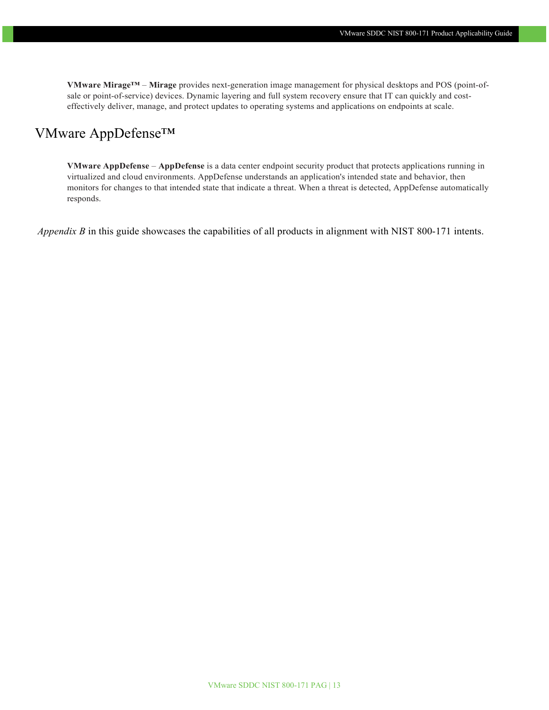**VMware Mirage™** – **Mirage** provides next-generation image management for physical desktops and POS (point-ofsale or point-of-service) devices. Dynamic layering and full system recovery ensure that IT can quickly and costeffectively deliver, manage, and protect updates to operating systems and applications on endpoints at scale.

#### VMware AppDefense™

**VMware AppDefense** – **AppDefense** is a data center endpoint security product that protects applications running in virtualized and cloud environments. AppDefense understands an application's intended state and behavior, then monitors for changes to that intended state that indicate a threat. When a threat is detected, AppDefense automatically responds.

*Appendix B* in this guide showcases the capabilities of all products in alignment with NIST 800-171 intents.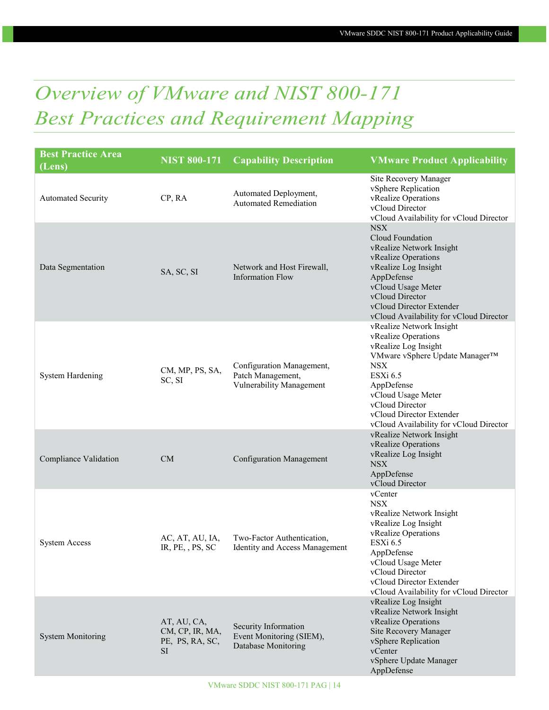# <span id="page-13-0"></span>*Overview of VMware and NIST 800-171 Best Practices and Requirement Mapping*

| <b>Best Practice Area</b><br>(Lens) | <b>NIST 800-171</b>                                            | <b>Capability Description</b>                                              | <b>VMware Product Applicability</b>                                                                                                                                                                                                                               |
|-------------------------------------|----------------------------------------------------------------|----------------------------------------------------------------------------|-------------------------------------------------------------------------------------------------------------------------------------------------------------------------------------------------------------------------------------------------------------------|
| <b>Automated Security</b>           | CP, RA                                                         | Automated Deployment,<br><b>Automated Remediation</b>                      | Site Recovery Manager<br>vSphere Replication<br>vRealize Operations<br>vCloud Director<br>vCloud Availability for vCloud Director                                                                                                                                 |
| Data Segmentation                   | SA, SC, SI                                                     | Network and Host Firewall,<br><b>Information Flow</b>                      | <b>NSX</b><br>Cloud Foundation<br>vRealize Network Insight<br>vRealize Operations<br>vRealize Log Insight<br>AppDefense<br>vCloud Usage Meter<br>vCloud Director<br>vCloud Director Extender<br>vCloud Availability for vCloud Director                           |
| <b>System Hardening</b>             | CM, MP, PS, SA,<br>SC, SI                                      | Configuration Management,<br>Patch Management,<br>Vulnerability Management | vRealize Network Insight<br>vRealize Operations<br>vRealize Log Insight<br>VMware vSphere Update Manager™<br><b>NSX</b><br>ESXi 6.5<br>AppDefense<br>vCloud Usage Meter<br>vCloud Director<br>vCloud Director Extender<br>vCloud Availability for vCloud Director |
| Compliance Validation               | CM                                                             | <b>Configuration Management</b>                                            | vRealize Network Insight<br>vRealize Operations<br>vRealize Log Insight<br><b>NSX</b><br>AppDefense<br>vCloud Director                                                                                                                                            |
| <b>System Access</b>                | AC, AT, AU, IA,<br>IR, PE, , PS, SC                            | Two-Factor Authentication,<br>Identity and Access Management               | vCenter<br><b>NSX</b><br>vRealize Network Insight<br>vRealize Log Insight<br>vRealize Operations<br>ESXi 6.5<br>AppDefense<br>vCloud Usage Meter<br>vCloud Director<br>vCloud Director Extender<br>vCloud Availability for vCloud Director                        |
| <b>System Monitoring</b>            | AT, AU, CA,<br>CM, CP, IR, MA,<br>PE, PS, RA, SC,<br><b>SI</b> | Security Information<br>Event Monitoring (SIEM),<br>Database Monitoring    | vRealize Log Insight<br>vRealize Network Insight<br>vRealize Operations<br>Site Recovery Manager<br>vSphere Replication<br>vCenter<br>vSphere Update Manager<br>AppDefense                                                                                        |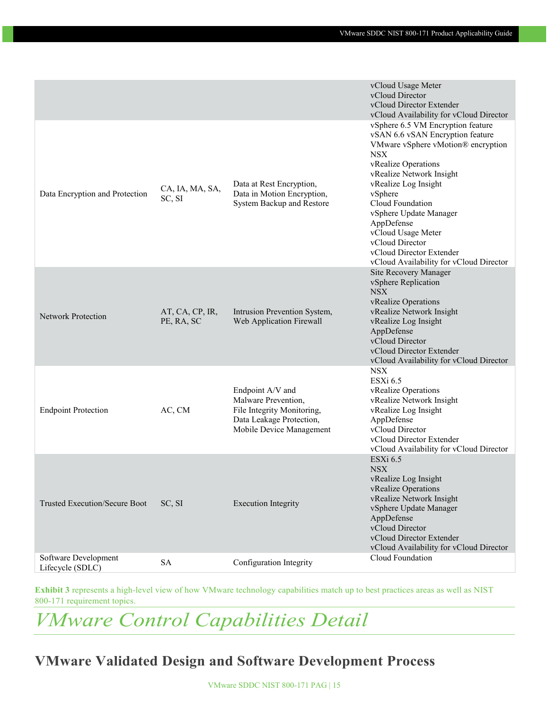|                                          |                               |                                                                                                                               | vCloud Usage Meter<br>vCloud Director<br>vCloud Director Extender<br>vCloud Availability for vCloud Director                                                                                                                                                                                                                                                                                |
|------------------------------------------|-------------------------------|-------------------------------------------------------------------------------------------------------------------------------|---------------------------------------------------------------------------------------------------------------------------------------------------------------------------------------------------------------------------------------------------------------------------------------------------------------------------------------------------------------------------------------------|
| Data Encryption and Protection           | CA, IA, MA, SA,<br>SC, SI     | Data at Rest Encryption,<br>Data in Motion Encryption,<br>System Backup and Restore                                           | vSphere 6.5 VM Encryption feature<br>vSAN 6.6 vSAN Encryption feature<br>VMware vSphere vMotion® encryption<br><b>NSX</b><br>vRealize Operations<br>vRealize Network Insight<br>vRealize Log Insight<br>vSphere<br>Cloud Foundation<br>vSphere Update Manager<br>AppDefense<br>vCloud Usage Meter<br>vCloud Director<br>vCloud Director Extender<br>vCloud Availability for vCloud Director |
| <b>Network Protection</b>                | AT, CA, CP, IR,<br>PE, RA, SC | Intrusion Prevention System,<br>Web Application Firewall                                                                      | Site Recovery Manager<br>vSphere Replication<br><b>NSX</b><br>vRealize Operations<br>vRealize Network Insight<br>vRealize Log Insight<br>AppDefense<br>vCloud Director<br>vCloud Director Extender<br>vCloud Availability for vCloud Director                                                                                                                                               |
| <b>Endpoint Protection</b>               | AC, CM                        | Endpoint A/V and<br>Malware Prevention,<br>File Integrity Monitoring,<br>Data Leakage Protection,<br>Mobile Device Management | <b>NSX</b><br>ESXi 6.5<br>vRealize Operations<br>vRealize Network Insight<br>vRealize Log Insight<br>AppDefense<br>vCloud Director<br>vCloud Director Extender<br>vCloud Availability for vCloud Director                                                                                                                                                                                   |
| Trusted Execution/Secure Boot            | SC, SI                        | <b>Execution Integrity</b>                                                                                                    | ESXi 6.5<br><b>NSX</b><br>vRealize Log Insight<br>vRealize Operations<br>vRealize Network Insight<br>vSphere Update Manager<br>AppDefense<br>vCloud Director<br>vCloud Director Extender<br>vCloud Availability for vCloud Director                                                                                                                                                         |
| Software Development<br>Lifecycle (SDLC) | <b>SA</b>                     | Configuration Integrity                                                                                                       | Cloud Foundation                                                                                                                                                                                                                                                                                                                                                                            |

**Exhibit 3** represents a high-level view of how VMware technology capabilities match up to best practices areas as well as NIST 800-171 requirement topics.

# <span id="page-14-0"></span>*VMware Control Capabilities Detail*

### **VMware Validated Design and Software Development Process**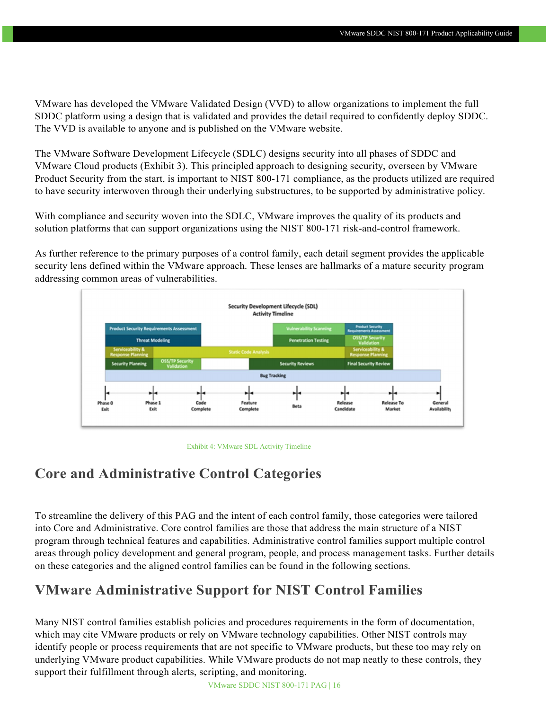VMware has developed the VMware Validated Design (VVD) to allow organizations to implement the full SDDC platform using a design that is validated and provides the detail required to confidently deploy SDDC. The VVD is available to anyone and is published on the VMware website.

The VMware Software Development Lifecycle (SDLC) designs security into all phases of SDDC and VMware Cloud products (Exhibit 3). This principled approach to designing security, overseen by VMware Product Security from the start, is important to NIST 800-171 compliance, as the products utilized are required to have security interwoven through their underlying substructures, to be supported by administrative policy.

With compliance and security woven into the SDLC, VMware improves the quality of its products and solution platforms that can support organizations using the NIST 800-171 risk-and-control framework.

As further reference to the primary purposes of a control family, each detail segment provides the applicable security lens defined within the VMware approach. These lenses are hallmarks of a mature security program addressing common areas of vulnerabilities.



Exhibit 4: VMware SDL Activity Timeline

### **Core and Administrative Control Categories**

To streamline the delivery of this PAG and the intent of each control family, those categories were tailored into Core and Administrative. Core control families are those that address the main structure of a NIST program through technical features and capabilities. Administrative control families support multiple control areas through policy development and general program, people, and process management tasks. Further details on these categories and the aligned control families can be found in the following sections.

### <span id="page-15-0"></span>**VMware Administrative Support for NIST Control Families**

Many NIST control families establish policies and procedures requirements in the form of documentation, which may cite VMware products or rely on VMware technology capabilities. Other NIST controls may identify people or process requirements that are not specific to VMware products, but these too may rely on underlying VMware product capabilities. While VMware products do not map neatly to these controls, they support their fulfillment through alerts, scripting, and monitoring.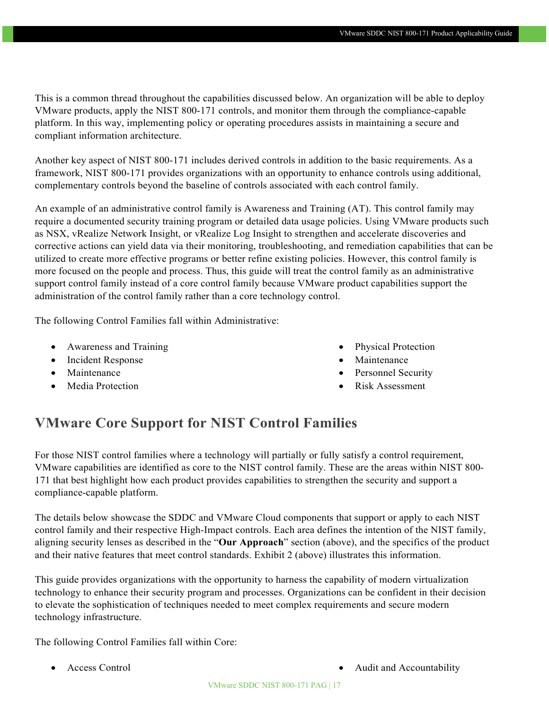This is a common thread throughout the capabilities discussed below. An organization will be able to deploy VMware products, apply the NIST 800-171 controls, and monitor them through the compliance-capable platform. In this way, implementing policy or operating procedures assists in maintaining a secure and compliant information architecture.

Another key aspect of NIST 800-171 includes derived controls in addition to the basic requirements. As a framework, NIST 800-171 provides organizations with an opportunity to enhance controls using additional, complementary controls beyond the baseline of controls associated with each control family.

An example of an administrative control family is Awareness and Training (AT). This control family may require a documented security training program or detailed data usage policies. Using VMware products such as NSX, vRealize Network Insight, or vRealize Log Insight to strengthen and accelerate discoveries and corrective actions can yield data via their monitoring, troubleshooting, and remediation capabilities that can be utilized to create more effective programs or better refine existing policies. However, this control family is more focused on the people and process. Thus, this guide will treat the control family as an administrative support control family instead of a core control family because VMware product capabilities support the administration of the control family rather than a core technology control.

The following Control Families fall within Administrative:

- Awareness and Training
- Incident Response
- Maintenance
- Media Protection
- Physical Protection
- Maintenance
- Personnel Security
- Risk Assessment

### <span id="page-16-0"></span>**VMware Core Support for NIST Control Families**

For those NIST control families where a technology will partially or fully satisfy a control requirement, VMware capabilities are identified as core to the NIST control family. These are the areas within NIST 800- 171 that best highlight how each product provides capabilities to strengthen the security and support a compliance-capable platform.

The details below showcase the SDDC and VMware Cloud components that support or apply to each NIST control family and their respective High-Impact controls. Each area defines the intention of the NIST family, aligning security lenses as described in the "**Our Approach**" section (above), and the specifics of the product and their native features that meet control standards. Exhibit 2 (above) illustrates this information.

This guide provides organizations with the opportunity to harness the capability of modern virtualization technology to enhance their security program and processes. Organizations can be confident in their decision to elevate the sophistication of techniques needed to meet complex requirements and secure modern technology infrastructure.

The following Control Families fall within Core:

- 
- Access Control Audit and Accountability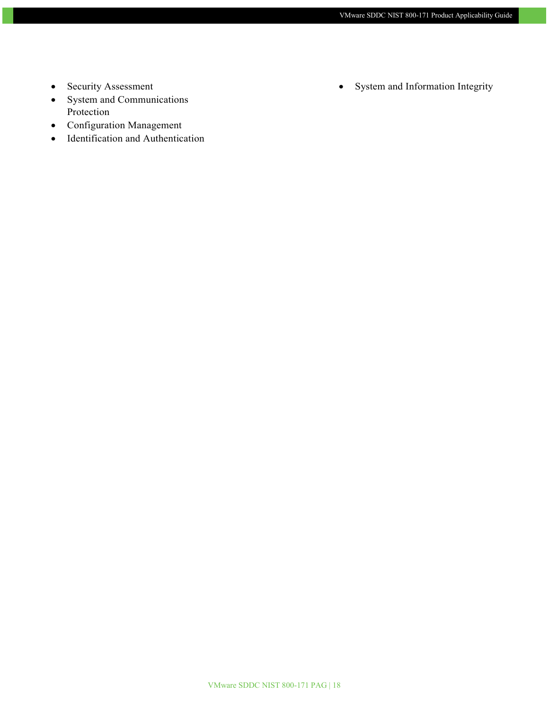- Security Assessment
- System and Communications Protection
- Configuration Management
- Identification and Authentication

• System and Information Integrity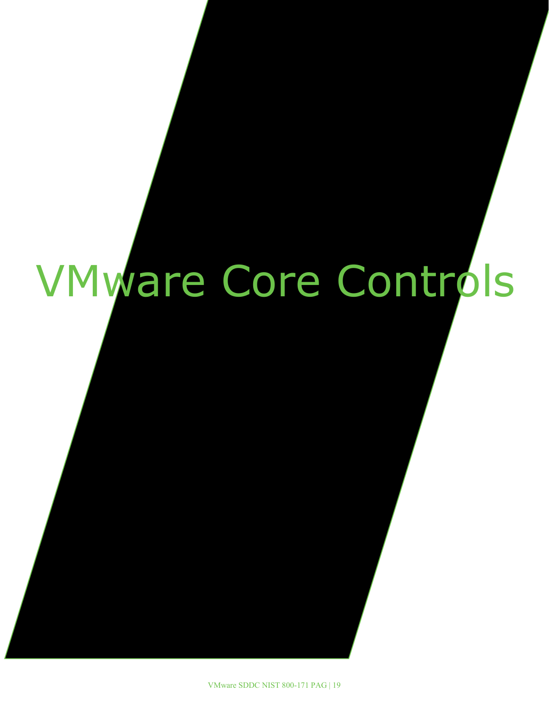# <span id="page-18-0"></span>VMware Core Controls

VMware SDDC NIST 800-171 PAG | 19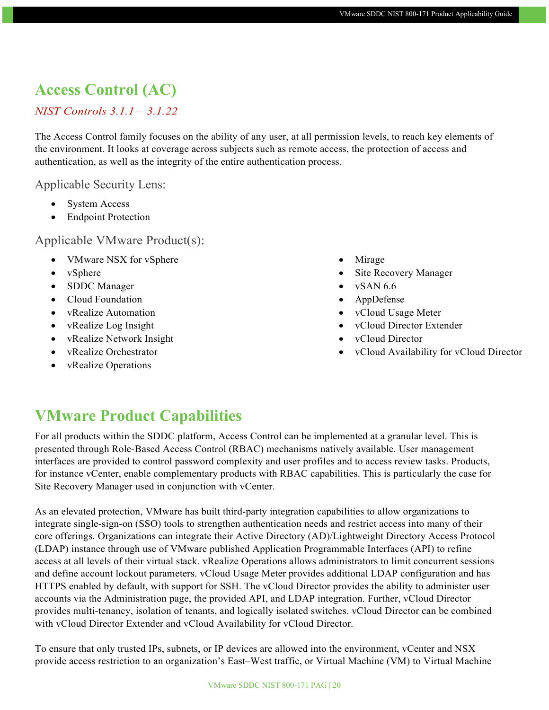### **Access Control (AC)**

#### *NIST Controls 3.1.1 – 3.1.22*

The Access Control family focuses on the ability of any user, at all permission levels, to reach key elements of the environment. It looks at coverage across subjects such as remote access, the protection of access and authentication, as well as the integrity of the entire authentication process.

#### Applicable Security Lens:

- System Access
- Endpoint Protection

### Applicable VMware Product(s):

- VMware NSX for vSphere
- vSphere
- SDDC Manager
- Cloud Foundation
- vRealize Automation
- vRealize Log Insight
- vRealize Network Insight
- vRealize Orchestrator
- vRealize Operations
- Mirage
- Site Recovery Manager
- $\bullet$  vSAN 6.6
- AppDefense
- vCloud Usage Meter
- vCloud Director Extender
- vCloud Director
- vCloud Availability for vCloud Director

### **VMware Product Capabilities**

For all products within the SDDC platform, Access Control can be implemented at a granular level. This is presented through Role-Based Access Control (RBAC) mechanisms natively available. User management interfaces are provided to control password complexity and user profiles and to access review tasks. Products, for instance vCenter, enable complementary products with RBAC capabilities. This is particularly the case for Site Recovery Manager used in conjunction with vCenter.

As an elevated protection, VMware has built third-party integration capabilities to allow organizations to integrate single-sign-on (SSO) tools to strengthen authentication needs and restrict access into many of their core offerings. Organizations can integrate their Active Directory (AD)/Lightweight Directory Access Protocol (LDAP) instance through use of VMware published Application Programmable Interfaces (API) to refine access at all levels of their virtual stack. vRealize Operations allows administrators to limit concurrent sessions and define account lockout parameters. vCloud Usage Meter provides additional LDAP configuration and has HTTPS enabled by default, with support for SSH. The vCloud Director provides the ability to administer user accounts via the Administration page, the provided API, and LDAP integration. Further, vCloud Director provides multi-tenancy, isolation of tenants, and logically isolated switches. vCloud Director can be combined with vCloud Director Extender and vCloud Availability for vCloud Director.

To ensure that only trusted IPs, subnets, or IP devices are allowed into the environment, vCenter and NSX provide access restriction to an organization's East–West traffic, or Virtual Machine (VM) to Virtual Machine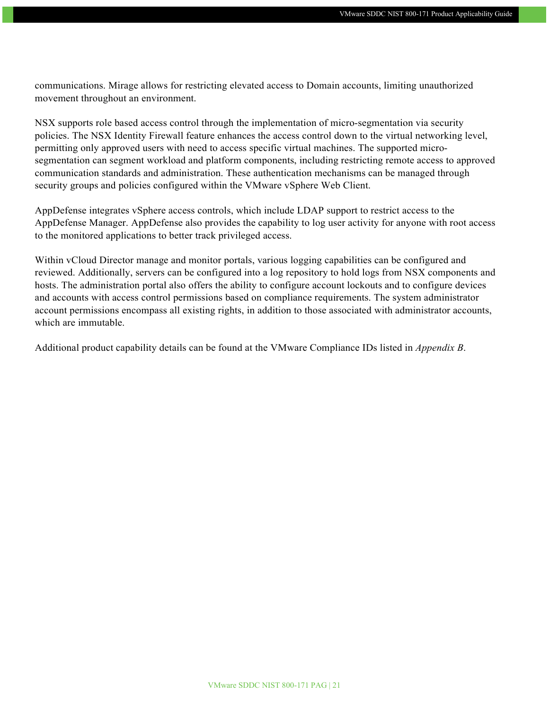communications. Mirage allows for restricting elevated access to Domain accounts, limiting unauthorized movement throughout an environment.

NSX supports role based access control through the implementation of micro-segmentation via security policies. The NSX Identity Firewall feature enhances the access control down to the virtual networking level, permitting only approved users with need to access specific virtual machines. The supported microsegmentation can segment workload and platform components, including restricting remote access to approved communication standards and administration. These authentication mechanisms can be managed through security groups and policies configured within the VMware vSphere Web Client.

AppDefense integrates vSphere access controls, which include LDAP support to restrict access to the AppDefense Manager. AppDefense also provides the capability to log user activity for anyone with root access to the monitored applications to better track privileged access.

Within vCloud Director manage and monitor portals, various logging capabilities can be configured and reviewed. Additionally, servers can be configured into a log repository to hold logs from NSX components and hosts. The administration portal also offers the ability to configure account lockouts and to configure devices and accounts with access control permissions based on compliance requirements. The system administrator account permissions encompass all existing rights, in addition to those associated with administrator accounts, which are immutable.

Additional product capability details can be found at the VMware Compliance IDs listed in *Appendix B*.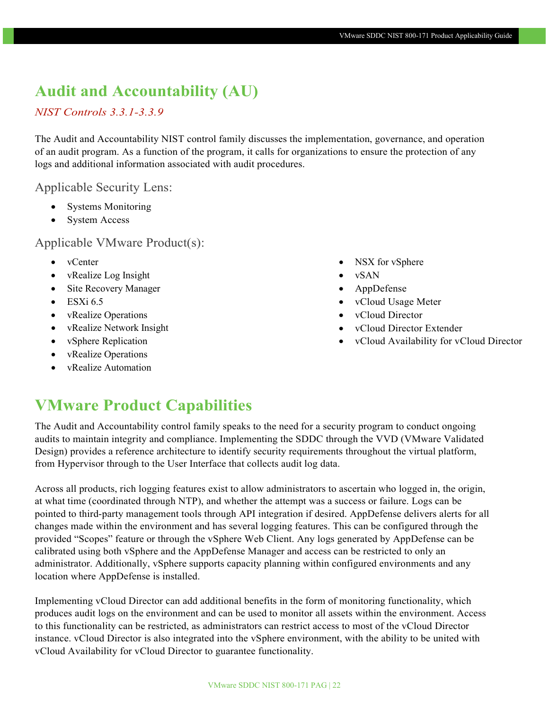### **Audit and Accountability (AU)**

#### *NIST Controls 3.3.1-3.3.9*

The Audit and Accountability NIST control family discusses the implementation, governance, and operation of an audit program. As a function of the program, it calls for organizations to ensure the protection of any logs and additional information associated with audit procedures.

#### Applicable Security Lens:

- Systems Monitoring
- System Access

Applicable VMware Product(s):

- vCenter
- vRealize Log Insight
- Site Recovery Manager
- $\bullet$  ESXi 6.5
- vRealize Operations
- vRealize Network Insight
- vSphere Replication
- vRealize Operations
- vRealize Automation
- NSX for vSphere
- vSAN
- AppDefense
- vCloud Usage Meter
- vCloud Director
- vCloud Director Extender
- vCloud Availability for vCloud Director

### **VMware Product Capabilities**

The Audit and Accountability control family speaks to the need for a security program to conduct ongoing audits to maintain integrity and compliance. Implementing the SDDC through the VVD (VMware Validated Design) provides a reference architecture to identify security requirements throughout the virtual platform, from Hypervisor through to the User Interface that collects audit log data.

Across all products, rich logging features exist to allow administrators to ascertain who logged in, the origin, at what time (coordinated through NTP), and whether the attempt was a success or failure. Logs can be pointed to third-party management tools through API integration if desired. AppDefense delivers alerts for all changes made within the environment and has several logging features. This can be configured through the provided "Scopes" feature or through the vSphere Web Client. Any logs generated by AppDefense can be calibrated using both vSphere and the AppDefense Manager and access can be restricted to only an administrator. Additionally, vSphere supports capacity planning within configured environments and any location where AppDefense is installed.

Implementing vCloud Director can add additional benefits in the form of monitoring functionality, which produces audit logs on the environment and can be used to monitor all assets within the environment. Access to this functionality can be restricted, as administrators can restrict access to most of the vCloud Director instance. vCloud Director is also integrated into the vSphere environment, with the ability to be united with vCloud Availability for vCloud Director to guarantee functionality.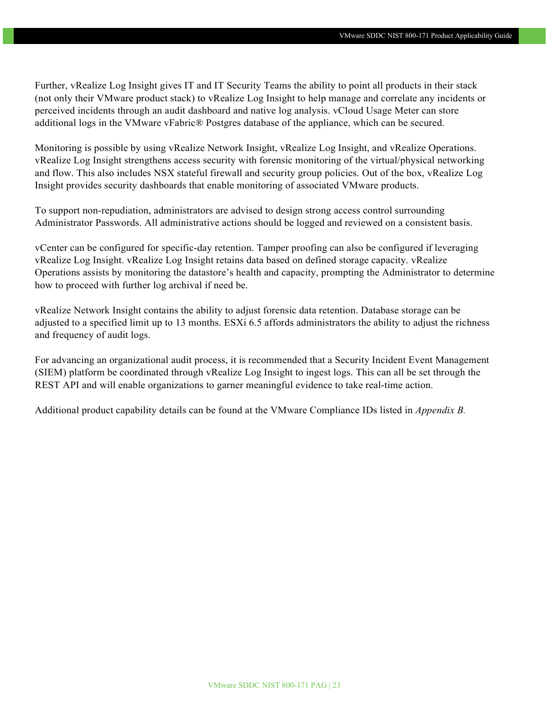Further, vRealize Log Insight gives IT and IT Security Teams the ability to point all products in their stack (not only their VMware product stack) to vRealize Log Insight to help manage and correlate any incidents or perceived incidents through an audit dashboard and native log analysis. vCloud Usage Meter can store additional logs in the VMware vFabric® Postgres database of the appliance, which can be secured.

Monitoring is possible by using vRealize Network Insight, vRealize Log Insight, and vRealize Operations. vRealize Log Insight strengthens access security with forensic monitoring of the virtual/physical networking and flow. This also includes NSX stateful firewall and security group policies. Out of the box, vRealize Log Insight provides security dashboards that enable monitoring of associated VMware products.

To support non-repudiation, administrators are advised to design strong access control surrounding Administrator Passwords. All administrative actions should be logged and reviewed on a consistent basis.

vCenter can be configured for specific-day retention. Tamper proofing can also be configured if leveraging vRealize Log Insight. vRealize Log Insight retains data based on defined storage capacity. vRealize Operations assists by monitoring the datastore's health and capacity, prompting the Administrator to determine how to proceed with further log archival if need be.

vRealize Network Insight contains the ability to adjust forensic data retention. Database storage can be adjusted to a specified limit up to 13 months. ESXi 6.5 affords administrators the ability to adjust the richness and frequency of audit logs.

For advancing an organizational audit process, it is recommended that a Security Incident Event Management (SIEM) platform be coordinated through vRealize Log Insight to ingest logs. This can all be set through the REST API and will enable organizations to garner meaningful evidence to take real-time action.

Additional product capability details can be found at the VMware Compliance IDs listed in *Appendix B.*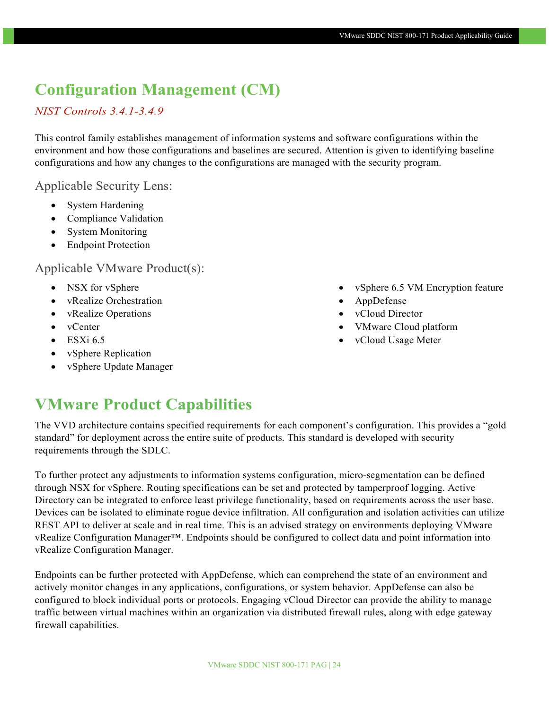### **Configuration Management (CM)**

#### *NIST Controls 3.4.1-3.4.9*

This control family establishes management of information systems and software configurations within the environment and how those configurations and baselines are secured. Attention is given to identifying baseline configurations and how any changes to the configurations are managed with the security program.

#### Applicable Security Lens:

- System Hardening
- Compliance Validation
- System Monitoring
- Endpoint Protection

### Applicable VMware Product(s):

- NSX for vSphere
- vRealize Orchestration
- vRealize Operations
- vCenter
- ESXi 6.5
- vSphere Replication
- vSphere Update Manager
- vSphere 6.5 VM Encryption feature
- AppDefense
- vCloud Director
- VMware Cloud platform
- vCloud Usage Meter

### **VMware Product Capabilities**

The VVD architecture contains specified requirements for each component's configuration. This provides a "gold standard" for deployment across the entire suite of products. This standard is developed with security requirements through the SDLC.

To further protect any adjustments to information systems configuration, micro-segmentation can be defined through NSX for vSphere. Routing specifications can be set and protected by tamperproof logging. Active Directory can be integrated to enforce least privilege functionality, based on requirements across the user base. Devices can be isolated to eliminate rogue device infiltration. All configuration and isolation activities can utilize REST API to deliver at scale and in real time. This is an advised strategy on environments deploying VMware vRealize Configuration Manager™. Endpoints should be configured to collect data and point information into vRealize Configuration Manager.

Endpoints can be further protected with AppDefense, which can comprehend the state of an environment and actively monitor changes in any applications, configurations, or system behavior. AppDefense can also be configured to block individual ports or protocols. Engaging vCloud Director can provide the ability to manage traffic between virtual machines within an organization via distributed firewall rules, along with edge gateway firewall capabilities.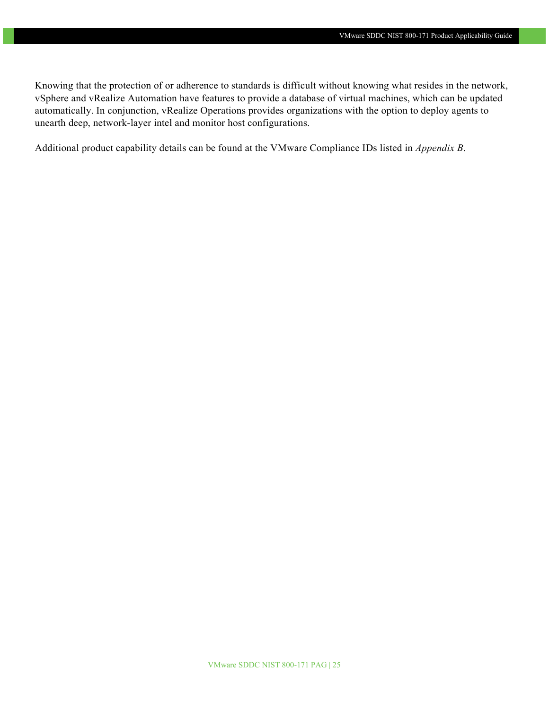Knowing that the protection of or adherence to standards is difficult without knowing what resides in the network, vSphere and vRealize Automation have features to provide a database of virtual machines, which can be updated automatically. In conjunction, vRealize Operations provides organizations with the option to deploy agents to unearth deep, network-layer intel and monitor host configurations.

Additional product capability details can be found at the VMware Compliance IDs listed in *Appendix B*.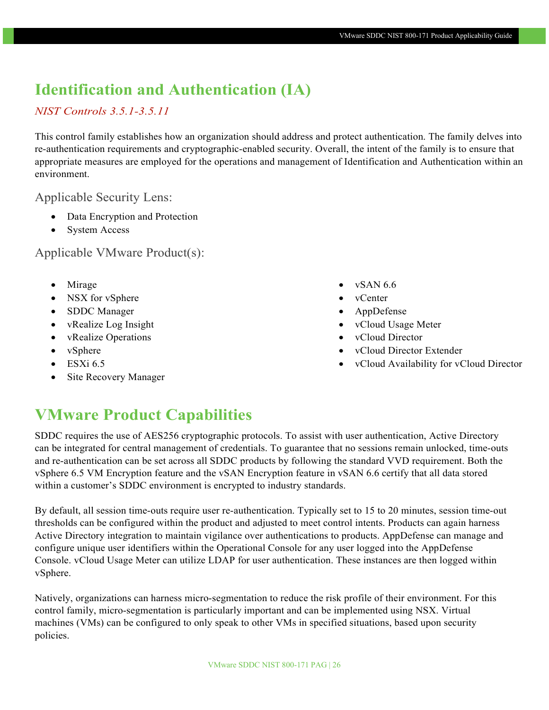### **Identification and Authentication (IA)**

### *NIST Controls 3.5.1-3.5.11*

This control family establishes how an organization should address and protect authentication. The family delves into re-authentication requirements and cryptographic-enabled security. Overall, the intent of the family is to ensure that appropriate measures are employed for the operations and management of Identification and Authentication within an environment.

#### Applicable Security Lens:

- Data Encryption and Protection
- System Access

### Applicable VMware Product(s):

- Mirage
- NSX for vSphere
- SDDC Manager
- vRealize Log Insight
- vRealize Operations
- vSphere
- $\bullet$  ESXi 6.5
- Site Recovery Manager
- vSAN 6.6
- vCenter
- AppDefense
- vCloud Usage Meter
- vCloud Director
- vCloud Director Extender
- vCloud Availability for vCloud Director

### **VMware Product Capabilities**

SDDC requires the use of AES256 cryptographic protocols. To assist with user authentication, Active Directory can be integrated for central management of credentials. To guarantee that no sessions remain unlocked, time-outs and re-authentication can be set across all SDDC products by following the standard VVD requirement. Both the vSphere 6.5 VM Encryption feature and the vSAN Encryption feature in vSAN 6.6 certify that all data stored within a customer's SDDC environment is encrypted to industry standards.

By default, all session time-outs require user re-authentication. Typically set to 15 to 20 minutes, session time-out thresholds can be configured within the product and adjusted to meet control intents. Products can again harness Active Directory integration to maintain vigilance over authentications to products. AppDefense can manage and configure unique user identifiers within the Operational Console for any user logged into the AppDefense Console. vCloud Usage Meter can utilize LDAP for user authentication. These instances are then logged within vSphere.

Natively, organizations can harness micro-segmentation to reduce the risk profile of their environment. For this control family, micro-segmentation is particularly important and can be implemented using NSX. Virtual machines (VMs) can be configured to only speak to other VMs in specified situations, based upon security policies.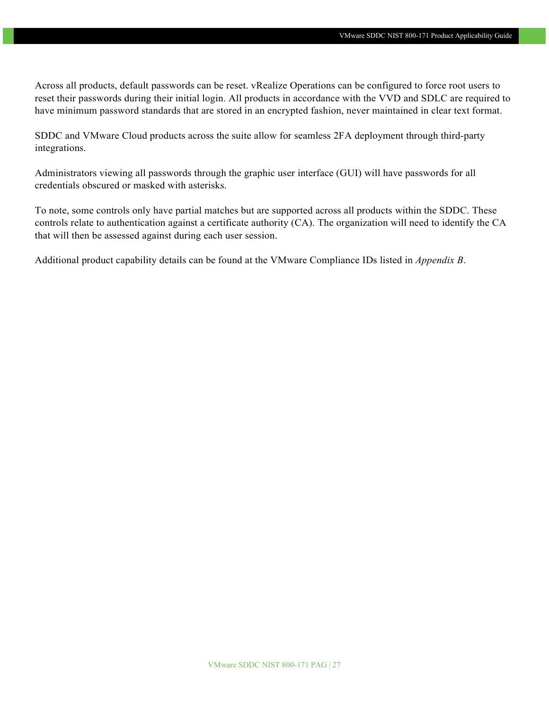Across all products, default passwords can be reset. vRealize Operations can be configured to force root users to reset their passwords during their initial login. All products in accordance with the VVD and SDLC are required to have minimum password standards that are stored in an encrypted fashion, never maintained in clear text format.

SDDC and VMware Cloud products across the suite allow for seamless 2FA deployment through third-party integrations.

Administrators viewing all passwords through the graphic user interface (GUI) will have passwords for all credentials obscured or masked with asterisks.

To note, some controls only have partial matches but are supported across all products within the SDDC. These controls relate to authentication against a certificate authority (CA). The organization will need to identify the CA that will then be assessed against during each user session.

Additional product capability details can be found at the VMware Compliance IDs listed in *Appendix B*.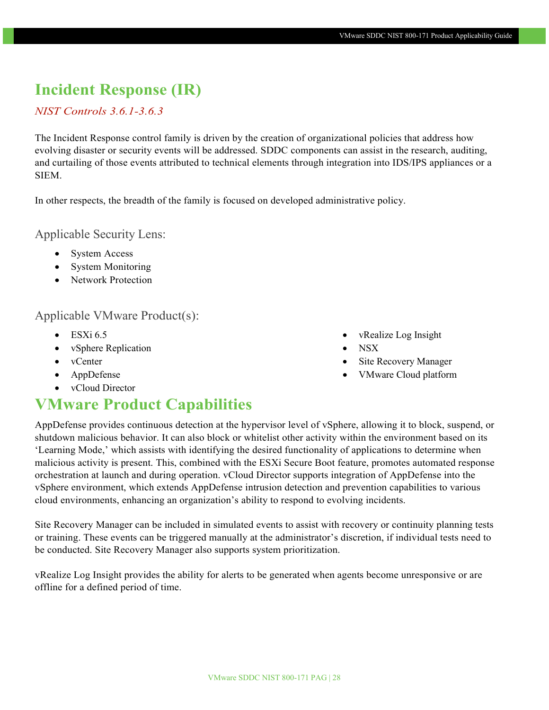### **Incident Response (IR)**

#### *NIST Controls 3.6.1-3.6.3*

The Incident Response control family is driven by the creation of organizational policies that address how evolving disaster or security events will be addressed. SDDC components can assist in the research, auditing, and curtailing of those events attributed to technical elements through integration into IDS/IPS appliances or a SIEM.

In other respects, the breadth of the family is focused on developed administrative policy.

Applicable Security Lens:

- System Access
- System Monitoring
- Network Protection

#### Applicable VMware Product(s):

- $\bullet$  ESXi 6.5
- vSphere Replication
- vCenter
- AppDefense
- vCloud Director

### **VMware Product Capabilities**

AppDefense provides continuous detection at the hypervisor level of vSphere, allowing it to block, suspend, or shutdown malicious behavior. It can also block or whitelist other activity within the environment based on its 'Learning Mode,' which assists with identifying the desired functionality of applications to determine when malicious activity is present. This, combined with the ESXi Secure Boot feature, promotes automated response orchestration at launch and during operation. vCloud Director supports integration of AppDefense into the vSphere environment, which extends AppDefense intrusion detection and prevention capabilities to various cloud environments, enhancing an organization's ability to respond to evolving incidents.

Site Recovery Manager can be included in simulated events to assist with recovery or continuity planning tests or training. These events can be triggered manually at the administrator's discretion, if individual tests need to be conducted. Site Recovery Manager also supports system prioritization.

vRealize Log Insight provides the ability for alerts to be generated when agents become unresponsive or are offline for a defined period of time.

- vRealize Log Insight
- NSX
- Site Recovery Manager
- VMware Cloud platform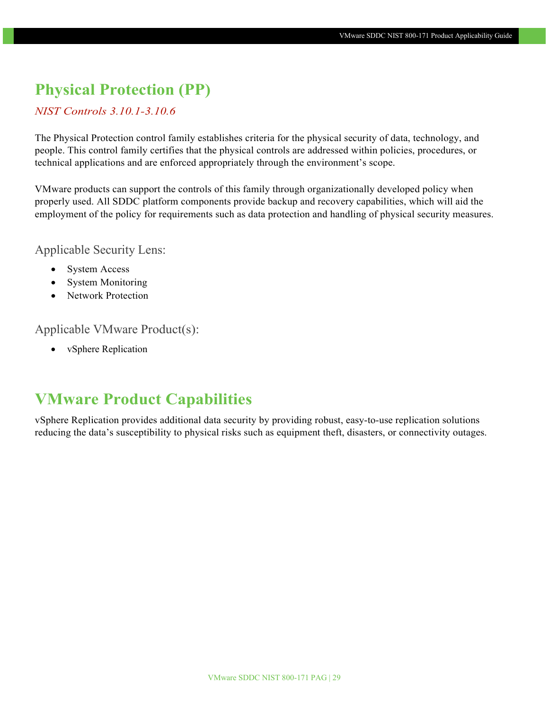### **Physical Protection (PP)**

*NIST Controls 3.10.1-3.10.6*

The Physical Protection control family establishes criteria for the physical security of data, technology, and people. This control family certifies that the physical controls are addressed within policies, procedures, or technical applications and are enforced appropriately through the environment's scope.

VMware products can support the controls of this family through organizationally developed policy when properly used. All SDDC platform components provide backup and recovery capabilities, which will aid the employment of the policy for requirements such as data protection and handling of physical security measures.

Applicable Security Lens:

- System Access
- System Monitoring
- Network Protection

Applicable VMware Product(s):

• vSphere Replication

### **VMware Product Capabilities**

vSphere Replication provides additional data security by providing robust, easy-to-use replication solutions reducing the data's susceptibility to physical risks such as equipment theft, disasters, or connectivity outages.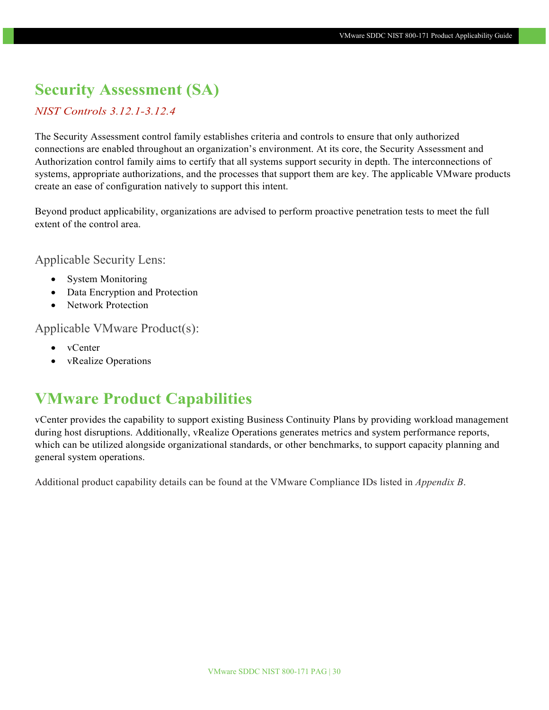### **Security Assessment (SA)**

#### *NIST Controls 3.12.1-3.12.4*

The Security Assessment control family establishes criteria and controls to ensure that only authorized connections are enabled throughout an organization's environment. At its core, the Security Assessment and Authorization control family aims to certify that all systems support security in depth. The interconnections of systems, appropriate authorizations, and the processes that support them are key. The applicable VMware products create an ease of configuration natively to support this intent.

Beyond product applicability, organizations are advised to perform proactive penetration tests to meet the full extent of the control area.

#### Applicable Security Lens:

- System Monitoring
- Data Encryption and Protection
- Network Protection

#### Applicable VMware Product(s):

- vCenter
- vRealize Operations

### **VMware Product Capabilities**

vCenter provides the capability to support existing Business Continuity Plans by providing workload management during host disruptions. Additionally, vRealize Operations generates metrics and system performance reports, which can be utilized alongside organizational standards, or other benchmarks, to support capacity planning and general system operations.

Additional product capability details can be found at the VMware Compliance IDs listed in *Appendix B*.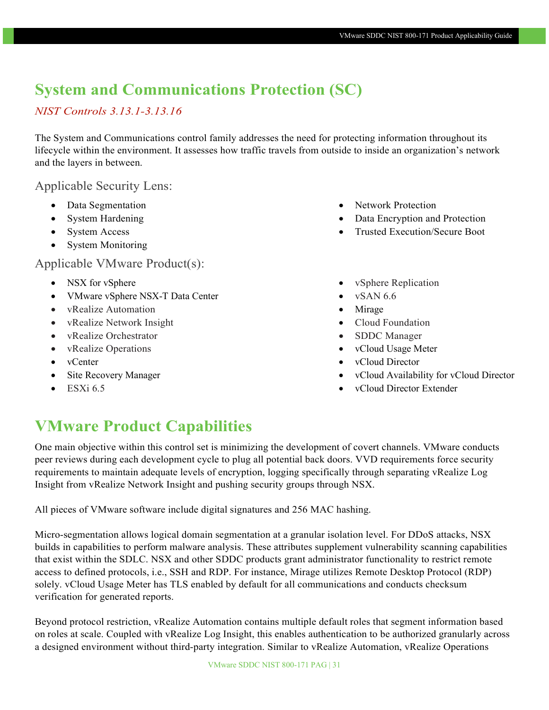### **System and Communications Protection (SC)**

### *NIST Controls 3.13.1-3.13.16*

The System and Communications control family addresses the need for protecting information throughout its lifecycle within the environment. It assesses how traffic travels from outside to inside an organization's network and the layers in between.

### Applicable Security Lens:

- Data Segmentation
- System Hardening
- System Access
- System Monitoring

#### Applicable VMware Product(s):

- NSX for vSphere
- VMware vSphere NSX-T Data Center
- vRealize Automation
- vRealize Network Insight
- vRealize Orchestrator
- vRealize Operations
- vCenter
- Site Recovery Manager
- $\bullet$  ESXi 6.5
- Network Protection
- Data Encryption and Protection
- Trusted Execution/Secure Boot
- vSphere Replication
- vSAN 6.6
- Mirage
- Cloud Foundation
- SDDC Manager
- vCloud Usage Meter
- vCloud Director
- vCloud Availability for vCloud Director
- vCloud Director Extender

### **VMware Product Capabilities**

One main objective within this control set is minimizing the development of covert channels. VMware conducts peer reviews during each development cycle to plug all potential back doors. VVD requirements force security requirements to maintain adequate levels of encryption, logging specifically through separating vRealize Log Insight from vRealize Network Insight and pushing security groups through NSX.

All pieces of VMware software include digital signatures and 256 MAC hashing.

Micro-segmentation allows logical domain segmentation at a granular isolation level. For DDoS attacks, NSX builds in capabilities to perform malware analysis. These attributes supplement vulnerability scanning capabilities that exist within the SDLC. NSX and other SDDC products grant administrator functionality to restrict remote access to defined protocols, i.e., SSH and RDP. For instance, Mirage utilizes Remote Desktop Protocol (RDP) solely. vCloud Usage Meter has TLS enabled by default for all communications and conducts checksum verification for generated reports.

Beyond protocol restriction, vRealize Automation contains multiple default roles that segment information based on roles at scale. Coupled with vRealize Log Insight, this enables authentication to be authorized granularly across a designed environment without third-party integration. Similar to vRealize Automation, vRealize Operations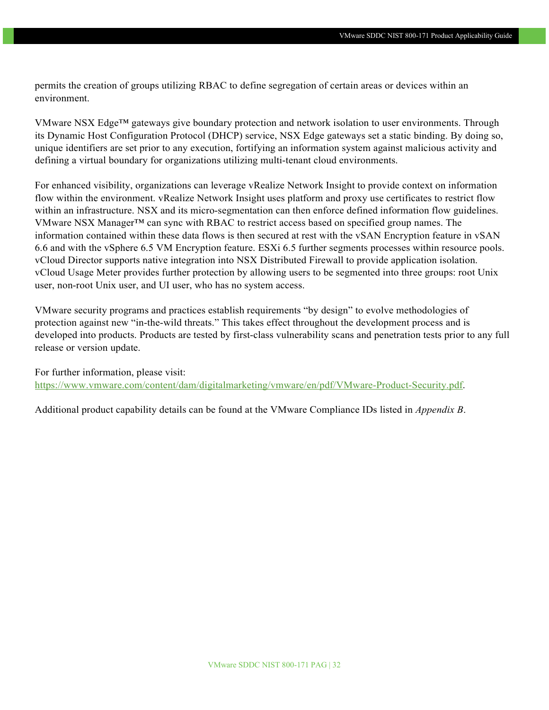permits the creation of groups utilizing RBAC to define segregation of certain areas or devices within an environment.

VMware NSX Edge™ gateways give boundary protection and network isolation to user environments. Through its Dynamic Host Configuration Protocol (DHCP) service, NSX Edge gateways set a static binding. By doing so, unique identifiers are set prior to any execution, fortifying an information system against malicious activity and defining a virtual boundary for organizations utilizing multi-tenant cloud environments.

For enhanced visibility, organizations can leverage vRealize Network Insight to provide context on information flow within the environment. vRealize Network Insight uses platform and proxy use certificates to restrict flow within an infrastructure. NSX and its micro-segmentation can then enforce defined information flow guidelines. VMware NSX Manager<sup>TM</sup> can sync with RBAC to restrict access based on specified group names. The information contained within these data flows is then secured at rest with the vSAN Encryption feature in vSAN 6.6 and with the vSphere 6.5 VM Encryption feature. ESXi 6.5 further segments processes within resource pools. vCloud Director supports native integration into NSX Distributed Firewall to provide application isolation. vCloud Usage Meter provides further protection by allowing users to be segmented into three groups: root Unix user, non-root Unix user, and UI user, who has no system access.

VMware security programs and practices establish requirements "by design" to evolve methodologies of protection against new "in-the-wild threats." This takes effect throughout the development process and is developed into products. Products are tested by first-class vulnerability scans and penetration tests prior to any full release or version update.

For further information, please visit: [https://www.vmware.com/content/dam/digitalmarketing/vmware/en/pdf/VMware-Product-Security.pdf.](https://www.vmware.com/content/dam/digitalmarketing/vmware/en/pdf/VMware-Product-Security.pdf)

Additional product capability details can be found at the VMware Compliance IDs listed in *Appendix B*.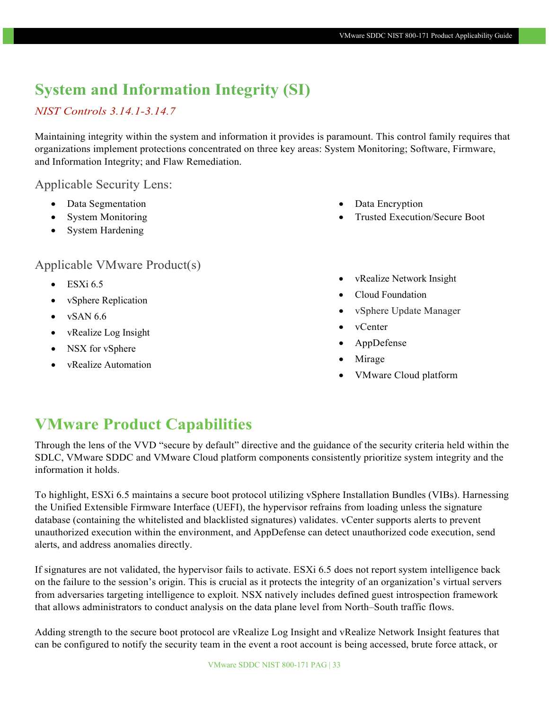### **System and Information Integrity (SI)**

### *NIST Controls 3.14.1-3.14.7*

Maintaining integrity within the system and information it provides is paramount. This control family requires that organizations implement protections concentrated on three key areas: System Monitoring; Software, Firmware, and Information Integrity; and Flaw Remediation.

#### Applicable Security Lens:

- Data Segmentation
- System Monitoring
- System Hardening

### Applicable VMware Product(s)

- $\bullet$  ESXi 6.5
- vSphere Replication
- $\bullet$  vSAN 6.6
- vRealize Log Insight
- NSX for vSphere
- vRealize Automation
- Data Encryption
- Trusted Execution/Secure Boot
- vRealize Network Insight
- Cloud Foundation
- vSphere Update Manager
- vCenter
- AppDefense
- Mirage
- VMware Cloud platform

### **VMware Product Capabilities**

Through the lens of the VVD "secure by default" directive and the guidance of the security criteria held within the SDLC, VMware SDDC and VMware Cloud platform components consistently prioritize system integrity and the information it holds.

To highlight, ESXi 6.5 maintains a secure boot protocol utilizing vSphere Installation Bundles (VIBs). Harnessing the Unified Extensible Firmware Interface (UEFI), the hypervisor refrains from loading unless the signature database (containing the whitelisted and blacklisted signatures) validates. vCenter supports alerts to prevent unauthorized execution within the environment, and AppDefense can detect unauthorized code execution, send alerts, and address anomalies directly.

If signatures are not validated, the hypervisor fails to activate. ESXi 6.5 does not report system intelligence back on the failure to the session's origin. This is crucial as it protects the integrity of an organization's virtual servers from adversaries targeting intelligence to exploit. NSX natively includes defined guest introspection framework that allows administrators to conduct analysis on the data plane level from North–South traffic flows.

Adding strength to the secure boot protocol are vRealize Log Insight and vRealize Network Insight features that can be configured to notify the security team in the event a root account is being accessed, brute force attack, or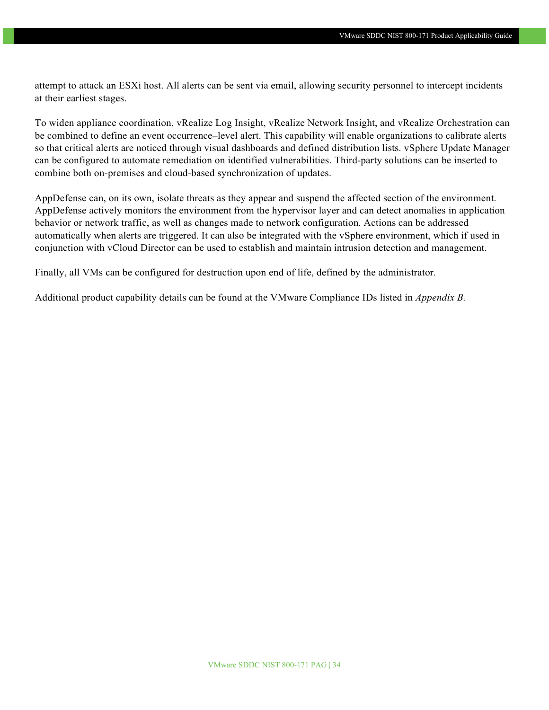attempt to attack an ESXi host. All alerts can be sent via email, allowing security personnel to intercept incidents at their earliest stages.

To widen appliance coordination, vRealize Log Insight, vRealize Network Insight, and vRealize Orchestration can be combined to define an event occurrence–level alert. This capability will enable organizations to calibrate alerts so that critical alerts are noticed through visual dashboards and defined distribution lists. vSphere Update Manager can be configured to automate remediation on identified vulnerabilities. Third-party solutions can be inserted to combine both on-premises and cloud-based synchronization of updates.

AppDefense can, on its own, isolate threats as they appear and suspend the affected section of the environment. AppDefense actively monitors the environment from the hypervisor layer and can detect anomalies in application behavior or network traffic, as well as changes made to network configuration. Actions can be addressed automatically when alerts are triggered. It can also be integrated with the vSphere environment, which if used in conjunction with vCloud Director can be used to establish and maintain intrusion detection and management.

Finally, all VMs can be configured for destruction upon end of life, defined by the administrator.

Additional product capability details can be found at the VMware Compliance IDs listed in *Appendix B.*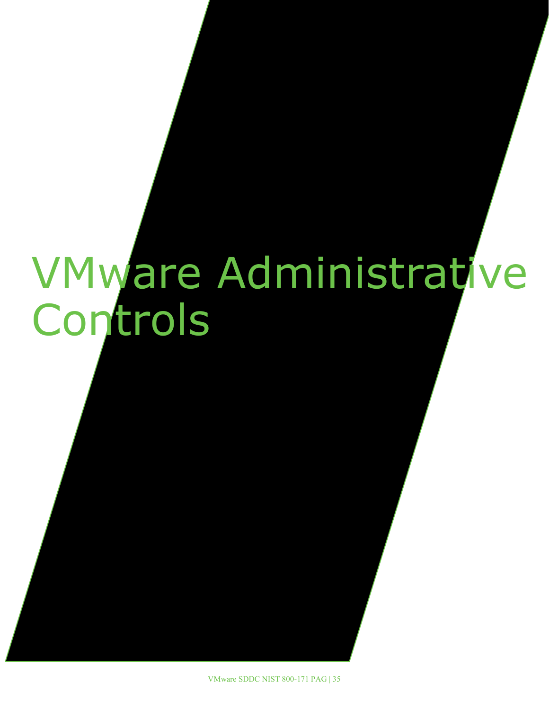# <span id="page-34-0"></span>VMware Administrative Controls

VMware SDDC NIST 800-171 PAG | 35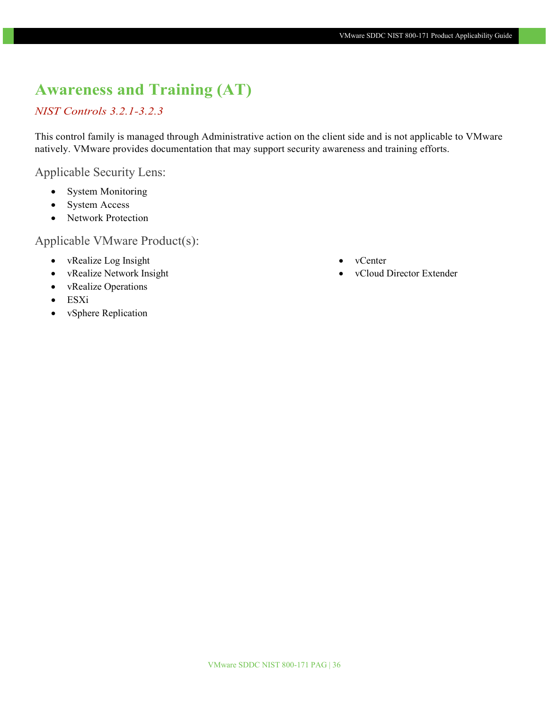### **Awareness and Training (AT)**

#### *NIST Controls 3.2.1-3.2.3*

This control family is managed through Administrative action on the client side and is not applicable to VMware natively. VMware provides documentation that may support security awareness and training efforts.

Applicable Security Lens:

- System Monitoring
- System Access
- Network Protection

- vRealize Log Insight
- vRealize Network Insight
- vRealize Operations
- ESXi
- vSphere Replication
- vCenter
- vCloud Director Extender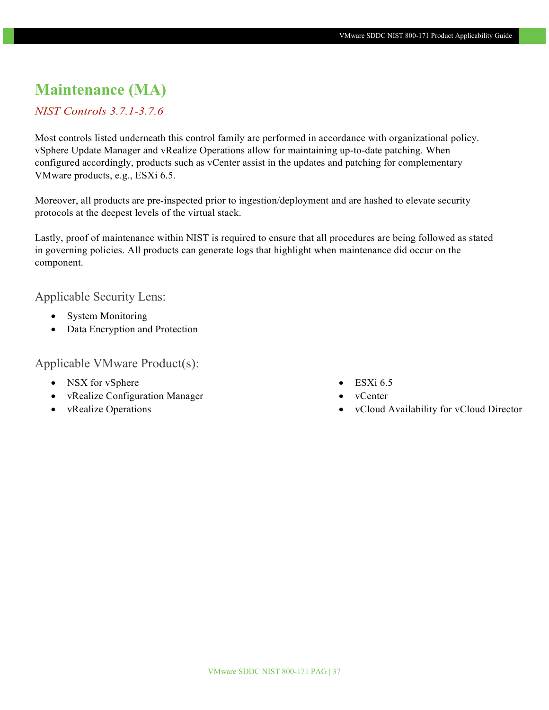### **Maintenance (MA)**

#### *NIST Controls 3.7.1-3.7.6*

Most controls listed underneath this control family are performed in accordance with organizational policy. vSphere Update Manager and vRealize Operations allow for maintaining up-to-date patching. When configured accordingly, products such as vCenter assist in the updates and patching for complementary VMware products, e.g., ESXi 6.5.

Moreover, all products are pre-inspected prior to ingestion/deployment and are hashed to elevate security protocols at the deepest levels of the virtual stack.

Lastly, proof of maintenance within NIST is required to ensure that all procedures are being followed as stated in governing policies. All products can generate logs that highlight when maintenance did occur on the component.

Applicable Security Lens:

- System Monitoring
- Data Encryption and Protection

- NSX for vSphere
- vRealize Configuration Manager
- vRealize Operations
- $\bullet$  ESXi 6.5
- vCenter
- vCloud Availability for vCloud Director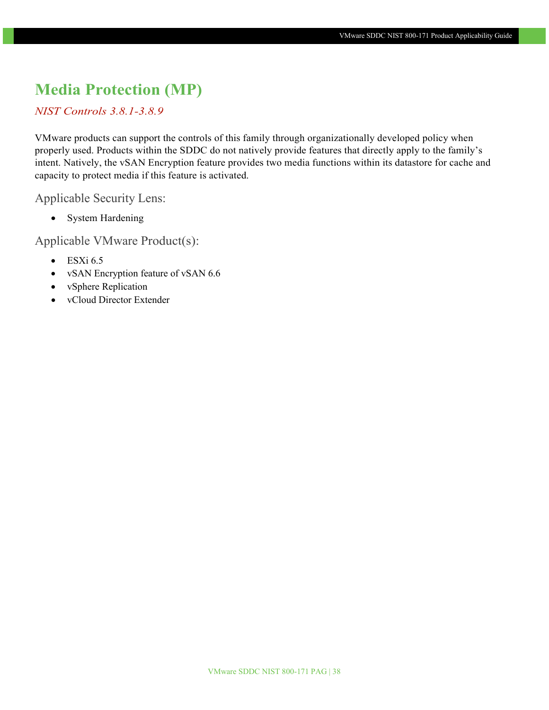### **Media Protection (MP)**

#### *NIST Controls 3.8.1-3.8.9*

VMware products can support the controls of this family through organizationally developed policy when properly used. Products within the SDDC do not natively provide features that directly apply to the family's intent. Natively, the vSAN Encryption feature provides two media functions within its datastore for cache and capacity to protect media if this feature is activated.

Applicable Security Lens:

• System Hardening

- $\bullet$  ESXi 6.5
- vSAN Encryption feature of vSAN 6.6
- vSphere Replication
- vCloud Director Extender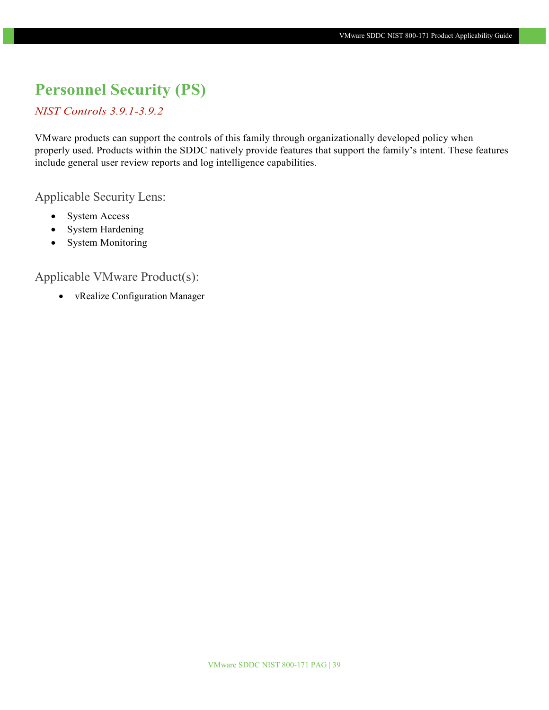### **Personnel Security (PS)**

#### *NIST Controls 3.9.1-3.9.2*

VMware products can support the controls of this family through organizationally developed policy when properly used. Products within the SDDC natively provide features that support the family's intent. These features include general user review reports and log intelligence capabilities.

Applicable Security Lens:

- System Access
- System Hardening
- System Monitoring

### Applicable VMware Product(s):

• vRealize Configuration Manager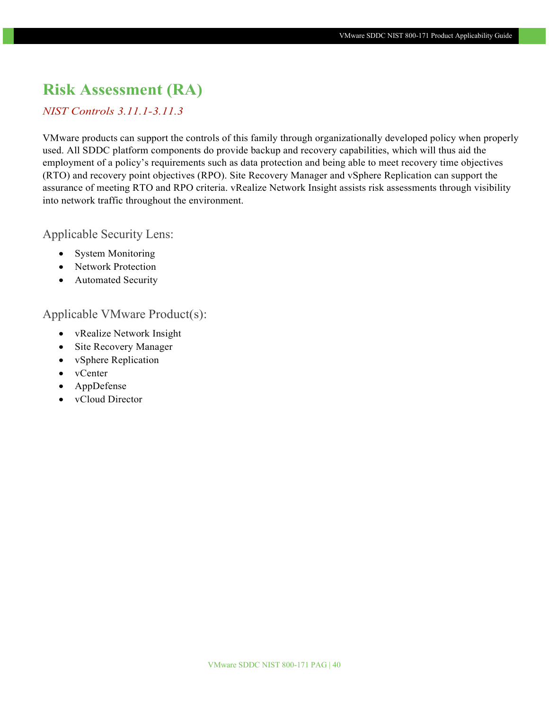### **Risk Assessment (RA)**

#### *NIST Controls 3.11.1-3.11.3*

VMware products can support the controls of this family through organizationally developed policy when properly used. All SDDC platform components do provide backup and recovery capabilities, which will thus aid the employment of a policy's requirements such as data protection and being able to meet recovery time objectives (RTO) and recovery point objectives (RPO). Site Recovery Manager and vSphere Replication can support the assurance of meeting RTO and RPO criteria. vRealize Network Insight assists risk assessments through visibility into network traffic throughout the environment.

Applicable Security Lens:

- System Monitoring
- Network Protection
- Automated Security

- vRealize Network Insight
- Site Recovery Manager
- vSphere Replication
- vCenter
- AppDefense
- vCloud Director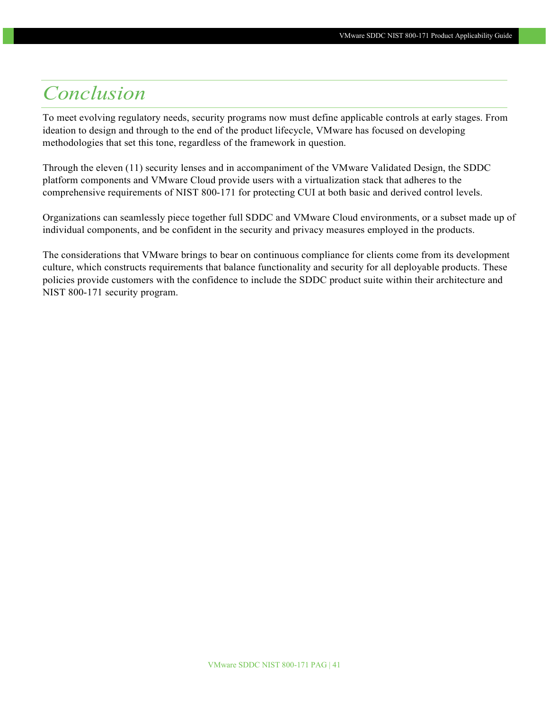# <span id="page-40-0"></span>*Conclusion*

To meet evolving regulatory needs, security programs now must define applicable controls at early stages. From ideation to design and through to the end of the product lifecycle, VMware has focused on developing methodologies that set this tone, regardless of the framework in question.

Through the eleven (11) security lenses and in accompaniment of the VMware Validated Design, the SDDC platform components and VMware Cloud provide users with a virtualization stack that adheres to the comprehensive requirements of NIST 800-171 for protecting CUI at both basic and derived control levels.

Organizations can seamlessly piece together full SDDC and VMware Cloud environments, or a subset made up of individual components, and be confident in the security and privacy measures employed in the products.

The considerations that VMware brings to bear on continuous compliance for clients come from its development culture, which constructs requirements that balance functionality and security for all deployable products. These policies provide customers with the confidence to include the SDDC product suite within their architecture and NIST 800-171 security program.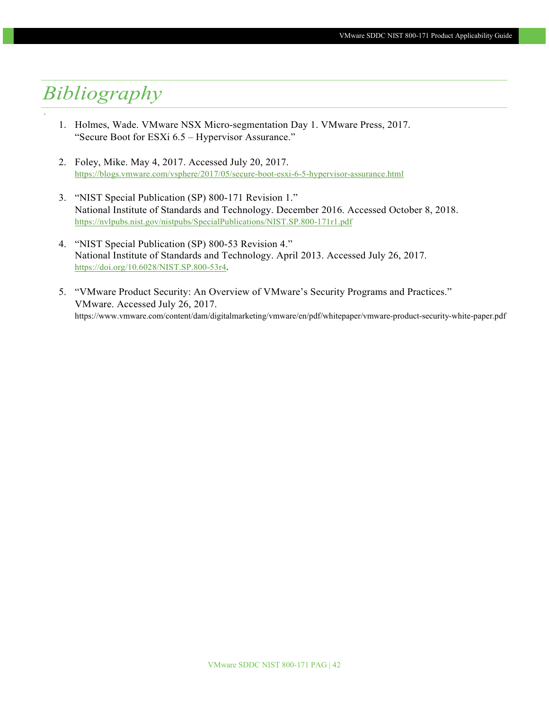# <span id="page-41-0"></span>*Bibliography*

'

- 1. Holmes, Wade. VMware NSX Micro-segmentation Day 1. VMware Press, 2017. "Secure Boot for ESXi 6.5 – Hypervisor Assurance."
- 2. Foley, Mike. May 4, 2017. Accessed July 20, 2017. <https://blogs.vmware.com/vsphere/2017/05/secure-boot-esxi-6-5-hypervisor-assurance.html>
- 3. "NIST Special Publication (SP) 800-171 Revision 1." National Institute of Standards and Technology. December 2016. Accessed October 8, 2018. <https://nvlpubs.nist.gov/nistpubs/SpecialPublications/NIST.SP.800-171r1.pdf>
- 4. "NIST Special Publication (SP) 800-53 Revision 4." National Institute of Standards and Technology. April 2013. Accessed July 26, 2017. [https://doi.org/10.6028/NIST.SP.800-53r4.](https://doi.org/10.6028/NIST.SP.800-53r4)
- 5. "VMware Product Security: An Overview of VMware's Security Programs and Practices." VMware. Accessed July 26, 2017. https://www.vmware.com/content/dam/digitalmarketing/vmware/en/pdf/whitepaper/vmware-product-security-white-paper.pdf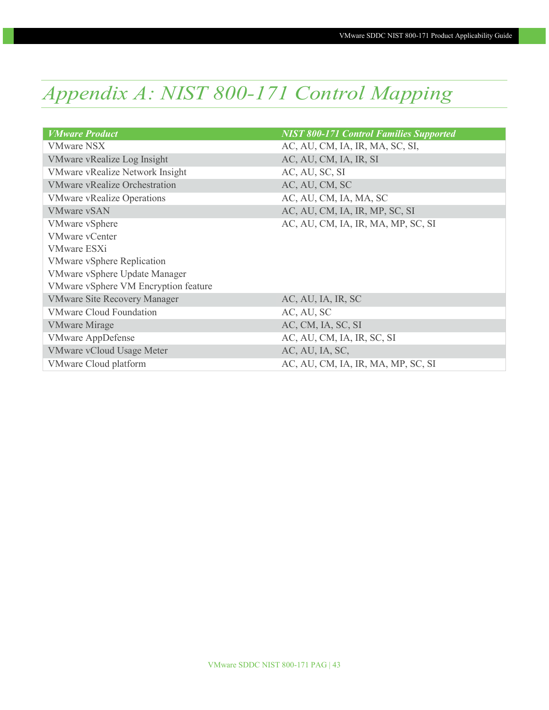# <span id="page-42-0"></span>*Appendix A: NIST 800-171 Control Mapping*

| <b>VMware Product</b>                  | <b>NIST 800-171 Control Families Supported</b> |
|----------------------------------------|------------------------------------------------|
| <b>VMware NSX</b>                      | AC, AU, CM, IA, IR, MA, SC, SI,                |
| VMware vRealize Log Insight            | AC, AU, CM, IA, IR, SI                         |
| <b>VMware vRealize Network Insight</b> | AC, AU, SC, SI                                 |
| <b>VMware vRealize Orchestration</b>   | AC, AU, CM, SC                                 |
| <b>VMware vRealize Operations</b>      | AC, AU, CM, IA, MA, SC                         |
| <b>VMware vSAN</b>                     | AC, AU, CM, IA, IR, MP, SC, SI                 |
| <b>VMware vSphere</b>                  | AC, AU, CM, IA, IR, MA, MP, SC, SI             |
| <b>VMware vCenter</b>                  |                                                |
| <b>VMware ESXi</b>                     |                                                |
| <b>VMware vSphere Replication</b>      |                                                |
| VMware vSphere Update Manager          |                                                |
| VMware vSphere VM Encryption feature   |                                                |
| <b>VMware Site Recovery Manager</b>    | AC, AU, IA, IR, SC                             |
| <b>VMware Cloud Foundation</b>         | AC, AU, SC                                     |
| <b>VMware Mirage</b>                   | AC, CM, IA, SC, SI                             |
| <b>VMware AppDefense</b>               | AC, AU, CM, IA, IR, SC, SI                     |
| <b>VMware vCloud Usage Meter</b>       | AC, AU, IA, SC,                                |
| VMware Cloud platform                  | AC, AU, CM, IA, IR, MA, MP, SC, SI             |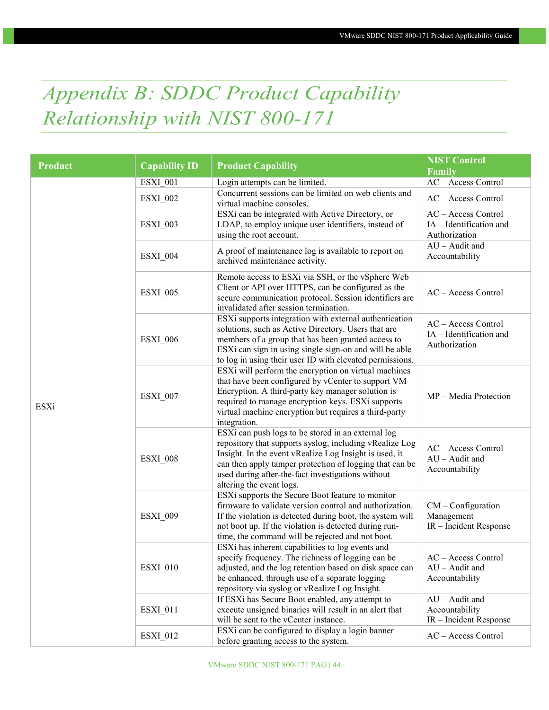# <span id="page-43-0"></span>*Appendix B: SDDC Product Capability Relationship with NIST 800-171*

| <b>Product</b> | <b>Capability ID</b> | <b>Product Capability</b>                                                                                                                                                                                                                                                                                           | <b>NIST Control</b><br>Family                                   |
|----------------|----------------------|---------------------------------------------------------------------------------------------------------------------------------------------------------------------------------------------------------------------------------------------------------------------------------------------------------------------|-----------------------------------------------------------------|
|                | ESXI 001             | Login attempts can be limited.                                                                                                                                                                                                                                                                                      | AC - Access Control                                             |
|                | <b>ESXI_002</b>      | Concurrent sessions can be limited on web clients and<br>virtual machine consoles.                                                                                                                                                                                                                                  | AC - Access Control                                             |
|                | <b>ESXI_003</b>      | ESXi can be integrated with Active Directory, or<br>LDAP, to employ unique user identifiers, instead of<br>using the root account.                                                                                                                                                                                  | AC - Access Control<br>IA - Identification and<br>Authorization |
|                | <b>ESXI_004</b>      | A proof of maintenance log is available to report on<br>archived maintenance activity.                                                                                                                                                                                                                              | $AU - A$ udit and<br>Accountability                             |
|                | ESXI_005             | Remote access to ESXi via SSH, or the vSphere Web<br>Client or API over HTTPS, can be configured as the<br>secure communication protocol. Session identifiers are<br>invalidated after session termination.                                                                                                         | AC - Access Control                                             |
| ESXi           | <b>ESXI_006</b>      | ESXi supports integration with external authentication<br>solutions, such as Active Directory. Users that are<br>members of a group that has been granted access to<br>ESXi can sign in using single sign-on and will be able<br>to log in using their user ID with elevated permissions.                           | AC - Access Control<br>IA - Identification and<br>Authorization |
|                | ESXI 007             | ESXi will perform the encryption on virtual machines<br>that have been configured by vCenter to support VM<br>Encryption. A third-party key manager solution is<br>required to manage encryption keys. ESXi supports<br>virtual machine encryption but requires a third-party<br>integration.                       | MP - Media Protection                                           |
|                | ESXI_008             | ESXi can push logs to be stored in an external log<br>repository that supports syslog, including vRealize Log<br>Insight. In the event vRealize Log Insight is used, it<br>can then apply tamper protection of logging that can be<br>used during after-the-fact investigations without<br>altering the event logs. | AC - Access Control<br>$AU - A$ udit and<br>Accountability      |
|                | <b>ESXI 009</b>      | ESXi supports the Secure Boot feature to monitor<br>firmware to validate version control and authorization.<br>If the violation is detected during boot, the system will<br>not boot up. If the violation is detected during run-<br>time, the command will be rejected and not boot.                               | $CM$ – Configuration<br>Management<br>IR - Incident Response    |
|                | <b>ESXI_010</b>      | ESXi has inherent capabilities to log events and<br>specify frequency. The richness of logging can be<br>adjusted, and the log retention based on disk space can<br>be enhanced, through use of a separate logging<br>repository via syslog or vRealize Log Insight.                                                | $AC - Access Control$<br>$AU -$ Audit and<br>Accountability     |
|                | <b>ESXI_011</b>      | If ESXi has Secure Boot enabled, any attempt to<br>execute unsigned binaries will result in an alert that<br>will be sent to the vCenter instance.                                                                                                                                                                  | $AU - A$ udit and<br>Accountability<br>IR - Incident Response   |
|                | <b>ESXI_012</b>      | ESXi can be configured to display a login banner<br>before granting access to the system.                                                                                                                                                                                                                           | $AC - Access Control$                                           |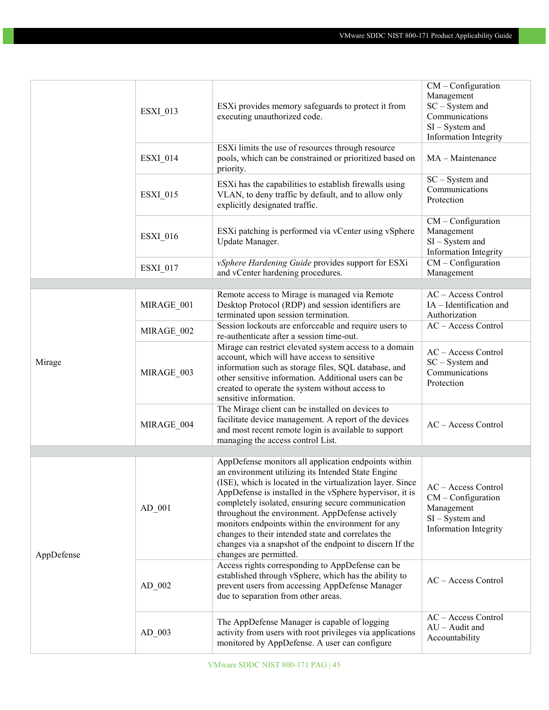|            | ESXI_013        | ESXi provides memory safeguards to protect it from<br>executing unauthorized code.                                                                                                                                                                                                                                                                                                                                                                                                     | $CM$ – Configuration<br>Management<br>SC - System and<br>Communications<br>$SI - System$ and<br>Information Integrity |
|------------|-----------------|----------------------------------------------------------------------------------------------------------------------------------------------------------------------------------------------------------------------------------------------------------------------------------------------------------------------------------------------------------------------------------------------------------------------------------------------------------------------------------------|-----------------------------------------------------------------------------------------------------------------------|
|            | <b>ESXI_014</b> | ESXi limits the use of resources through resource<br>pools, which can be constrained or prioritized based on<br>priority.                                                                                                                                                                                                                                                                                                                                                              | MA - Maintenance                                                                                                      |
|            | <b>ESXI_015</b> | ESXi has the capabilities to establish firewalls using<br>VLAN, to deny traffic by default, and to allow only<br>explicitly designated traffic.                                                                                                                                                                                                                                                                                                                                        | $SC - System$ and<br>Communications<br>Protection                                                                     |
|            | <b>ESXI_016</b> | ESXi patching is performed via vCenter using vSphere<br>Update Manager.                                                                                                                                                                                                                                                                                                                                                                                                                | $CM$ – Configuration<br>Management<br>$SI - System$ and<br>Information Integrity                                      |
|            | <b>ESXI_017</b> | vSphere Hardening Guide provides support for ESXi<br>and vCenter hardening procedures.                                                                                                                                                                                                                                                                                                                                                                                                 | $CM$ – Configuration<br>Management                                                                                    |
|            |                 |                                                                                                                                                                                                                                                                                                                                                                                                                                                                                        |                                                                                                                       |
|            | MIRAGE 001      | Remote access to Mirage is managed via Remote<br>Desktop Protocol (RDP) and session identifiers are<br>terminated upon session termination.                                                                                                                                                                                                                                                                                                                                            | AC - Access Control<br>$IA$ – Identification and<br>Authorization                                                     |
|            | MIRAGE_002      | Session lockouts are enforceable and require users to<br>re-authenticate after a session time-out.                                                                                                                                                                                                                                                                                                                                                                                     | AC - Access Control                                                                                                   |
| Mirage     | MIRAGE_003      | Mirage can restrict elevated system access to a domain<br>account, which will have access to sensitive<br>information such as storage files, SQL database, and<br>other sensitive information. Additional users can be<br>created to operate the system without access to<br>sensitive information.                                                                                                                                                                                    | AC - Access Control<br>$SC - System$ and<br>Communications<br>Protection                                              |
|            | MIRAGE_004      | The Mirage client can be installed on devices to<br>facilitate device management. A report of the devices<br>and most recent remote login is available to support<br>managing the access control List.                                                                                                                                                                                                                                                                                 | $AC - Access Control$                                                                                                 |
|            |                 | AppDefense monitors all application endpoints within                                                                                                                                                                                                                                                                                                                                                                                                                                   |                                                                                                                       |
| AppDefense | $AD_001$        | an environment utilizing its Intended State Engine<br>(ISE), which is located in the virtualization layer. Since<br>AppDefense is installed in the vSphere hypervisor, it is<br>completely isolated, ensuring secure communication<br>throughout the environment. AppDefense actively<br>monitors endpoints within the environment for any<br>changes to their intended state and correlates the<br>changes via a snapshot of the endpoint to discern If the<br>changes are permitted. | AC - Access Control<br>$CM$ – Configuration<br>Management<br>$SI - System$ and<br>Information Integrity               |
|            | $AD_002$        | Access rights corresponding to AppDefense can be<br>established through vSphere, which has the ability to<br>prevent users from accessing AppDefense Manager<br>due to separation from other areas.                                                                                                                                                                                                                                                                                    | $AC - Access Control$                                                                                                 |
|            | AD 003          | The AppDefense Manager is capable of logging<br>activity from users with root privileges via applications<br>monitored by AppDefense. A user can configure                                                                                                                                                                                                                                                                                                                             | $AC - Access Control$<br>$AU - A$ udit and<br>Accountability                                                          |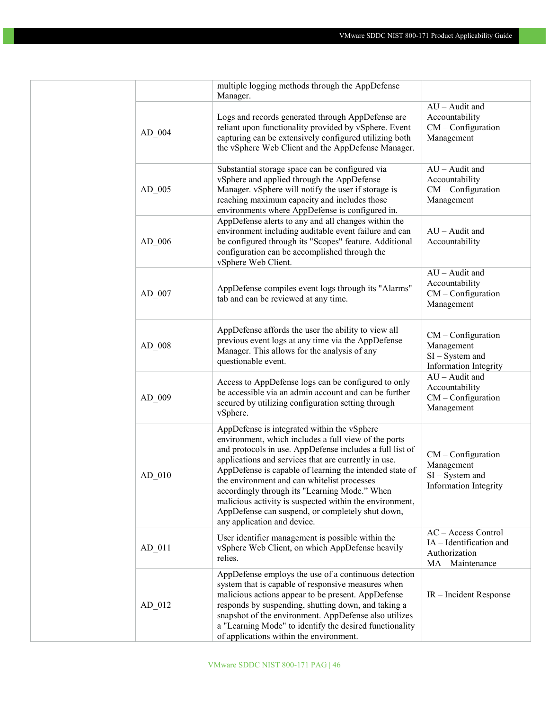|          | multiple logging methods through the AppDefense<br>Manager.                                                                                                                                                                                                                                                                                                                                                                                                                                                                      |                                                                                     |
|----------|----------------------------------------------------------------------------------------------------------------------------------------------------------------------------------------------------------------------------------------------------------------------------------------------------------------------------------------------------------------------------------------------------------------------------------------------------------------------------------------------------------------------------------|-------------------------------------------------------------------------------------|
| $AD_004$ | Logs and records generated through AppDefense are<br>reliant upon functionality provided by vSphere. Event<br>capturing can be extensively configured utilizing both<br>the vSphere Web Client and the AppDefense Manager.                                                                                                                                                                                                                                                                                                       | $AU - A$ udit and<br>Accountability<br>$CM$ – Configuration<br>Management           |
| $AD_005$ | Substantial storage space can be configured via<br>vSphere and applied through the AppDefense<br>Manager. vSphere will notify the user if storage is<br>reaching maximum capacity and includes those<br>environments where AppDefense is configured in.                                                                                                                                                                                                                                                                          | $AU - A$ udit and<br>Accountability<br>$CM$ – Configuration<br>Management           |
| $AD_006$ | AppDefense alerts to any and all changes within the<br>environment including auditable event failure and can<br>be configured through its "Scopes" feature. Additional<br>configuration can be accomplished through the<br>vSphere Web Client.                                                                                                                                                                                                                                                                                   | $AU -$ Audit and<br>Accountability                                                  |
| AD 007   | AppDefense compiles event logs through its "Alarms"<br>tab and can be reviewed at any time.                                                                                                                                                                                                                                                                                                                                                                                                                                      | $AU - A$ udit and<br>Accountability<br>$CM$ – Configuration<br>Management           |
| AD 008   | AppDefense affords the user the ability to view all<br>previous event logs at any time via the AppDefense<br>Manager. This allows for the analysis of any<br>questionable event.                                                                                                                                                                                                                                                                                                                                                 | $CM$ – Configuration<br>Management<br>$SI - System$ and<br>Information Integrity    |
| $AD_009$ | Access to AppDefense logs can be configured to only<br>be accessible via an admin account and can be further<br>secured by utilizing configuration setting through<br>vSphere.                                                                                                                                                                                                                                                                                                                                                   | $AU -$ Audit and<br>Accountability<br>$CM$ – Configuration<br>Management            |
| AD 010   | AppDefense is integrated within the vSphere<br>environment, which includes a full view of the ports<br>and protocols in use. AppDefense includes a full list of<br>applications and services that are currently in use.<br>AppDefense is capable of learning the intended state of<br>the environment and can whitelist processes<br>accordingly through its "Learning Mode." When<br>malicious activity is suspected within the environment,<br>AppDefense can suspend, or completely shut down,<br>any application and device. | $CM$ – Configuration<br>Management<br>$SI - System$ and<br>Information Integrity    |
| $AD_011$ | User identifier management is possible within the<br>vSphere Web Client, on which AppDefense heavily<br>relies.                                                                                                                                                                                                                                                                                                                                                                                                                  | AC - Access Control<br>IA - Identification and<br>Authorization<br>MA - Maintenance |
| $AD_012$ | AppDefense employs the use of a continuous detection<br>system that is capable of responsive measures when<br>malicious actions appear to be present. AppDefense<br>responds by suspending, shutting down, and taking a<br>snapshot of the environment. AppDefense also utilizes<br>a "Learning Mode" to identify the desired functionality<br>of applications within the environment.                                                                                                                                           | IR - Incident Response                                                              |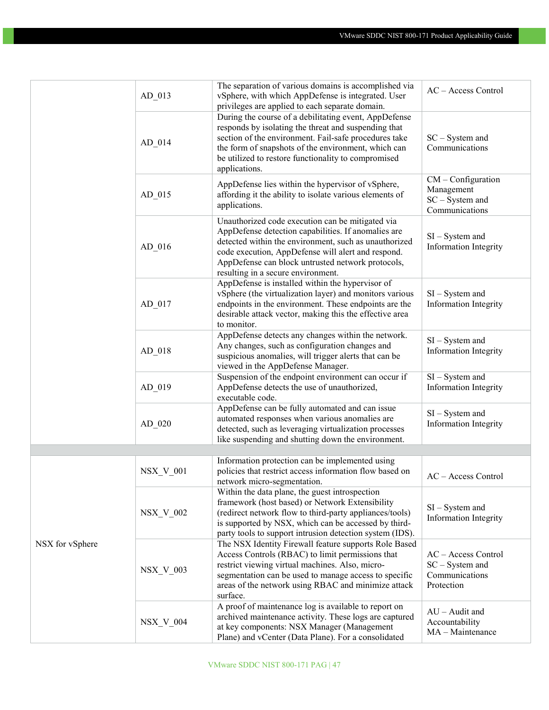|                 | $AD_013$         | The separation of various domains is accomplished via<br>vSphere, with which AppDefense is integrated. User<br>privileges are applied to each separate domain.                                                                                                                                                    | AC - Access Control                                                       |
|-----------------|------------------|-------------------------------------------------------------------------------------------------------------------------------------------------------------------------------------------------------------------------------------------------------------------------------------------------------------------|---------------------------------------------------------------------------|
|                 | $AD_014$         | During the course of a debilitating event, AppDefense<br>responds by isolating the threat and suspending that<br>section of the environment. Fail-safe procedures take<br>the form of snapshots of the environment, which can<br>be utilized to restore functionality to compromised<br>applications.             | $SC - System$ and<br>Communications                                       |
|                 | $AD_015$         | AppDefense lies within the hypervisor of vSphere,<br>affording it the ability to isolate various elements of<br>applications.                                                                                                                                                                                     | $CM$ – Configuration<br>Management<br>$SC - System$ and<br>Communications |
|                 | $AD_016$         | Unauthorized code execution can be mitigated via<br>AppDefense detection capabilities. If anomalies are<br>detected within the environment, such as unauthorized<br>code execution, AppDefense will alert and respond.<br>AppDefense can block untrusted network protocols,<br>resulting in a secure environment. | $SI - System$ and<br><b>Information Integrity</b>                         |
|                 | AD 017           | AppDefense is installed within the hypervisor of<br>vSphere (the virtualization layer) and monitors various<br>endpoints in the environment. These endpoints are the<br>desirable attack vector, making this the effective area<br>to monitor.                                                                    | $SI - System$ and<br><b>Information Integrity</b>                         |
|                 | $AD_018$         | AppDefense detects any changes within the network.<br>Any changes, such as configuration changes and<br>suspicious anomalies, will trigger alerts that can be<br>viewed in the AppDefense Manager.                                                                                                                | $SI - System$ and<br>Information Integrity                                |
|                 | $AD_019$         | Suspension of the endpoint environment can occur if<br>AppDefense detects the use of unauthorized,<br>executable code.                                                                                                                                                                                            | $SI - System$ and<br>Information Integrity                                |
|                 | $AD_020$         | AppDefense can be fully automated and can issue<br>automated responses when various anomalies are<br>detected, such as leveraging virtualization processes<br>like suspending and shutting down the environment.                                                                                                  | $SI - System$ and<br>Information Integrity                                |
|                 |                  |                                                                                                                                                                                                                                                                                                                   |                                                                           |
|                 | <b>NSX_V_001</b> | Information protection can be implemented using<br>policies that restrict access information flow based on<br>network micro-segmentation.                                                                                                                                                                         | AC - Access Control                                                       |
| NSX for vSphere | <b>NSX_V_002</b> | Within the data plane, the guest introspection<br>framework (host based) or Network Extensibility<br>(redirect network flow to third-party appliances/tools)<br>is supported by NSX, which can be accessed by third-<br>party tools to support intrusion detection system (IDS).                                  | $SI - System$ and<br>Information Integrity                                |
|                 | <b>NSX_V_003</b> | The NSX Identity Firewall feature supports Role Based<br>Access Controls (RBAC) to limit permissions that<br>restrict viewing virtual machines. Also, micro-<br>segmentation can be used to manage access to specific<br>areas of the network using RBAC and minimize attack<br>surface.                          | AC - Access Control<br>$SC - System$ and<br>Communications<br>Protection  |
|                 | <b>NSX_V_004</b> | A proof of maintenance log is available to report on<br>archived maintenance activity. These logs are captured<br>at key components: NSX Manager (Management<br>Plane) and vCenter (Data Plane). For a consolidated                                                                                               | $AU - A$ udit and<br>Accountability<br>MA - Maintenance                   |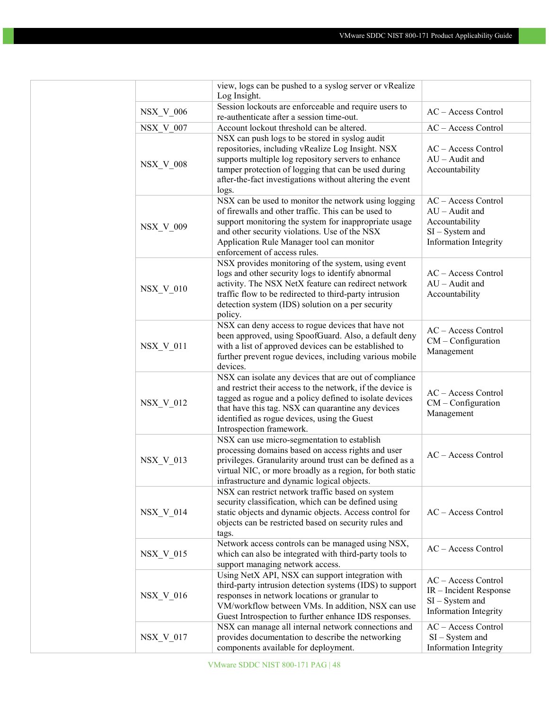|                  | view, logs can be pushed to a syslog server or vRealize                                            |                        |
|------------------|----------------------------------------------------------------------------------------------------|------------------------|
|                  | Log Insight.                                                                                       |                        |
| <b>NSX_V_006</b> | Session lockouts are enforceable and require users to<br>re-authenticate after a session time-out. | AC - Access Control    |
| <b>NSX V 007</b> | Account lockout threshold can be altered.                                                          | AC - Access Control    |
|                  | NSX can push logs to be stored in syslog audit                                                     |                        |
|                  | repositories, including vRealize Log Insight. NSX                                                  | AC - Access Control    |
|                  | supports multiple log repository servers to enhance                                                | $AU - A$ udit and      |
| <b>NSX_V_008</b> | tamper protection of logging that can be used during                                               | Accountability         |
|                  | after-the-fact investigations without altering the event                                           |                        |
|                  | logs.                                                                                              |                        |
|                  | NSX can be used to monitor the network using logging                                               | AC - Access Control    |
|                  | of firewalls and other traffic. This can be used to                                                | $AU -$ Audit and       |
|                  | support monitoring the system for inappropriate usage                                              | Accountability         |
| <b>NSX_V_009</b> | and other security violations. Use of the NSX                                                      | $SI - System$ and      |
|                  | Application Rule Manager tool can monitor                                                          | Information Integrity  |
|                  | enforcement of access rules.                                                                       |                        |
|                  | NSX provides monitoring of the system, using event                                                 |                        |
|                  | logs and other security logs to identify abnormal                                                  | AC - Access Control    |
|                  | activity. The NSX NetX feature can redirect network                                                | $AU -$ Audit and       |
| <b>NSX_V_010</b> | traffic flow to be redirected to third-party intrusion                                             | Accountability         |
|                  | detection system (IDS) solution on a per security                                                  |                        |
|                  | policy.                                                                                            |                        |
|                  | NSX can deny access to rogue devices that have not                                                 |                        |
|                  | been approved, using SpoofGuard. Also, a default deny                                              | AC - Access Control    |
| <b>NSX V 011</b> | with a list of approved devices can be established to                                              | $CM$ – Configuration   |
|                  | further prevent rogue devices, including various mobile                                            | Management             |
|                  | devices.                                                                                           |                        |
|                  | NSX can isolate any devices that are out of compliance                                             |                        |
|                  | and restrict their access to the network, if the device is                                         | AC - Access Control    |
|                  | tagged as rogue and a policy defined to isolate devices                                            |                        |
| NSX_V_012        | that have this tag. NSX can quarantine any devices                                                 | $CM$ – Configuration   |
|                  | identified as rogue devices, using the Guest                                                       | Management             |
|                  | Introspection framework.                                                                           |                        |
|                  | NSX can use micro-segmentation to establish                                                        |                        |
|                  | processing domains based on access rights and user                                                 | AC - Access Control    |
| <b>NSX_V_013</b> | privileges. Granularity around trust can be defined as a                                           |                        |
|                  | virtual NIC, or more broadly as a region, for both static                                          |                        |
|                  | infrastructure and dynamic logical objects.                                                        |                        |
|                  | NSX can restrict network traffic based on system                                                   |                        |
|                  | security classification, which can be defined using                                                |                        |
| <b>NSX_V_014</b> | static objects and dynamic objects. Access control for                                             | AC - Access Control    |
|                  | objects can be restricted based on security rules and                                              |                        |
|                  | tags.                                                                                              |                        |
|                  | Network access controls can be managed using NSX,                                                  | AC - Access Control    |
| <b>NSX_V_015</b> | which can also be integrated with third-party tools to                                             |                        |
|                  | support managing network access.                                                                   |                        |
|                  | Using NetX API, NSX can support integration with                                                   | AC - Access Control    |
|                  | third-party intrusion detection systems (IDS) to support                                           | IR - Incident Response |
| $NSX_V_016$      | responses in network locations or granular to                                                      | $SI - System$ and      |
|                  | VM/workflow between VMs. In addition, NSX can use                                                  | Information Integrity  |
|                  | Guest Introspection to further enhance IDS responses.                                              |                        |
|                  | NSX can manage all internal network connections and                                                | AC - Access Control    |
| $NSX_V_017$      | provides documentation to describe the networking                                                  | $SI - System$ and      |
|                  | components available for deployment.                                                               | Information Integrity  |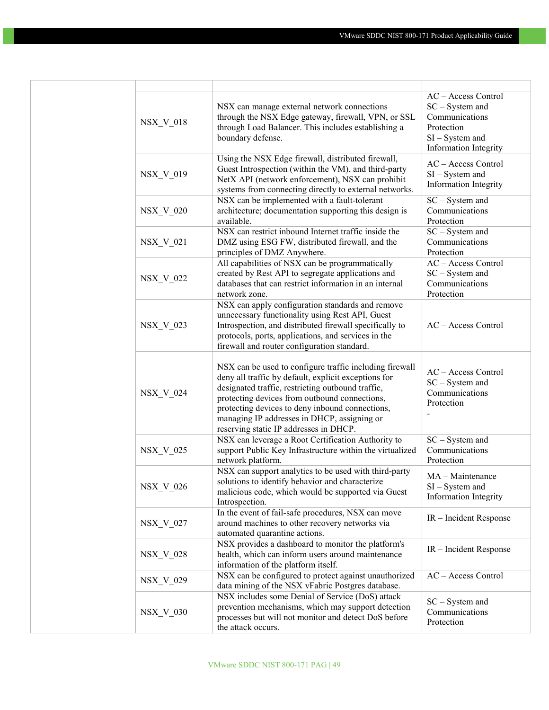| <b>NSX_V_018</b> | NSX can manage external network connections<br>through the NSX Edge gateway, firewall, VPN, or SSL<br>through Load Balancer. This includes establishing a<br>boundary defense.                                                                                                                                                                                    | AC - Access Control<br>$SC - System$ and<br>Communications<br>Protection<br>$SI - System$ and<br><b>Information Integrity</b> |
|------------------|-------------------------------------------------------------------------------------------------------------------------------------------------------------------------------------------------------------------------------------------------------------------------------------------------------------------------------------------------------------------|-------------------------------------------------------------------------------------------------------------------------------|
| NSX_V_019        | Using the NSX Edge firewall, distributed firewall,<br>Guest Introspection (within the VM), and third-party<br>NetX API (network enforcement), NSX can prohibit<br>systems from connecting directly to external networks.                                                                                                                                          | AC - Access Control<br>$SI - System$ and<br>Information Integrity                                                             |
| NSX_V_020        | NSX can be implemented with a fault-tolerant<br>architecture; documentation supporting this design is<br>available.                                                                                                                                                                                                                                               | SC - System and<br>Communications<br>Protection                                                                               |
| $NSX_V_021$      | NSX can restrict inbound Internet traffic inside the<br>DMZ using ESG FW, distributed firewall, and the<br>principles of DMZ Anywhere.                                                                                                                                                                                                                            | SC - System and<br>Communications<br>Protection                                                                               |
| NSX_V_022        | All capabilities of NSX can be programmatically<br>created by Rest API to segregate applications and<br>databases that can restrict information in an internal<br>network zone.                                                                                                                                                                                   | AC - Access Control<br>SC - System and<br>Communications<br>Protection                                                        |
| NSX_V_023        | NSX can apply configuration standards and remove<br>unnecessary functionality using Rest API, Guest<br>Introspection, and distributed firewall specifically to<br>protocols, ports, applications, and services in the<br>firewall and router configuration standard.                                                                                              | AC - Access Control                                                                                                           |
| NSX_V_024        | NSX can be used to configure traffic including firewall<br>deny all traffic by default, explicit exceptions for<br>designated traffic, restricting outbound traffic,<br>protecting devices from outbound connections,<br>protecting devices to deny inbound connections,<br>managing IP addresses in DHCP, assigning or<br>reserving static IP addresses in DHCP. | AC - Access Control<br>$SC - System$ and<br>Communications<br>Protection                                                      |
| <b>NSX V 025</b> | NSX can leverage a Root Certification Authority to<br>support Public Key Infrastructure within the virtualized<br>network platform.                                                                                                                                                                                                                               | $SC - System$ and<br>Communications<br>Protection                                                                             |
| <b>NSX_V_026</b> | NSX can support analytics to be used with third-party<br>solutions to identify behavior and characterize<br>malicious code, which would be supported via Guest<br>Introspection.                                                                                                                                                                                  | MA - Maintenance<br>$SI - System$ and<br><b>Information Integrity</b>                                                         |
| NSX_V_027        | In the event of fail-safe procedures, NSX can move<br>around machines to other recovery networks via<br>automated quarantine actions.                                                                                                                                                                                                                             | IR - Incident Response                                                                                                        |
| NSX_V_028        | NSX provides a dashboard to monitor the platform's<br>health, which can inform users around maintenance<br>information of the platform itself.                                                                                                                                                                                                                    | IR - Incident Response                                                                                                        |
| NSX V 029        | NSX can be configured to protect against unauthorized<br>data mining of the NSX vFabric Postgres database.                                                                                                                                                                                                                                                        | AC - Access Control                                                                                                           |
| <b>NSX_V_030</b> | NSX includes some Denial of Service (DoS) attack<br>prevention mechanisms, which may support detection<br>processes but will not monitor and detect DoS before<br>the attack occurs.                                                                                                                                                                              | $SC - System$ and<br>Communications<br>Protection                                                                             |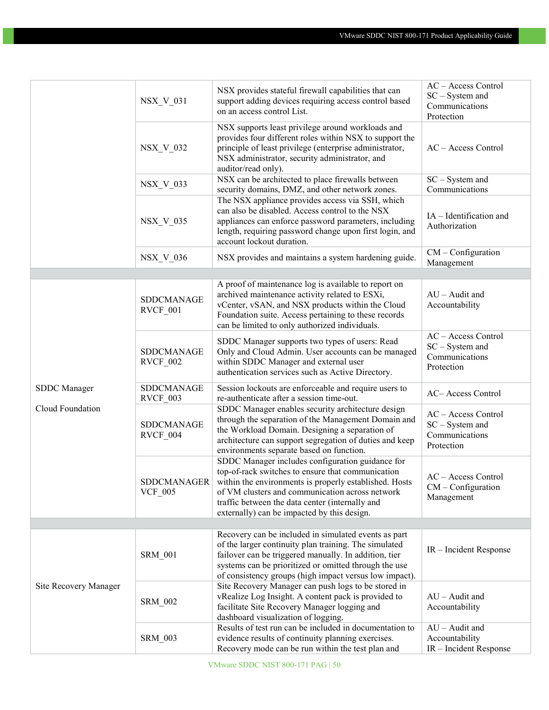|                                  | <b>NSX_V_031</b>              | NSX provides stateful firewall capabilities that can<br>support adding devices requiring access control based<br>on an access control List.                                                                                                                                                                          | AC - Access Control<br>$SC - System$ and<br>Communications<br>Protection |
|----------------------------------|-------------------------------|----------------------------------------------------------------------------------------------------------------------------------------------------------------------------------------------------------------------------------------------------------------------------------------------------------------------|--------------------------------------------------------------------------|
|                                  | <b>NSX_V_032</b>              | NSX supports least privilege around workloads and<br>provides four different roles within NSX to support the<br>principle of least privilege (enterprise administrator,<br>NSX administrator, security administrator, and<br>auditor/read only).                                                                     | AC - Access Control                                                      |
|                                  | <b>NSX_V_033</b>              | NSX can be architected to place firewalls between<br>security domains, DMZ, and other network zones.                                                                                                                                                                                                                 | $SC - System$ and<br>Communications                                      |
|                                  | NSX_V_035                     | The NSX appliance provides access via SSH, which<br>can also be disabled. Access control to the NSX<br>appliances can enforce password parameters, including<br>length, requiring password change upon first login, and<br>account lockout duration.                                                                 | IA - Identification and<br>Authorization                                 |
|                                  | <b>NSX_V_036</b>              | NSX provides and maintains a system hardening guide.                                                                                                                                                                                                                                                                 | CM - Configuration<br>Management                                         |
|                                  | SDDCMANAGE<br>RVCF_001        | A proof of maintenance log is available to report on<br>archived maintenance activity related to ESXi,<br>vCenter, vSAN, and NSX products within the Cloud<br>Foundation suite. Access pertaining to these records<br>can be limited to only authorized individuals.                                                 | $AU -$ Audit and<br>Accountability                                       |
| SDDC Manager<br>Cloud Foundation | <b>SDDCMANAGE</b><br>RVCF_002 | SDDC Manager supports two types of users: Read<br>Only and Cloud Admin. User accounts can be managed<br>within SDDC Manager and external user<br>authentication services such as Active Directory.                                                                                                                   | AC - Access Control<br>SC - System and<br>Communications<br>Protection   |
|                                  | SDDCMANAGE<br>RVCF 003        | Session lockouts are enforceable and require users to<br>re-authenticate after a session time-out.                                                                                                                                                                                                                   | AC-Access Control                                                        |
|                                  | <b>SDDCMANAGE</b><br>RVCF_004 | SDDC Manager enables security architecture design<br>through the separation of the Management Domain and<br>the Workload Domain. Designing a separation of<br>architecture can support segregation of duties and keep<br>environments separate based on function.                                                    | AC - Access Control<br>$SC - System$ and<br>Communications<br>Protection |
|                                  | SDDCMANAGER<br><b>VCF 005</b> | SDDC Manager includes configuration guidance for<br>top-of-rack switches to ensure that communication<br>within the environments is properly established. Hosts<br>of VM clusters and communication across network<br>traffic between the data center (internally and<br>externally) can be impacted by this design. | AC - Access Control<br>$CM$ – Configuration<br>Management                |
|                                  |                               | Recovery can be included in simulated events as part                                                                                                                                                                                                                                                                 |                                                                          |
| Site Recovery Manager            | <b>SRM 001</b>                | of the larger continuity plan training. The simulated<br>failover can be triggered manually. In addition, tier<br>systems can be prioritized or omitted through the use<br>of consistency groups (high impact versus low impact).                                                                                    | IR – Incident Response                                                   |
|                                  | <b>SRM_002</b>                | Site Recovery Manager can push logs to be stored in<br>vRealize Log Insight. A content pack is provided to<br>facilitate Site Recovery Manager logging and<br>dashboard visualization of logging.                                                                                                                    | $AU - A$ udit and<br>Accountability                                      |
|                                  | <b>SRM 003</b>                | Results of test run can be included in documentation to<br>evidence results of continuity planning exercises.<br>Recovery mode can be run within the test plan and                                                                                                                                                   | $AU -$ Audit and<br>Accountability<br>IR - Incident Response             |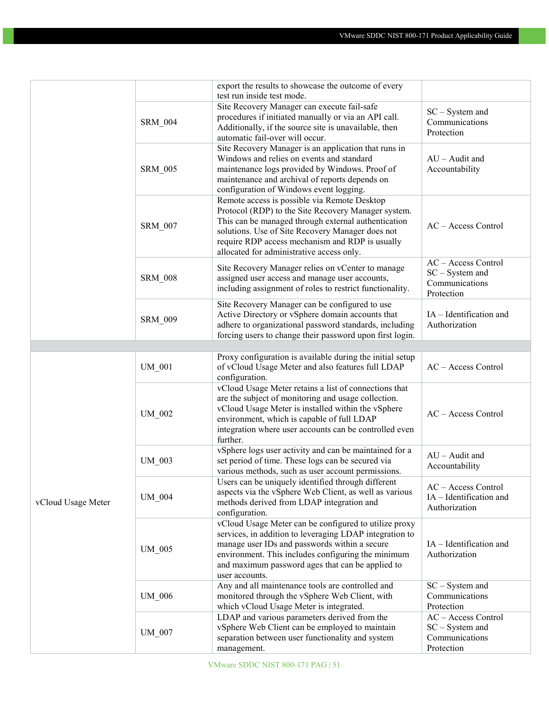|                    |                | export the results to showcase the outcome of every                                                                                                                                                                                                                                                            |                                                                          |
|--------------------|----------------|----------------------------------------------------------------------------------------------------------------------------------------------------------------------------------------------------------------------------------------------------------------------------------------------------------------|--------------------------------------------------------------------------|
|                    |                | test run inside test mode.                                                                                                                                                                                                                                                                                     |                                                                          |
|                    | <b>SRM 004</b> | Site Recovery Manager can execute fail-safe<br>procedures if initiated manually or via an API call.<br>Additionally, if the source site is unavailable, then<br>automatic fail-over will occur.                                                                                                                | $SC - System$ and<br>Communications<br>Protection                        |
|                    | <b>SRM 005</b> | Site Recovery Manager is an application that runs in<br>Windows and relies on events and standard<br>maintenance logs provided by Windows. Proof of<br>maintenance and archival of reports depends on<br>configuration of Windows event logging.                                                               | $AU -$ Audit and<br>Accountability                                       |
|                    | <b>SRM_007</b> | Remote access is possible via Remote Desktop<br>Protocol (RDP) to the Site Recovery Manager system.<br>This can be managed through external authentication<br>solutions. Use of Site Recovery Manager does not<br>require RDP access mechanism and RDP is usually<br>allocated for administrative access only. | AC - Access Control                                                      |
|                    | <b>SRM_008</b> | Site Recovery Manager relies on vCenter to manage<br>assigned user access and manage user accounts,<br>including assignment of roles to restrict functionality.                                                                                                                                                | AC - Access Control<br>SC - System and<br>Communications<br>Protection   |
|                    | <b>SRM 009</b> | Site Recovery Manager can be configured to use<br>Active Directory or vSphere domain accounts that<br>adhere to organizational password standards, including<br>forcing users to change their password upon first login.                                                                                       | IA - Identification and<br>Authorization                                 |
|                    |                |                                                                                                                                                                                                                                                                                                                |                                                                          |
|                    | <b>UM 001</b>  | Proxy configuration is available during the initial setup<br>of vCloud Usage Meter and also features full LDAP<br>configuration.                                                                                                                                                                               | $AC - Access Control$                                                    |
|                    | UM_002         | vCloud Usage Meter retains a list of connections that<br>are the subject of monitoring and usage collection.<br>vCloud Usage Meter is installed within the vSphere<br>environment, which is capable of full LDAP<br>integration where user accounts can be controlled even<br>further.                         | AC - Access Control                                                      |
|                    | UM_003         | vSphere logs user activity and can be maintained for a<br>set period of time. These logs can be secured via<br>various methods, such as user account permissions.                                                                                                                                              | $AU - A$ udit and<br>Accountability                                      |
| vCloud Usage Meter | UM 004         | Users can be uniquely identified through different<br>aspects via the vSphere Web Client, as well as various<br>methods derived from LDAP integration and<br>configuration.                                                                                                                                    | AC - Access Control<br>IA - Identification and<br>Authorization          |
|                    | UM 005         | vCloud Usage Meter can be configured to utilize proxy<br>services, in addition to leveraging LDAP integration to<br>manage user IDs and passwords within a secure<br>environment. This includes configuring the minimum<br>and maximum password ages that can be applied to<br>user accounts.                  | IA - Identification and<br>Authorization                                 |
|                    | <b>UM_006</b>  | Any and all maintenance tools are controlled and<br>monitored through the vSphere Web Client, with<br>which vCloud Usage Meter is integrated.                                                                                                                                                                  | $SC - System$ and<br>Communications<br>Protection                        |
|                    | UM 007         | LDAP and various parameters derived from the<br>vSphere Web Client can be employed to maintain<br>separation between user functionality and system<br>management.                                                                                                                                              | AC - Access Control<br>$SC - System$ and<br>Communications<br>Protection |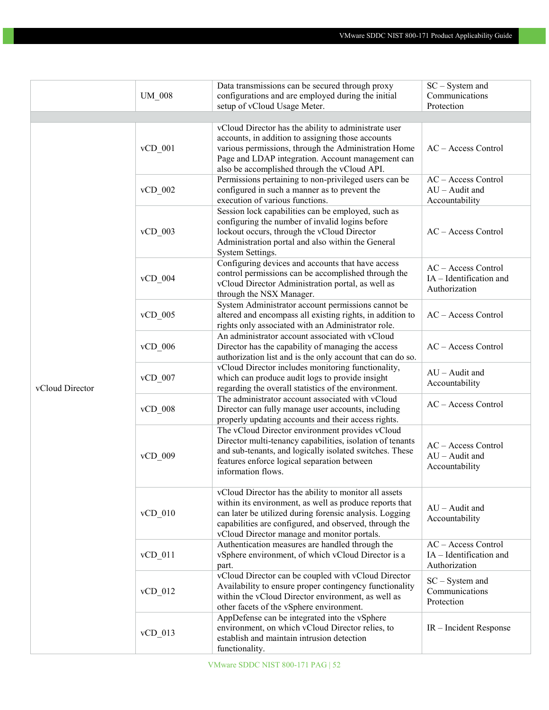|                 |             | Data transmissions can be secured through proxy            | SC - System and                                |
|-----------------|-------------|------------------------------------------------------------|------------------------------------------------|
|                 | $UM_008$    | configurations and are employed during the initial         | Communications                                 |
|                 |             | setup of vCloud Usage Meter.                               | Protection                                     |
|                 |             |                                                            |                                                |
|                 |             | vCloud Director has the ability to administrate user       |                                                |
|                 |             | accounts, in addition to assigning those accounts          |                                                |
|                 | $vCD_001$   | various permissions, through the Administration Home       | AC - Access Control                            |
|                 |             | Page and LDAP integration. Account management can          |                                                |
|                 |             | also be accomplished through the vCloud API.               |                                                |
|                 |             | Permissions pertaining to non-privileged users can be      | AC - Access Control                            |
|                 | $vCD_002$   | configured in such a manner as to prevent the              | $AU - A$ udit and                              |
|                 |             | execution of various functions.                            | Accountability                                 |
|                 |             | Session lock capabilities can be employed, such as         |                                                |
|                 |             | configuring the number of invalid logins before            |                                                |
|                 | $vCD$ 003   | lockout occurs, through the vCloud Director                | AC - Access Control                            |
|                 |             | Administration portal and also within the General          |                                                |
|                 |             | System Settings.                                           |                                                |
|                 |             | Configuring devices and accounts that have access          |                                                |
|                 | vCD 004     | control permissions can be accomplished through the        | AC - Access Control<br>IA - Identification and |
|                 |             | vCloud Director Administration portal, as well as          | Authorization                                  |
|                 |             | through the NSX Manager.                                   |                                                |
|                 |             | System Administrator account permissions cannot be         |                                                |
|                 | $vCD$ 005   | altered and encompass all existing rights, in addition to  | AC - Access Control                            |
|                 |             | rights only associated with an Administrator role.         |                                                |
|                 |             | An administrator account associated with vCloud            |                                                |
|                 | vCD 006     | Director has the capability of managing the access         | AC - Access Control                            |
|                 |             | authorization list and is the only account that can do so. |                                                |
|                 |             | vCloud Director includes monitoring functionality,         | $AU - A$ udit and                              |
|                 | $vCD$ 007   | which can produce audit logs to provide insight            |                                                |
| vCloud Director |             | regarding the overall statistics of the environment.       | Accountability                                 |
|                 |             | The administrator account associated with vCloud           | AC - Access Control                            |
|                 | $vCD_0$ 008 | Director can fully manage user accounts, including         |                                                |
|                 |             | properly updating accounts and their access rights.        |                                                |
|                 |             | The vCloud Director environment provides vCloud            |                                                |
|                 |             | Director multi-tenancy capabilities, isolation of tenants  | $AC - Access Control$                          |
|                 | $vCD_009$   | and sub-tenants, and logically isolated switches. These    | AU - Audit and                                 |
|                 |             | features enforce logical separation between                | Accountability                                 |
|                 |             | information flows.                                         |                                                |
|                 |             |                                                            |                                                |
|                 |             | vCloud Director has the ability to monitor all assets      |                                                |
|                 |             | within its environment, as well as produce reports that    | AU - Audit and                                 |
|                 | vCD 010     | can later be utilized during forensic analysis. Logging    | Accountability                                 |
|                 |             | capabilities are configured, and observed, through the     |                                                |
|                 |             | vCloud Director manage and monitor portals.                |                                                |
|                 |             | Authentication measures are handled through the            | AC - Access Control                            |
|                 | $vCD_011$   | vSphere environment, of which vCloud Director is a         | IA - Identification and                        |
|                 |             | part.                                                      | Authorization                                  |
|                 |             | vCloud Director can be coupled with vCloud Director        | $SC - System$ and                              |
|                 | $vCD_012$   | Availability to ensure proper contingency functionality    | Communications                                 |
|                 |             | within the vCloud Director environment, as well as         | Protection                                     |
|                 |             | other facets of the vSphere environment.                   |                                                |
|                 |             | AppDefense can be integrated into the vSphere              |                                                |
|                 | $vCD_013$   | environment, on which vCloud Director relies, to           | IR - Incident Response                         |
|                 |             | establish and maintain intrusion detection                 |                                                |
|                 |             | functionality.                                             |                                                |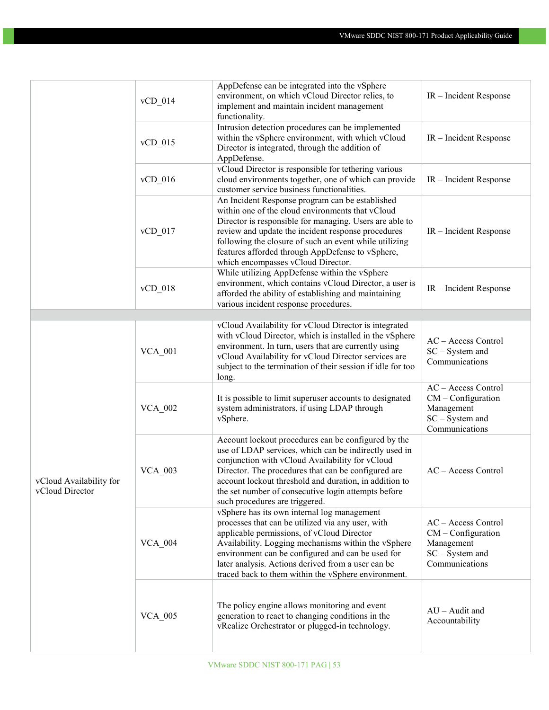|                                            | $vCD_014$      | AppDefense can be integrated into the vSphere<br>environment, on which vCloud Director relies, to<br>implement and maintain incident management<br>functionality.                                                                                                                                                                                                         | IR - Incident Response                                                                         |
|--------------------------------------------|----------------|---------------------------------------------------------------------------------------------------------------------------------------------------------------------------------------------------------------------------------------------------------------------------------------------------------------------------------------------------------------------------|------------------------------------------------------------------------------------------------|
|                                            | $vCD_015$      | Intrusion detection procedures can be implemented<br>within the vSphere environment, with which vCloud<br>Director is integrated, through the addition of<br>AppDefense.                                                                                                                                                                                                  | IR - Incident Response                                                                         |
|                                            | $vCD_016$      | vCloud Director is responsible for tethering various<br>cloud environments together, one of which can provide<br>customer service business functionalities.                                                                                                                                                                                                               | IR - Incident Response                                                                         |
|                                            | $vCD_017$      | An Incident Response program can be established<br>within one of the cloud environments that vCloud<br>Director is responsible for managing. Users are able to<br>review and update the incident response procedures<br>following the closure of such an event while utilizing<br>features afforded through AppDefense to vSphere,<br>which encompasses vCloud Director.  | IR – Incident Response                                                                         |
|                                            | $vCD_018$      | While utilizing AppDefense within the vSphere<br>environment, which contains vCloud Director, a user is<br>afforded the ability of establishing and maintaining<br>various incident response procedures.                                                                                                                                                                  | $IR$ – Incident Response                                                                       |
| vCloud Availability for<br>vCloud Director | <b>VCA_001</b> | vCloud Availability for vCloud Director is integrated<br>with vCloud Director, which is installed in the vSphere<br>environment. In turn, users that are currently using<br>vCloud Availability for vCloud Director services are<br>subject to the termination of their session if idle for too<br>long.                                                                  | AC - Access Control<br>SC - System and<br>Communications                                       |
|                                            | <b>VCA_002</b> | It is possible to limit superuser accounts to designated<br>system administrators, if using LDAP through<br>vSphere.                                                                                                                                                                                                                                                      | AC - Access Control<br>$CM$ – Configuration<br>Management<br>SC - System and<br>Communications |
|                                            | <b>VCA_003</b> | Account lockout procedures can be configured by the<br>use of LDAP services, which can be indirectly used in<br>conjunction with vCloud Availability for vCloud<br>Director. The procedures that can be configured are<br>account lockout threshold and duration, in addition to<br>the set number of consecutive login attempts before<br>such procedures are triggered. | $AC - Access Control$                                                                          |
|                                            | <b>VCA 004</b> | vSphere has its own internal log management<br>processes that can be utilized via any user, with<br>applicable permissions, of vCloud Director<br>Availability. Logging mechanisms within the vSphere<br>environment can be configured and can be used for<br>later analysis. Actions derived from a user can be<br>traced back to them within the vSphere environment.   | AC - Access Control<br>$CM$ – Configuration<br>Management<br>SC - System and<br>Communications |
|                                            | <b>VCA 005</b> | The policy engine allows monitoring and event<br>generation to react to changing conditions in the<br>vRealize Orchestrator or plugged-in technology.                                                                                                                                                                                                                     | $AU - A$ udit and<br>Accountability                                                            |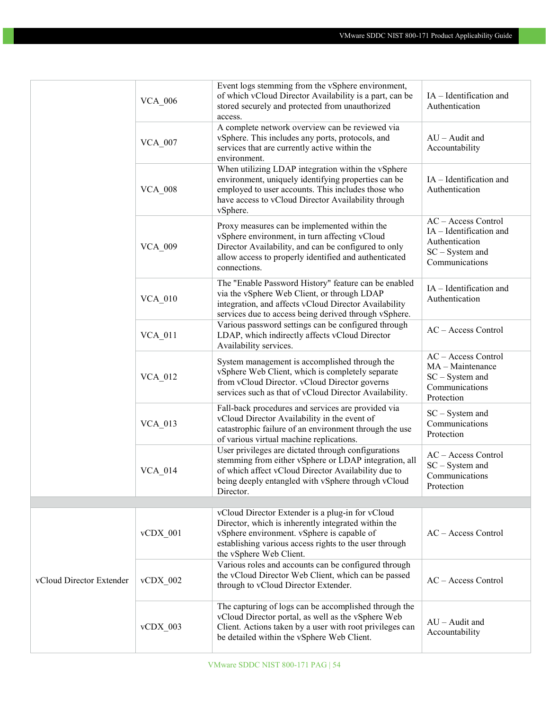|                          | <b>VCA 006</b> | Event logs stemming from the vSphere environment,<br>of which vCloud Director Availability is a part, can be<br>stored securely and protected from unauthorized<br>access.                                                                 | IA - Identification and<br>Authentication                                                             |
|--------------------------|----------------|--------------------------------------------------------------------------------------------------------------------------------------------------------------------------------------------------------------------------------------------|-------------------------------------------------------------------------------------------------------|
|                          | <b>VCA 007</b> | A complete network overview can be reviewed via<br>vSphere. This includes any ports, protocols, and<br>services that are currently active within the<br>environment.                                                                       | $AU - A$ udit and<br>Accountability                                                                   |
|                          | <b>VCA_008</b> | When utilizing LDAP integration within the vSphere<br>environment, uniquely identifying properties can be<br>employed to user accounts. This includes those who<br>have access to vCloud Director Availability through<br>vSphere.         | IA - Identification and<br>Authentication                                                             |
|                          | <b>VCA_009</b> | Proxy measures can be implemented within the<br>vSphere environment, in turn affecting vCloud<br>Director Availability, and can be configured to only<br>allow access to properly identified and authenticated<br>connections.             | AC - Access Control<br>IA - Identification and<br>Authentication<br>SC - System and<br>Communications |
|                          | $VCA_010$      | The "Enable Password History" feature can be enabled<br>via the vSphere Web Client, or through LDAP<br>integration, and affects vCloud Director Availability<br>services due to access being derived through vSphere.                      | IA - Identification and<br>Authentication                                                             |
|                          | <b>VCA 011</b> | Various password settings can be configured through<br>LDAP, which indirectly affects vCloud Director<br>Availability services.                                                                                                            | AC - Access Control                                                                                   |
|                          | <b>VCA 012</b> | System management is accomplished through the<br>vSphere Web Client, which is completely separate<br>from vCloud Director. vCloud Director governs<br>services such as that of vCloud Director Availability.                               | AC - Access Control<br>MA - Maintenance<br>SC - System and<br>Communications<br>Protection            |
|                          | $VCA_013$      | Fall-back procedures and services are provided via<br>vCloud Director Availability in the event of<br>catastrophic failure of an environment through the use<br>of various virtual machine replications.                                   | $SC - System$ and<br>Communications<br>Protection                                                     |
|                          | $VCA_014$      | User privileges are dictated through configurations<br>stemming from either vSphere or LDAP integration, all<br>of which affect vCloud Director Availability due to<br>being deeply entangled with vSphere through vCloud<br>Director.     | $AC - Access Control$<br>$SC - System$ and<br>Communications<br>Protection                            |
|                          |                |                                                                                                                                                                                                                                            |                                                                                                       |
|                          | $vCDX_001$     | vCloud Director Extender is a plug-in for vCloud<br>Director, which is inherently integrated within the<br>vSphere environment. vSphere is capable of<br>establishing various access rights to the user through<br>the vSphere Web Client. | AC - Access Control                                                                                   |
| vCloud Director Extender | $vCDX$ 002     | Various roles and accounts can be configured through<br>the vCloud Director Web Client, which can be passed<br>through to vCloud Director Extender.                                                                                        | $AC - Access Control$                                                                                 |
|                          | $vCDX_003$     | The capturing of logs can be accomplished through the<br>vCloud Director portal, as well as the vSphere Web<br>Client. Actions taken by a user with root privileges can<br>be detailed within the vSphere Web Client.                      | $AU - A$ udit and<br>Accountability                                                                   |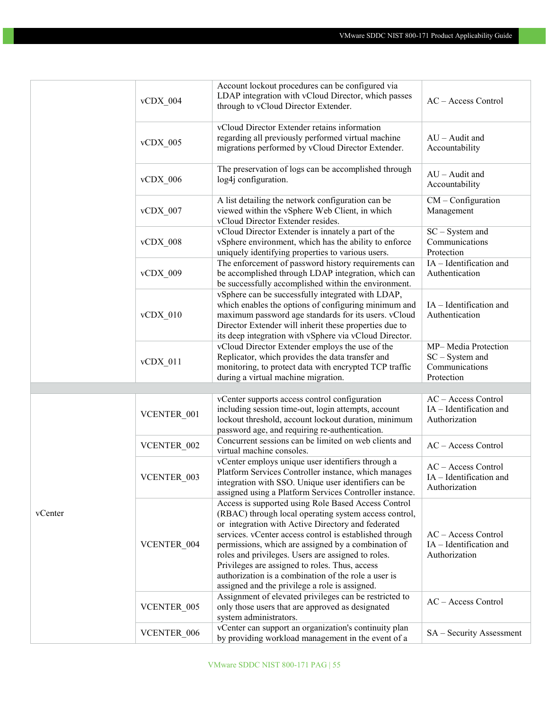|         | $vCDX_004$             | Account lockout procedures can be configured via<br>LDAP integration with vCloud Director, which passes<br>through to vCloud Director Extender.                                                                                                                                                                                                                                                                                                                                                        | AC - Access Control                                                      |
|---------|------------------------|--------------------------------------------------------------------------------------------------------------------------------------------------------------------------------------------------------------------------------------------------------------------------------------------------------------------------------------------------------------------------------------------------------------------------------------------------------------------------------------------------------|--------------------------------------------------------------------------|
|         | $vCDX_005$             | vCloud Director Extender retains information<br>regarding all previously performed virtual machine<br>migrations performed by vCloud Director Extender.                                                                                                                                                                                                                                                                                                                                                | $AU - A$ udit and<br>Accountability                                      |
|         | $vCDX_006$             | The preservation of logs can be accomplished through<br>log4j configuration.                                                                                                                                                                                                                                                                                                                                                                                                                           | $AU - A$ udit and<br>Accountability                                      |
|         | $vCDX_007$             | A list detailing the network configuration can be<br>viewed within the vSphere Web Client, in which<br>vCloud Director Extender resides.                                                                                                                                                                                                                                                                                                                                                               | $CM$ – Configuration<br>Management                                       |
|         | $vCDX$ 008             | vCloud Director Extender is innately a part of the<br>vSphere environment, which has the ability to enforce<br>uniquely identifying properties to various users.                                                                                                                                                                                                                                                                                                                                       | $SC - System$ and<br>Communications<br>Protection                        |
|         | $vCDX$ 009             | The enforcement of password history requirements can<br>be accomplished through LDAP integration, which can<br>be successfully accomplished within the environment.                                                                                                                                                                                                                                                                                                                                    | IA - Identification and<br>Authentication                                |
|         | $vCDX_010$             | vSphere can be successfully integrated with LDAP,<br>which enables the options of configuring minimum and<br>maximum password age standards for its users. vCloud<br>Director Extender will inherit these properties due to<br>its deep integration with vSphere via vCloud Director.                                                                                                                                                                                                                  | IA - Identification and<br>Authentication                                |
|         | $vCDX_011$             | vCloud Director Extender employs the use of the<br>Replicator, which provides the data transfer and<br>monitoring, to protect data with encrypted TCP traffic<br>during a virtual machine migration.                                                                                                                                                                                                                                                                                                   | MP-Media Protection<br>$SC - System$ and<br>Communications<br>Protection |
|         |                        |                                                                                                                                                                                                                                                                                                                                                                                                                                                                                                        |                                                                          |
|         | VCENTER 001            | vCenter supports access control configuration<br>including session time-out, login attempts, account<br>lockout threshold, account lockout duration, minimum<br>password age, and requiring re-authentication.                                                                                                                                                                                                                                                                                         | AC - Access Control<br>IA - Identification and<br>Authorization          |
|         | VCENTER_002            | Concurrent sessions can be limited on web clients and<br>virtual machine consoles.                                                                                                                                                                                                                                                                                                                                                                                                                     | AC - Access Control                                                      |
|         | VCENTER 003            | vCenter employs unique user identifiers through a<br>Platform Services Controller instance, which manages<br>integration with SSO. Unique user identifiers can be<br>assigned using a Platform Services Controller instance.                                                                                                                                                                                                                                                                           | AC - Access Control<br>$IA$ – Identification and<br>Authorization        |
| vCenter | VCENTER 004            | Access is supported using Role Based Access Control<br>(RBAC) through local operating system access control,<br>or integration with Active Directory and federated<br>services. vCenter access control is established through<br>permissions, which are assigned by a combination of<br>roles and privileges. Users are assigned to roles.<br>Privileges are assigned to roles. Thus, access<br>authorization is a combination of the role a user is<br>assigned and the privilege a role is assigned. | AC - Access Control<br>IA - Identification and<br>Authorization          |
|         | VCENTER <sub>005</sub> | Assignment of elevated privileges can be restricted to<br>only those users that are approved as designated<br>system administrators.                                                                                                                                                                                                                                                                                                                                                                   | AC - Access Control                                                      |
|         | VCENTER 006            | vCenter can support an organization's continuity plan<br>by providing workload management in the event of a                                                                                                                                                                                                                                                                                                                                                                                            | SA - Security Assessment                                                 |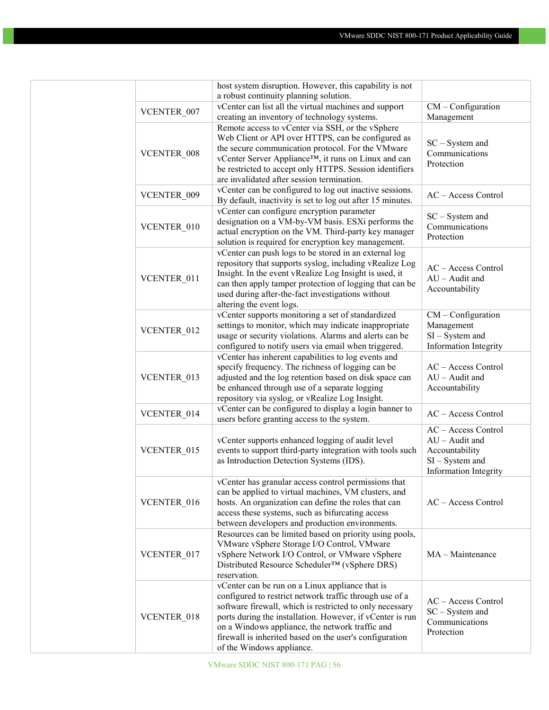|                        | host system disruption. However, this capability is not                       |                       |
|------------------------|-------------------------------------------------------------------------------|-----------------------|
|                        | a robust continuity planning solution.                                        |                       |
| VCENTER 007            | vCenter can list all the virtual machines and support                         | $CM$ – Configuration  |
|                        | creating an inventory of technology systems.                                  | Management            |
|                        | Remote access to vCenter via SSH, or the vSphere                              |                       |
|                        | Web Client or API over HTTPS, can be configured as                            | $SC - System$ and     |
| VCENTER 008            | the secure communication protocol. For the VMware                             | Communications        |
|                        | vCenter Server Appliance™, it runs on Linux and can                           | Protection            |
|                        | be restricted to accept only HTTPS. Session identifiers                       |                       |
|                        | are invalidated after session termination.                                    |                       |
| VCENTER 009            | vCenter can be configured to log out inactive sessions.                       | AC - Access Control   |
|                        | By default, inactivity is set to log out after 15 minutes.                    |                       |
|                        | vCenter can configure encryption parameter                                    | $SC - System$ and     |
| VCENTER_010            | designation on a VM-by-VM basis. ESXi performs the                            | Communications        |
|                        | actual encryption on the VM. Third-party key manager                          | Protection            |
|                        | solution is required for encryption key management.                           |                       |
|                        | vCenter can push logs to be stored in an external log                         |                       |
|                        | repository that supports syslog, including vRealize Log                       | AC - Access Control   |
| VCENTER 011            | Insight. In the event vRealize Log Insight is used, it                        | $AU -$ Audit and      |
|                        | can then apply tamper protection of logging that can be                       | Accountability        |
|                        | used during after-the-fact investigations without                             |                       |
|                        | altering the event logs.<br>vCenter supports monitoring a set of standardized | $CM$ – Configuration  |
|                        | settings to monitor, which may indicate inappropriate                         | Management            |
| VCENTER 012            | usage or security violations. Alarms and alerts can be                        | $SI - System$ and     |
|                        | configured to notify users via email when triggered.                          | Information Integrity |
|                        | vCenter has inherent capabilities to log events and                           |                       |
|                        | specify frequency. The richness of logging can be                             | AC - Access Control   |
| VCENTER 013            | adjusted and the log retention based on disk space can                        | $AU -$ Audit and      |
|                        | be enhanced through use of a separate logging                                 | Accountability        |
|                        | repository via syslog, or vRealize Log Insight.                               |                       |
|                        | vCenter can be configured to display a login banner to                        |                       |
| VCENTER_014            | users before granting access to the system.                                   | AC - Access Control   |
|                        |                                                                               | AC - Access Control   |
|                        | vCenter supports enhanced logging of audit level                              | $AU -$ Audit and      |
| VCENTER 015            | events to support third-party integration with tools such                     | Accountability        |
|                        | as Introduction Detection Systems (IDS).                                      | $SI - System$ and     |
|                        |                                                                               | Information Integrity |
|                        | vCenter has granular access control permissions that                          |                       |
|                        | can be applied to virtual machines, VM clusters, and                          |                       |
| VCENTER 016            | hosts. An organization can define the roles that can                          | AC - Access Control   |
|                        | access these systems, such as bifurcating access                              |                       |
|                        | between developers and production environments.                               |                       |
|                        | Resources can be limited based on priority using pools,                       |                       |
|                        | VMware vSphere Storage I/O Control, VMware                                    |                       |
| VCENTER_017            | vSphere Network I/O Control, or VMware vSphere                                | $MA - Maintenance$    |
|                        | Distributed Resource Scheduler™ (vSphere DRS)                                 |                       |
|                        | reservation.                                                                  |                       |
|                        | vCenter can be run on a Linux appliance that is                               |                       |
|                        | configured to restrict network traffic through use of a                       | AC - Access Control   |
|                        | software firewall, which is restricted to only necessary                      | SC - System and       |
| VCENTER <sub>018</sub> | ports during the installation. However, if vCenter is run                     | Communications        |
|                        | on a Windows appliance, the network traffic and                               | Protection            |
|                        | firewall is inherited based on the user's configuration                       |                       |
|                        | of the Windows appliance.                                                     |                       |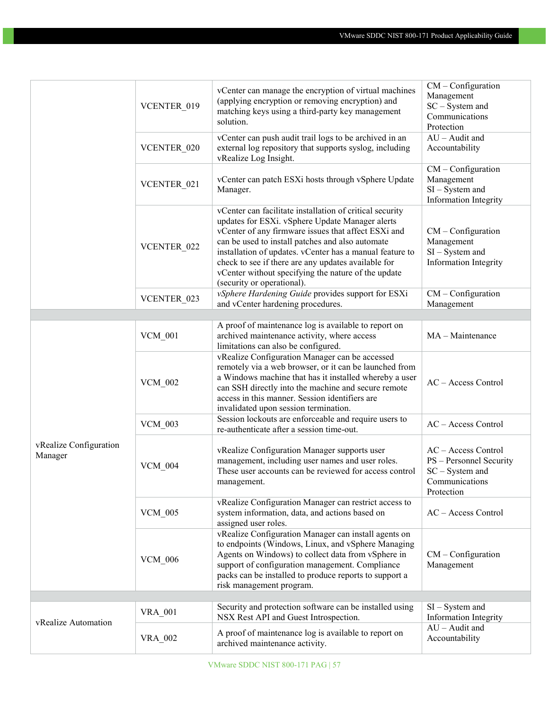|                                   | VCENTER 019<br>VCENTER 020 | vCenter can manage the encryption of virtual machines<br>(applying encryption or removing encryption) and<br>matching keys using a third-party key management<br>solution.<br>vCenter can push audit trail logs to be archived in an<br>external log repository that supports syslog, including<br>vRealize Log Insight.                                                                                                       | $CM$ – Configuration<br>Management<br>SC - System and<br>Communications<br>Protection<br>$AU - A$ udit and<br>Accountability<br>$CM$ – Configuration |
|-----------------------------------|----------------------------|--------------------------------------------------------------------------------------------------------------------------------------------------------------------------------------------------------------------------------------------------------------------------------------------------------------------------------------------------------------------------------------------------------------------------------|------------------------------------------------------------------------------------------------------------------------------------------------------|
|                                   | VCENTER <sub>021</sub>     | vCenter can patch ESXi hosts through vSphere Update<br>Manager.                                                                                                                                                                                                                                                                                                                                                                | Management<br>$SI - System$ and<br>Information Integrity                                                                                             |
|                                   | VCENTER 022                | vCenter can facilitate installation of critical security<br>updates for ESXi. vSphere Update Manager alerts<br>vCenter of any firmware issues that affect ESXi and<br>can be used to install patches and also automate<br>installation of updates. vCenter has a manual feature to<br>check to see if there are any updates available for<br>vCenter without specifying the nature of the update<br>(security or operational). | $CM$ – Configuration<br>Management<br>$SI - System$ and<br>Information Integrity                                                                     |
|                                   | VCENTER 023                | vSphere Hardening Guide provides support for ESXi<br>and vCenter hardening procedures.                                                                                                                                                                                                                                                                                                                                         | $CM$ – Configuration<br>Management                                                                                                                   |
|                                   |                            |                                                                                                                                                                                                                                                                                                                                                                                                                                |                                                                                                                                                      |
|                                   | <b>VCM 001</b>             | A proof of maintenance log is available to report on<br>archived maintenance activity, where access<br>limitations can also be configured.                                                                                                                                                                                                                                                                                     | MA - Maintenance                                                                                                                                     |
|                                   | <b>VCM_002</b>             | vRealize Configuration Manager can be accessed<br>remotely via a web browser, or it can be launched from<br>a Windows machine that has it installed whereby a user<br>can SSH directly into the machine and secure remote<br>access in this manner. Session identifiers are<br>invalidated upon session termination.                                                                                                           | AC - Access Control                                                                                                                                  |
|                                   | <b>VCM 003</b>             | Session lockouts are enforceable and require users to<br>re-authenticate after a session time-out.                                                                                                                                                                                                                                                                                                                             | AC - Access Control                                                                                                                                  |
| vRealize Configuration<br>Manager | <b>VCM 004</b>             | vRealize Configuration Manager supports user<br>management, including user names and user roles.<br>These user accounts can be reviewed for access control<br>management.                                                                                                                                                                                                                                                      | AC - Access Control<br>PS - Personnel Security<br>$SC - System$ and<br>Communications<br>Protection                                                  |
|                                   | <b>VCM 005</b>             | vRealize Configuration Manager can restrict access to<br>system information, data, and actions based on<br>assigned user roles.                                                                                                                                                                                                                                                                                                | AC - Access Control                                                                                                                                  |
|                                   | <b>VCM 006</b>             | vRealize Configuration Manager can install agents on<br>to endpoints (Windows, Linux, and vSphere Managing<br>Agents on Windows) to collect data from vSphere in<br>support of configuration management. Compliance<br>packs can be installed to produce reports to support a<br>risk management program.                                                                                                                      | $CM$ – Configuration<br>Management                                                                                                                   |
|                                   |                            | Security and protection software can be installed using                                                                                                                                                                                                                                                                                                                                                                        | $SI - System$ and                                                                                                                                    |
|                                   | <b>VRA 001</b>             | NSX Rest API and Guest Introspection.                                                                                                                                                                                                                                                                                                                                                                                          | <b>Information Integrity</b>                                                                                                                         |
| vRealize Automation               | <b>VRA_002</b>             | A proof of maintenance log is available to report on<br>archived maintenance activity.                                                                                                                                                                                                                                                                                                                                         | $AU - A$ udit and<br>Accountability                                                                                                                  |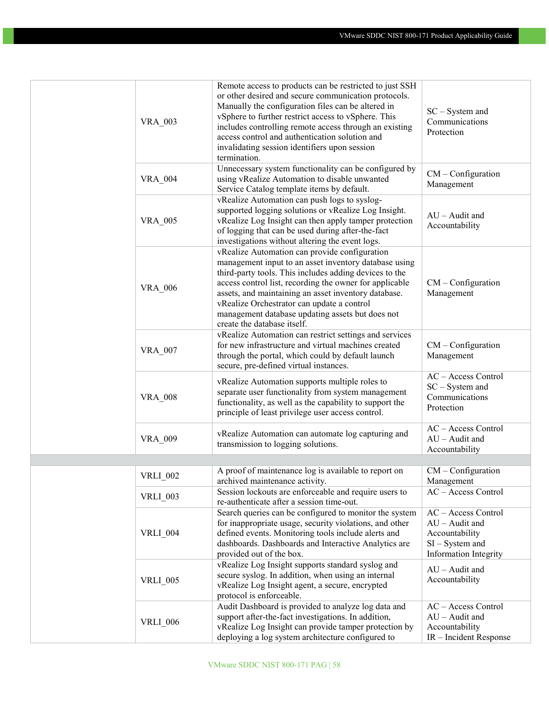| <b>VRA_003</b>  | Remote access to products can be restricted to just SSH<br>or other desired and secure communication protocols.<br>Manually the configuration files can be altered in<br>vSphere to further restrict access to vSphere. This<br>includes controlling remote access through an existing<br>access control and authentication solution and<br>invalidating session identifiers upon session<br>termination.            | $SC - System$ and<br>Communications<br>Protection                                                        |
|-----------------|----------------------------------------------------------------------------------------------------------------------------------------------------------------------------------------------------------------------------------------------------------------------------------------------------------------------------------------------------------------------------------------------------------------------|----------------------------------------------------------------------------------------------------------|
| <b>VRA_004</b>  | Unnecessary system functionality can be configured by<br>using vRealize Automation to disable unwanted<br>Service Catalog template items by default.                                                                                                                                                                                                                                                                 | $CM$ – Configuration<br>Management                                                                       |
| <b>VRA_005</b>  | vRealize Automation can push logs to syslog-<br>supported logging solutions or vRealize Log Insight.<br>vRealize Log Insight can then apply tamper protection<br>of logging that can be used during after-the-fact<br>investigations without altering the event logs.                                                                                                                                                | $AU -$ Audit and<br>Accountability                                                                       |
| <b>VRA_006</b>  | vRealize Automation can provide configuration<br>management input to an asset inventory database using<br>third-party tools. This includes adding devices to the<br>access control list, recording the owner for applicable<br>assets, and maintaining an asset inventory database.<br>vRealize Orchestrator can update a control<br>management database updating assets but does not<br>create the database itself. | $CM$ – Configuration<br>Management                                                                       |
| <b>VRA_007</b>  | vRealize Automation can restrict settings and services<br>for new infrastructure and virtual machines created<br>through the portal, which could by default launch<br>secure, pre-defined virtual instances.                                                                                                                                                                                                         | $CM$ – Configuration<br>Management                                                                       |
| <b>VRA_008</b>  | vRealize Automation supports multiple roles to<br>separate user functionality from system management<br>functionality, as well as the capability to support the<br>principle of least privilege user access control.                                                                                                                                                                                                 | AC - Access Control<br>$SC - System$ and<br>Communications<br>Protection                                 |
| VRA_009         | vRealize Automation can automate log capturing and<br>transmission to logging solutions.                                                                                                                                                                                                                                                                                                                             | AC - Access Control<br>$AU - A$ udit and<br>Accountability                                               |
|                 | A proof of maintenance log is available to report on                                                                                                                                                                                                                                                                                                                                                                 | $CM$ – Configuration                                                                                     |
| <b>VRLI 002</b> | archived maintenance activity.                                                                                                                                                                                                                                                                                                                                                                                       | Management                                                                                               |
| <b>VRLI_003</b> | Session lockouts are enforceable and require users to<br>re-authenticate after a session time-out.                                                                                                                                                                                                                                                                                                                   | AC - Access Control                                                                                      |
| <b>VRLI_004</b> | Search queries can be configured to monitor the system<br>for inappropriate usage, security violations, and other<br>defined events. Monitoring tools include alerts and<br>dashboards. Dashboards and Interactive Analytics are<br>provided out of the box.                                                                                                                                                         | AC - Access Control<br>$AU - A$ udit and<br>Accountability<br>$SI - System$ and<br>Information Integrity |
| <b>VRLI_005</b> | vRealize Log Insight supports standard syslog and<br>secure syslog. In addition, when using an internal<br>vRealize Log Insight agent, a secure, encrypted<br>protocol is enforceable.                                                                                                                                                                                                                               | $AU - A$ udit and<br>Accountability                                                                      |
| <b>VRLI_006</b> | Audit Dashboard is provided to analyze log data and<br>support after-the-fact investigations. In addition,<br>vRealize Log Insight can provide tamper protection by<br>deploying a log system architecture configured to                                                                                                                                                                                             | AC - Access Control<br>$AU - A$ udit and<br>Accountability<br>IR - Incident Response                     |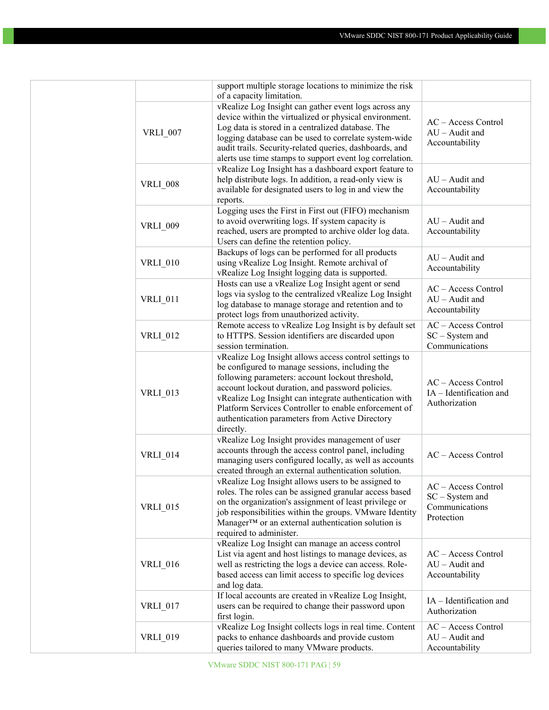|                 | support multiple storage locations to minimize the risk                                                         |                                    |
|-----------------|-----------------------------------------------------------------------------------------------------------------|------------------------------------|
|                 | of a capacity limitation.                                                                                       |                                    |
|                 | vRealize Log Insight can gather event logs across any                                                           |                                    |
|                 | device within the virtualized or physical environment.                                                          | AC - Access Control                |
| <b>VRLI_007</b> | Log data is stored in a centralized database. The                                                               | $AU -$ Audit and                   |
|                 | logging database can be used to correlate system-wide                                                           | Accountability                     |
|                 | audit trails. Security-related queries, dashboards, and                                                         |                                    |
|                 | alerts use time stamps to support event log correlation.                                                        |                                    |
|                 | vRealize Log Insight has a dashboard export feature to                                                          |                                    |
| <b>VRLI_008</b> | help distribute logs. In addition, a read-only view is<br>available for designated users to log in and view the | $AU -$ Audit and<br>Accountability |
|                 | reports.                                                                                                        |                                    |
|                 | Logging uses the First in First out (FIFO) mechanism                                                            |                                    |
| <b>VRLI_009</b> | to avoid overwriting logs. If system capacity is                                                                | $AU -$ Audit and                   |
|                 | reached, users are prompted to archive older log data.                                                          | Accountability                     |
|                 | Users can define the retention policy.                                                                          |                                    |
|                 | Backups of logs can be performed for all products                                                               | $AU -$ Audit and                   |
| <b>VRLI_010</b> | using vRealize Log Insight. Remote archival of                                                                  | Accountability                     |
|                 | vRealize Log Insight logging data is supported.                                                                 |                                    |
|                 | Hosts can use a vRealize Log Insight agent or send                                                              | AC - Access Control                |
| <b>VRLI 011</b> | logs via syslog to the centralized vRealize Log Insight                                                         | $AU - A$ udit and                  |
|                 | log database to manage storage and retention and to                                                             | Accountability                     |
|                 | protect logs from unauthorized activity.                                                                        |                                    |
|                 | Remote access to vRealize Log Insight is by default set                                                         | AC - Access Control                |
| <b>VRLI_012</b> | to HTTPS. Session identifiers are discarded upon                                                                | $SC - System$ and                  |
|                 | session termination.                                                                                            | Communications                     |
|                 | vRealize Log Insight allows access control settings to                                                          |                                    |
|                 | be configured to manage sessions, including the                                                                 |                                    |
|                 | following parameters: account lockout threshold,                                                                |                                    |
|                 | account lockout duration, and password policies.                                                                | AC - Access Control                |
| <b>VRLI_013</b> | vRealize Log Insight can integrate authentication with                                                          | IA - Identification and            |
|                 | Platform Services Controller to enable enforcement of                                                           | Authorization                      |
|                 | authentication parameters from Active Directory                                                                 |                                    |
|                 | directly.                                                                                                       |                                    |
|                 | vRealize Log Insight provides management of user                                                                |                                    |
|                 | accounts through the access control panel, including                                                            |                                    |
| <b>VRLI_014</b> | managing users configured locally, as well as accounts                                                          | AC - Access Control                |
|                 | created through an external authentication solution.                                                            |                                    |
|                 | vRealize Log Insight allows users to be assigned to                                                             |                                    |
|                 | roles. The roles can be assigned granular access based                                                          | AC - Access Control                |
|                 | on the organization's assignment of least privilege or                                                          | $SC - System$ and                  |
| <b>VRLI_015</b> | job responsibilities within the groups. VMware Identity                                                         | Communications                     |
|                 | Manager™ or an external authentication solution is                                                              | Protection                         |
|                 | required to administer.                                                                                         |                                    |
|                 | vRealize Log Insight can manage an access control                                                               |                                    |
|                 | List via agent and host listings to manage devices, as                                                          | AC - Access Control                |
| <b>VRLI 016</b> | well as restricting the logs a device can access. Role-                                                         | $AU - A$ udit and                  |
|                 | based access can limit access to specific log devices                                                           | Accountability                     |
|                 | and log data.                                                                                                   |                                    |
|                 | If local accounts are created in vRealize Log Insight,                                                          |                                    |
| <b>VRLI_017</b> | users can be required to change their password upon                                                             | IA - Identification and            |
|                 | first login.                                                                                                    | Authorization                      |
|                 | vRealize Log Insight collects logs in real time. Content                                                        | AC - Access Control                |
| <b>VRLI_019</b> | packs to enhance dashboards and provide custom                                                                  | $AU - A$ udit and                  |
|                 | queries tailored to many VMware products.                                                                       | Accountability                     |
|                 |                                                                                                                 |                                    |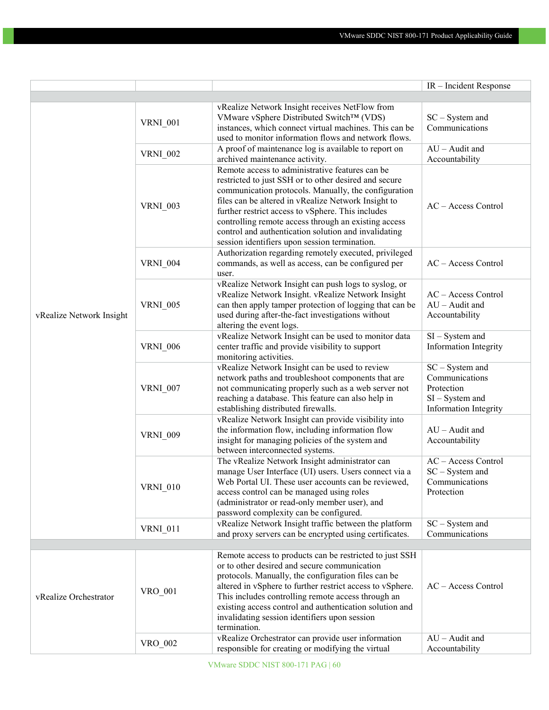|                          |                 |                                                                                                                                                                                                                                                                                                                                                                                                                                               | IR – Incident Response                                                                          |
|--------------------------|-----------------|-----------------------------------------------------------------------------------------------------------------------------------------------------------------------------------------------------------------------------------------------------------------------------------------------------------------------------------------------------------------------------------------------------------------------------------------------|-------------------------------------------------------------------------------------------------|
|                          |                 |                                                                                                                                                                                                                                                                                                                                                                                                                                               |                                                                                                 |
|                          | <b>VRNI_001</b> | vRealize Network Insight receives NetFlow from<br>VMware vSphere Distributed Switch™ (VDS)<br>instances, which connect virtual machines. This can be<br>used to monitor information flows and network flows.                                                                                                                                                                                                                                  | $SC - System$ and<br>Communications                                                             |
|                          | <b>VRNI_002</b> | A proof of maintenance log is available to report on<br>archived maintenance activity.                                                                                                                                                                                                                                                                                                                                                        | $AU - A$ udit and<br>Accountability                                                             |
|                          | <b>VRNI 003</b> | Remote access to administrative features can be<br>restricted to just SSH or to other desired and secure<br>communication protocols. Manually, the configuration<br>files can be altered in vRealize Network Insight to<br>further restrict access to vSphere. This includes<br>controlling remote access through an existing access<br>control and authentication solution and invalidating<br>session identifiers upon session termination. | AC - Access Control                                                                             |
|                          | <b>VRNI_004</b> | Authorization regarding remotely executed, privileged<br>commands, as well as access, can be configured per<br>user.                                                                                                                                                                                                                                                                                                                          | AC - Access Control                                                                             |
| vRealize Network Insight | <b>VRNI 005</b> | vRealize Network Insight can push logs to syslog, or<br>vRealize Network Insight. vRealize Network Insight<br>can then apply tamper protection of logging that can be<br>used during after-the-fact investigations without<br>altering the event logs.                                                                                                                                                                                        | AC - Access Control<br>$AU - A$ udit and<br>Accountability                                      |
|                          | <b>VRNI 006</b> | vRealize Network Insight can be used to monitor data<br>center traffic and provide visibility to support<br>monitoring activities.                                                                                                                                                                                                                                                                                                            | $SI - System$ and<br><b>Information Integrity</b>                                               |
|                          | <b>VRNI 007</b> | vRealize Network Insight can be used to review<br>network paths and troubleshoot components that are<br>not communicating properly such as a web server not<br>reaching a database. This feature can also help in<br>establishing distributed firewalls.                                                                                                                                                                                      | $SC - System$ and<br>Communications<br>Protection<br>$SI - System$ and<br>Information Integrity |
|                          | <b>VRNI_009</b> | vRealize Network Insight can provide visibility into<br>the information flow, including information flow<br>insight for managing policies of the system and<br>between interconnected systems.                                                                                                                                                                                                                                                | $AU -$ Audit and<br>Accountability                                                              |
|                          | <b>VRNI_010</b> | The vRealize Network Insight administrator can<br>manage User Interface (UI) users. Users connect via a<br>Web Portal UI. These user accounts can be reviewed,<br>access control can be managed using roles<br>(administrator or read-only member user), and<br>password complexity can be configured.                                                                                                                                        | AC - Access Control<br>$SC - System$ and<br>Communications<br>Protection                        |
|                          | <b>VRNI_011</b> | vRealize Network Insight traffic between the platform<br>and proxy servers can be encrypted using certificates.                                                                                                                                                                                                                                                                                                                               | $\rm{SC-System}$ and<br>Communications                                                          |
| vRealize Orchestrator    | VRO_001         | Remote access to products can be restricted to just SSH<br>or to other desired and secure communication<br>protocols. Manually, the configuration files can be<br>altered in vSphere to further restrict access to vSphere.<br>This includes controlling remote access through an<br>existing access control and authentication solution and<br>invalidating session identifiers upon session<br>termination.                                 | AC - Access Control                                                                             |
|                          | VRO 002         | vRealize Orchestrator can provide user information<br>responsible for creating or modifying the virtual                                                                                                                                                                                                                                                                                                                                       | $AU -$ Audit and<br>Accountability                                                              |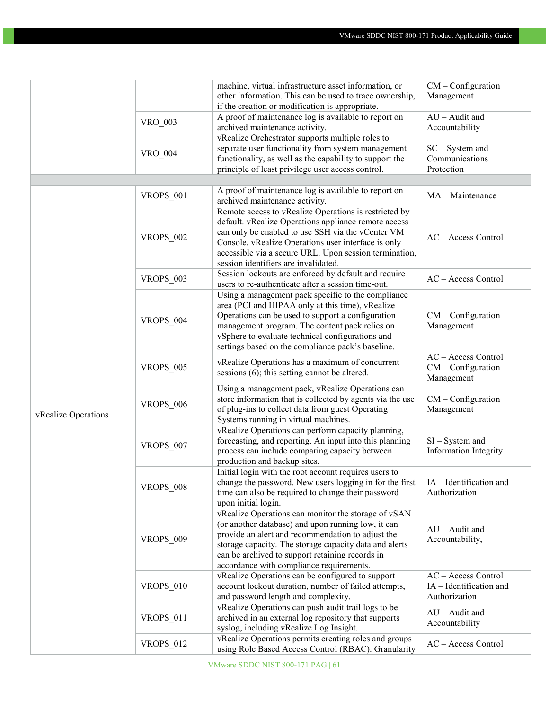|                     |                  | machine, virtual infrastructure asset information, or                                                                     | $CM$ – Configuration                                      |
|---------------------|------------------|---------------------------------------------------------------------------------------------------------------------------|-----------------------------------------------------------|
|                     |                  | other information. This can be used to trace ownership,                                                                   | Management                                                |
|                     |                  | if the creation or modification is appropriate.                                                                           |                                                           |
|                     |                  | A proof of maintenance log is available to report on                                                                      | $AU - A$ udit and                                         |
|                     | VRO_003          | archived maintenance activity.                                                                                            | Accountability                                            |
|                     |                  | vRealize Orchestrator supports multiple roles to                                                                          |                                                           |
|                     |                  | separate user functionality from system management                                                                        | $SC - System$ and                                         |
|                     | VRO 004          | functionality, as well as the capability to support the                                                                   | Communications                                            |
|                     |                  | principle of least privilege user access control.                                                                         | Protection                                                |
|                     |                  |                                                                                                                           |                                                           |
|                     |                  | A proof of maintenance log is available to report on                                                                      |                                                           |
|                     | VROPS_001        | archived maintenance activity.                                                                                            | MA - Maintenance                                          |
|                     |                  | Remote access to vRealize Operations is restricted by                                                                     |                                                           |
|                     |                  |                                                                                                                           | AC - Access Control                                       |
|                     |                  | default. vRealize Operations appliance remote access                                                                      |                                                           |
|                     | <b>VROPS_002</b> | can only be enabled to use SSH via the vCenter VM                                                                         |                                                           |
|                     |                  | Console. vRealize Operations user interface is only                                                                       |                                                           |
|                     |                  | accessible via a secure URL. Upon session termination,                                                                    |                                                           |
|                     |                  | session identifiers are invalidated.                                                                                      |                                                           |
|                     | VROPS_003        | Session lockouts are enforced by default and require                                                                      | AC - Access Control                                       |
|                     |                  | users to re-authenticate after a session time-out.                                                                        |                                                           |
|                     |                  | Using a management pack specific to the compliance                                                                        |                                                           |
|                     |                  | area (PCI and HIPAA only at this time), vRealize                                                                          |                                                           |
|                     | VROPS_004        | Operations can be used to support a configuration                                                                         | $CM$ – Configuration                                      |
|                     |                  | management program. The content pack relies on                                                                            | Management                                                |
|                     |                  | vSphere to evaluate technical configurations and                                                                          |                                                           |
|                     |                  | settings based on the compliance pack's baseline.                                                                         |                                                           |
|                     |                  |                                                                                                                           | AC - Access Control<br>$CM$ – Configuration<br>Management |
|                     | <b>VROPS 005</b> | vRealize Operations has a maximum of concurrent                                                                           |                                                           |
|                     |                  | sessions $(6)$ ; this setting cannot be altered.                                                                          |                                                           |
|                     |                  | Using a management pack, vRealize Operations can                                                                          |                                                           |
|                     | <b>VROPS_006</b> | store information that is collected by agents via the use                                                                 | $CM$ – Configuration                                      |
|                     |                  | of plug-ins to collect data from guest Operating                                                                          | Management                                                |
| vRealize Operations |                  | Systems running in virtual machines.                                                                                      |                                                           |
|                     |                  | vRealize Operations can perform capacity planning,                                                                        |                                                           |
|                     |                  | forecasting, and reporting. An input into this planning                                                                   | $SI - System$ and                                         |
|                     | <b>VROPS_007</b> | process can include comparing capacity between                                                                            | <b>Information Integrity</b>                              |
|                     |                  | production and backup sites.                                                                                              |                                                           |
|                     |                  | Initial login with the root account requires users to                                                                     |                                                           |
|                     | <b>VROPS_008</b> | change the password. New users logging in for the first $\begin{array}{ l l } \hline \end{array}$ IA - Identification and |                                                           |
|                     |                  | time can also be required to change their password                                                                        | Authorization                                             |
|                     |                  | upon initial login.                                                                                                       |                                                           |
|                     |                  | vRealize Operations can monitor the storage of vSAN                                                                       |                                                           |
|                     | <b>VROPS_009</b> | (or another database) and upon running low, it can                                                                        | $AU - A$ udit and<br>Accountability,                      |
|                     |                  | provide an alert and recommendation to adjust the                                                                         |                                                           |
|                     |                  | storage capacity. The storage capacity data and alerts                                                                    |                                                           |
|                     |                  | can be archived to support retaining records in                                                                           |                                                           |
|                     |                  | accordance with compliance requirements.                                                                                  |                                                           |
|                     | VROPS_010        | vRealize Operations can be configured to support                                                                          | AC - Access Control                                       |
|                     |                  | account lockout duration, number of failed attempts,                                                                      | IA - Identification and                                   |
|                     |                  |                                                                                                                           |                                                           |
|                     | VROPS_011        | and password length and complexity.                                                                                       | Authorization                                             |
|                     |                  | vRealize Operations can push audit trail logs to be                                                                       | $AU - A$ udit and                                         |
|                     |                  | archived in an external log repository that supports                                                                      | Accountability                                            |
|                     |                  | syslog, including vRealize Log Insight.                                                                                   |                                                           |
|                     | VROPS 012        | vRealize Operations permits creating roles and groups                                                                     | AC - Access Control                                       |
|                     |                  | using Role Based Access Control (RBAC). Granularity                                                                       |                                                           |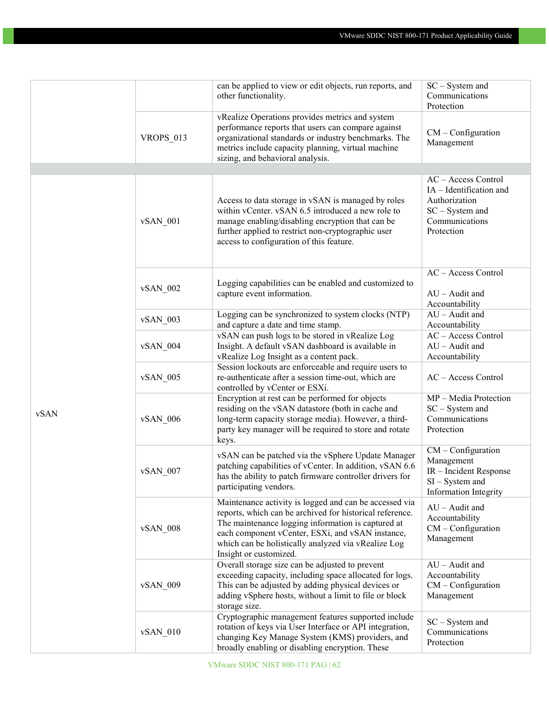|      |            | can be applied to view or edit objects, run reports, and<br>other functionality.                                                                                                                                                                                                                              | $SC - System$ and<br>Communications<br>Protection                                                                    |
|------|------------|---------------------------------------------------------------------------------------------------------------------------------------------------------------------------------------------------------------------------------------------------------------------------------------------------------------|----------------------------------------------------------------------------------------------------------------------|
|      | VROPS_013  | vRealize Operations provides metrics and system<br>performance reports that users can compare against<br>organizational standards or industry benchmarks. The<br>metrics include capacity planning, virtual machine<br>sizing, and behavioral analysis.                                                       | $CM$ – Configuration<br>Management                                                                                   |
| vSAN | $vSAN_001$ | Access to data storage in vSAN is managed by roles<br>within vCenter. vSAN 6.5 introduced a new role to<br>manage enabling/disabling encryption that can be<br>further applied to restrict non-cryptographic user<br>access to configuration of this feature.                                                 | AC - Access Control<br>IA - Identification and<br>Authorization<br>$SC - System$ and<br>Communications<br>Protection |
|      | vSAN 002   | Logging capabilities can be enabled and customized to<br>capture event information.                                                                                                                                                                                                                           | AC - Access Control<br>$AU - A$ udit and<br>Accountability                                                           |
|      | $vSAN_003$ | Logging can be synchronized to system clocks (NTP)<br>and capture a date and time stamp.                                                                                                                                                                                                                      | $AU -$ Audit and<br>Accountability                                                                                   |
|      | vSAN 004   | vSAN can push logs to be stored in vRealize Log<br>Insight. A default vSAN dashboard is available in<br>vRealize Log Insight as a content pack.                                                                                                                                                               | AC - Access Control<br>$AU - A$ udit and<br>Accountability                                                           |
|      | vSAN 005   | Session lockouts are enforceable and require users to<br>re-authenticate after a session time-out, which are<br>controlled by vCenter or ESXi.                                                                                                                                                                | AC - Access Control                                                                                                  |
|      | vSAN_006   | Encryption at rest can be performed for objects<br>residing on the vSAN datastore (both in cache and<br>long-term capacity storage media). However, a third-<br>party key manager will be required to store and rotate<br>keys.                                                                               | MP - Media Protection<br>$SC - System$ and<br>Communications<br>Protection                                           |
|      | $vSAN_007$ | vSAN can be patched via the vSphere Update Manager<br>patching capabilities of vCenter. In addition, vSAN 6.6<br>has the ability to patch firmware controller drivers for<br>participating vendors.                                                                                                           | $CM$ – Configuration<br>Management<br>IR - Incident Response<br>$SI - System$ and<br><b>Information Integrity</b>    |
|      | $vSAN_008$ | Maintenance activity is logged and can be accessed via<br>reports, which can be archived for historical reference.<br>The maintenance logging information is captured at<br>each component vCenter, ESXi, and vSAN instance,<br>which can be holistically analyzed via vRealize Log<br>Insight or customized. | $AU -$ Audit and<br>Accountability<br>CM - Configuration<br>Management                                               |
|      | vSAN 009   | Overall storage size can be adjusted to prevent<br>exceeding capacity, including space allocated for logs.<br>This can be adjusted by adding physical devices or<br>adding vSphere hosts, without a limit to file or block<br>storage size.                                                                   | $AU - A$ udit and<br>Accountability<br>$CM$ – Configuration<br>Management                                            |
|      | vSAN 010   | Cryptographic management features supported include<br>rotation of keys via User Interface or API integration,<br>changing Key Manage System (KMS) providers, and<br>broadly enabling or disabling encryption. These                                                                                          | $SC - System$ and<br>Communications<br>Protection                                                                    |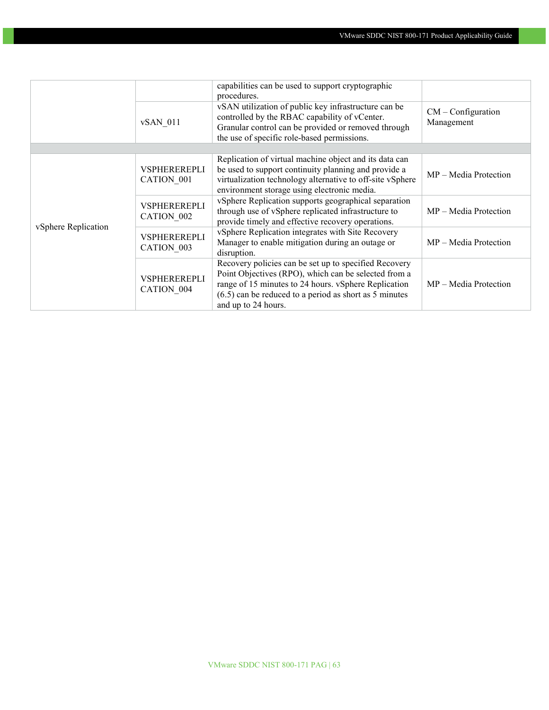|                     |                                   | capabilities can be used to support cryptographic<br>procedures.                                                                                                                                                                                         |                                    |  |  |  |  |
|---------------------|-----------------------------------|----------------------------------------------------------------------------------------------------------------------------------------------------------------------------------------------------------------------------------------------------------|------------------------------------|--|--|--|--|
|                     | $vSAN$ 011                        | vSAN utilization of public key infrastructure can be<br>controlled by the RBAC capability of vCenter.<br>Granular control can be provided or removed through<br>the use of specific role-based permissions.                                              | $CM$ – Configuration<br>Management |  |  |  |  |
|                     |                                   |                                                                                                                                                                                                                                                          |                                    |  |  |  |  |
| vSphere Replication | <b>VSPHEREREPLI</b><br>CATION 001 | Replication of virtual machine object and its data can<br>be used to support continuity planning and provide a<br>virtualization technology alternative to off-site vSphere<br>environment storage using electronic media.                               | $MP - Media Protection$            |  |  |  |  |
|                     | <b>VSPHEREREPLI</b><br>CATION 002 | vSphere Replication supports geographical separation<br>through use of vSphere replicated infrastructure to<br>provide timely and effective recovery operations.                                                                                         | $MP - Media Protection$            |  |  |  |  |
|                     | <b>VSPHEREREPLI</b><br>CATION 003 | vSphere Replication integrates with Site Recovery<br>Manager to enable mitigation during an outage or<br>disruption.                                                                                                                                     | $MP - Media Protection$            |  |  |  |  |
|                     | <b>VSPHEREREPLI</b><br>CATION 004 | Recovery policies can be set up to specified Recovery<br>Point Objectives (RPO), which can be selected from a<br>range of 15 minutes to 24 hours. vSphere Replication<br>$(6.5)$ can be reduced to a period as short as 5 minutes<br>and up to 24 hours. | $MP - Media Protection$            |  |  |  |  |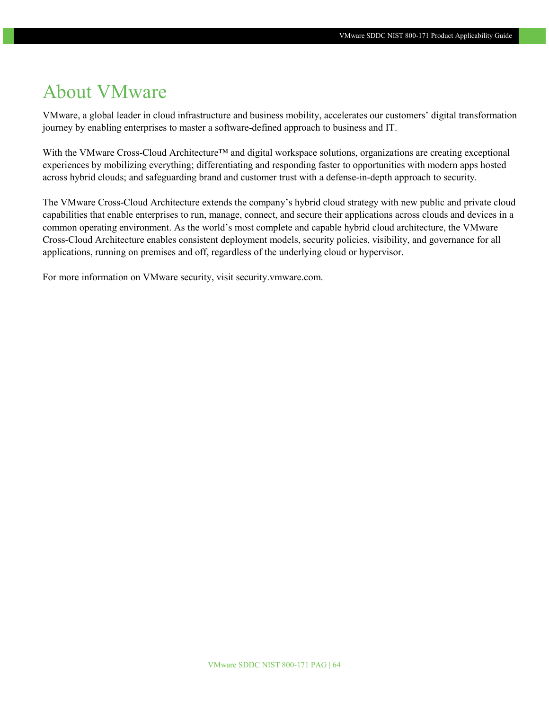### <span id="page-63-0"></span>About VMware

VMware, a global leader in cloud infrastructure and business mobility, accelerates our customers' digital transformation journey by enabling enterprises to master a software-defined approach to business and IT.

With the VMware Cross-Cloud Architecture™ and digital workspace solutions, organizations are creating exceptional experiences by mobilizing everything; differentiating and responding faster to opportunities with modern apps hosted across hybrid clouds; and safeguarding brand and customer trust with a defense-in-depth approach to security.

The VMware Cross-Cloud Architecture extends the company's hybrid cloud strategy with new public and private cloud capabilities that enable enterprises to run, manage, connect, and secure their applications across clouds and devices in a common operating environment. As the world's most complete and capable hybrid cloud architecture, the VMware Cross-Cloud Architecture enables consistent deployment models, security policies, visibility, and governance for all applications, running on premises and off, regardless of the underlying cloud or hypervisor.

For more information on VMware security, visit security.vmware.com.